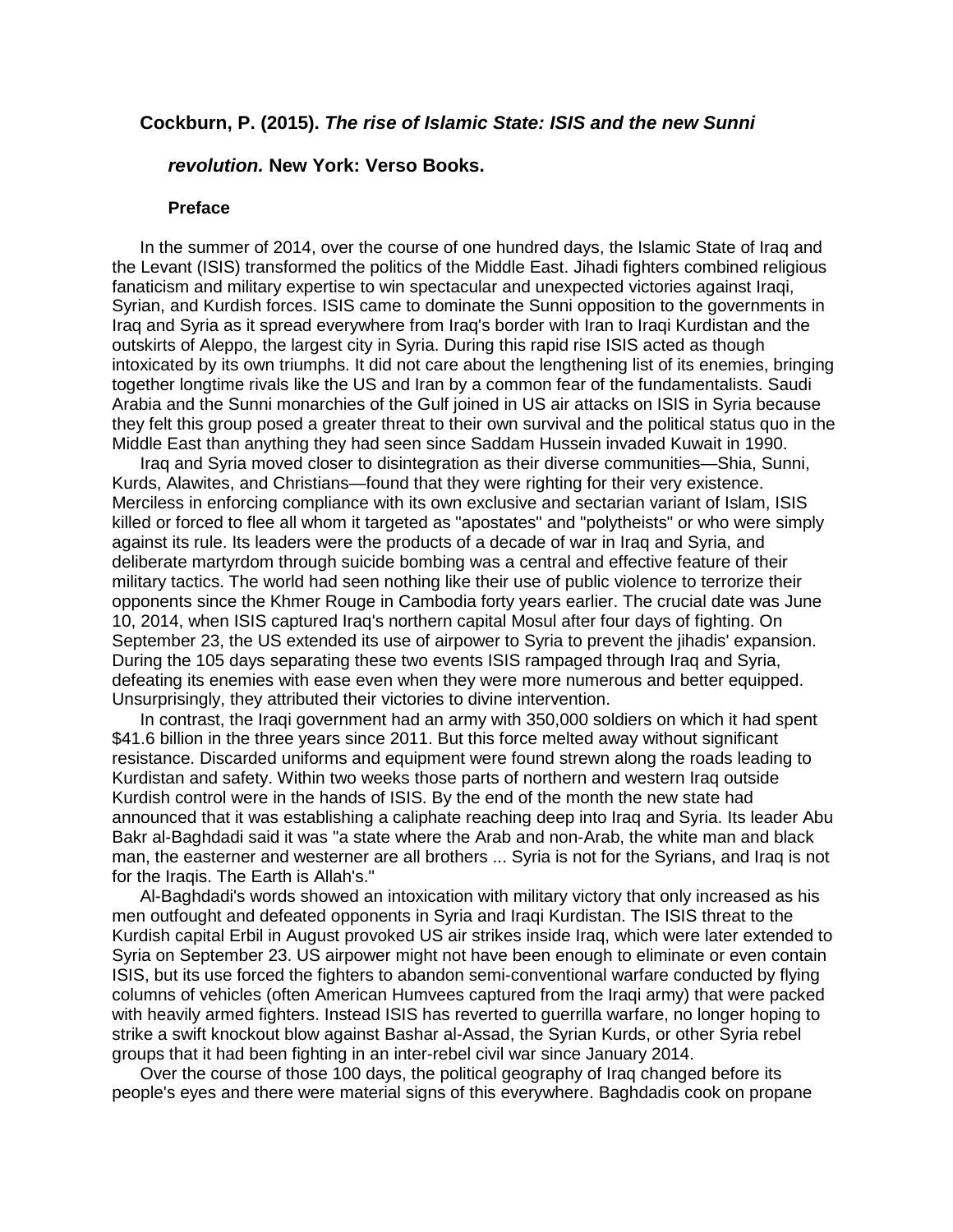# **Cockburn, P. (2015).** *The rise of Islamic State: ISIS and the new Sunni*

# *revolution.* **New York: Verso Books.**

## **Preface**

In the summer of 2014, over the course of one hundred days, the Islamic State of Iraq and the Levant (ISIS) transformed the politics of the Middle East. Jihadi fighters combined religious fanaticism and military expertise to win spectacular and unexpected victories against Iraqi, Syrian, and Kurdish forces. ISIS came to dominate the Sunni opposition to the governments in Iraq and Syria as it spread everywhere from Iraq's border with Iran to Iraqi Kurdistan and the outskirts of Aleppo, the largest city in Syria. During this rapid rise ISIS acted as though intoxicated by its own triumphs. It did not care about the lengthening list of its enemies, bringing together longtime rivals like the US and Iran by a common fear of the fundamentalists. Saudi Arabia and the Sunni monarchies of the Gulf joined in US air attacks on ISIS in Syria because they felt this group posed a greater threat to their own survival and the political status quo in the Middle East than anything they had seen since Saddam Hussein invaded Kuwait in 1990.

Iraq and Syria moved closer to disintegration as their diverse communities—Shia, Sunni, Kurds, Alawites, and Christians—found that they were righting for their very existence. Merciless in enforcing compliance with its own exclusive and sectarian variant of Islam, ISIS killed or forced to flee all whom it targeted as "apostates" and "polytheists" or who were simply against its rule. Its leaders were the products of a decade of war in Iraq and Syria, and deliberate martyrdom through suicide bombing was a central and effective feature of their military tactics. The world had seen nothing like their use of public violence to terrorize their opponents since the Khmer Rouge in Cambodia forty years earlier. The crucial date was June 10, 2014, when ISIS captured Iraq's northern capital Mosul after four days of fighting. On September 23, the US extended its use of airpower to Syria to prevent the jihadis' expansion. During the 105 days separating these two events ISIS rampaged through Iraq and Syria, defeating its enemies with ease even when they were more numerous and better equipped. Unsurprisingly, they attributed their victories to divine intervention.

In contrast, the Iraqi government had an army with 350,000 soldiers on which it had spent \$41.6 billion in the three years since 2011. But this force melted away without significant resistance. Discarded uniforms and equipment were found strewn along the roads leading to Kurdistan and safety. Within two weeks those parts of northern and western Iraq outside Kurdish control were in the hands of ISIS. By the end of the month the new state had announced that it was establishing a caliphate reaching deep into Iraq and Syria. Its leader Abu Bakr al-Baghdadi said it was "a state where the Arab and non-Arab, the white man and black man, the easterner and westerner are all brothers ... Syria is not for the Syrians, and Iraq is not for the Iraqis. The Earth is Allah's."

Al-Baghdadi's words showed an intoxication with military victory that only increased as his men outfought and defeated opponents in Syria and Iraqi Kurdistan. The ISIS threat to the Kurdish capital Erbil in August provoked US air strikes inside Iraq, which were later extended to Syria on September 23. US airpower might not have been enough to eliminate or even contain ISIS, but its use forced the fighters to abandon semi-conventional warfare conducted by flying columns of vehicles (often American Humvees captured from the Iraqi army) that were packed with heavily armed fighters. Instead ISIS has reverted to guerrilla warfare, no longer hoping to strike a swift knockout blow against Bashar al-Assad, the Syrian Kurds, or other Syria rebel groups that it had been fighting in an inter-rebel civil war since January 2014.

Over the course of those 100 days, the political geography of Iraq changed before its people's eyes and there were material signs of this everywhere. Baghdadis cook on propane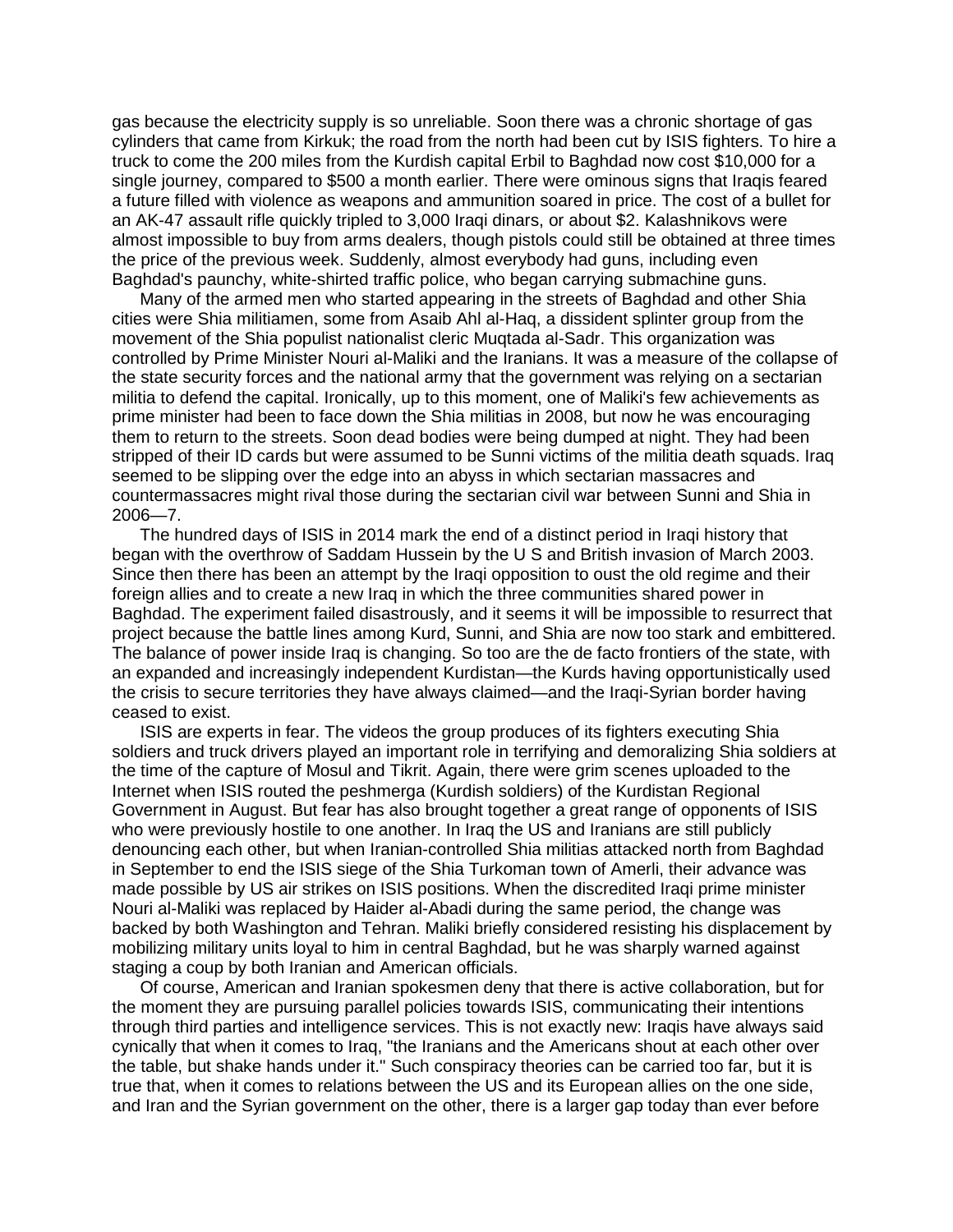gas because the electricity supply is so unreliable. Soon there was a chronic shortage of gas cylinders that came from Kirkuk; the road from the north had been cut by ISIS fighters. To hire a truck to come the 200 miles from the Kurdish capital Erbil to Baghdad now cost \$10,000 for a single journey, compared to \$500 a month earlier. There were ominous signs that Iraqis feared a future filled with violence as weapons and ammunition soared in price. The cost of a bullet for an AK-47 assault rifle quickly tripled to 3,000 Iraqi dinars, or about \$2. Kalashnikovs were almost impossible to buy from arms dealers, though pistols could still be obtained at three times the price of the previous week. Suddenly, almost everybody had guns, including even Baghdad's paunchy, white-shirted traffic police, who began carrying submachine guns.

Many of the armed men who started appearing in the streets of Baghdad and other Shia cities were Shia militiamen, some from Asaib Ahl al-Haq, a dissident splinter group from the movement of the Shia populist nationalist cleric Muqtada al-Sadr. This organization was controlled by Prime Minister Nouri al-Maliki and the Iranians. It was a measure of the collapse of the state security forces and the national army that the government was relying on a sectarian militia to defend the capital. Ironically, up to this moment, one of Maliki's few achievements as prime minister had been to face down the Shia militias in 2008, but now he was encouraging them to return to the streets. Soon dead bodies were being dumped at night. They had been stripped of their ID cards but were assumed to be Sunni victims of the militia death squads. Iraq seemed to be slipping over the edge into an abyss in which sectarian massacres and countermassacres might rival those during the sectarian civil war between Sunni and Shia in 2006—7.

The hundred days of ISIS in 2014 mark the end of a distinct period in Iraqi history that began with the overthrow of Saddam Hussein by the U S and British invasion of March 2003. Since then there has been an attempt by the Iraqi opposition to oust the old regime and their foreign allies and to create a new Iraq in which the three communities shared power in Baghdad. The experiment failed disastrously, and it seems it will be impossible to resurrect that project because the battle lines among Kurd, Sunni, and Shia are now too stark and embittered. The balance of power inside Iraq is changing. So too are the de facto frontiers of the state, with an expanded and increasingly independent Kurdistan—the Kurds having opportunistically used the crisis to secure territories they have always claimed—and the Iraqi-Syrian border having ceased to exist.

ISIS are experts in fear. The videos the group produces of its fighters executing Shia soldiers and truck drivers played an important role in terrifying and demoralizing Shia soldiers at the time of the capture of Mosul and Tikrit. Again, there were grim scenes uploaded to the Internet when ISIS routed the peshmerga (Kurdish soldiers) of the Kurdistan Regional Government in August. But fear has also brought together a great range of opponents of ISIS who were previously hostile to one another. In Iraq the US and Iranians are still publicly denouncing each other, but when Iranian-controlled Shia militias attacked north from Baghdad in September to end the ISIS siege of the Shia Turkoman town of Amerli, their advance was made possible by US air strikes on ISIS positions. When the discredited Iraqi prime minister Nouri al-Maliki was replaced by Haider al-Abadi during the same period, the change was backed by both Washington and Tehran. Maliki briefly considered resisting his displacement by mobilizing military units loyal to him in central Baghdad, but he was sharply warned against staging a coup by both Iranian and American officials.

Of course, American and Iranian spokesmen deny that there is active collaboration, but for the moment they are pursuing parallel policies towards ISIS, communicating their intentions through third parties and intelligence services. This is not exactly new: Iraqis have always said cynically that when it comes to Iraq, "the Iranians and the Americans shout at each other over the table, but shake hands under it." Such conspiracy theories can be carried too far, but it is true that, when it comes to relations between the US and its European allies on the one side, and Iran and the Syrian government on the other, there is a larger gap today than ever before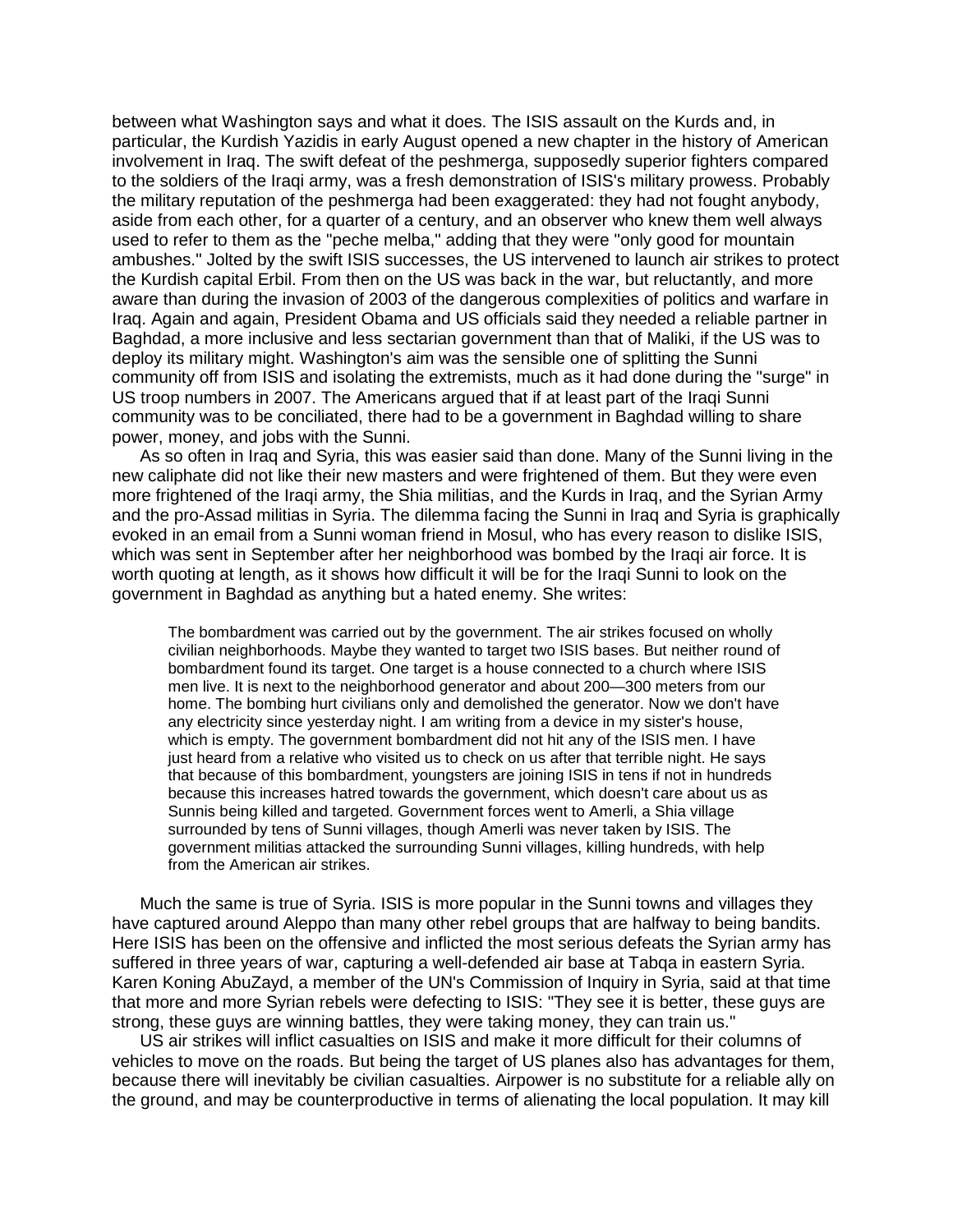between what Washington says and what it does. The ISIS assault on the Kurds and, in particular, the Kurdish Yazidis in early August opened a new chapter in the history of American involvement in Iraq. The swift defeat of the peshmerga, supposedly superior fighters compared to the soldiers of the Iraqi army, was a fresh demonstration of ISIS's military prowess. Probably the military reputation of the peshmerga had been exaggerated: they had not fought anybody, aside from each other, for a quarter of a century, and an observer who knew them well always used to refer to them as the "peche melba," adding that they were "only good for mountain ambushes." Jolted by the swift ISIS successes, the US intervened to launch air strikes to protect the Kurdish capital Erbil. From then on the US was back in the war, but reluctantly, and more aware than during the invasion of 2003 of the dangerous complexities of politics and warfare in Iraq. Again and again, President Obama and US officials said they needed a reliable partner in Baghdad, a more inclusive and less sectarian government than that of Maliki, if the US was to deploy its military might. Washington's aim was the sensible one of splitting the Sunni community off from ISIS and isolating the extremists, much as it had done during the "surge" in US troop numbers in 2007. The Americans argued that if at least part of the Iraqi Sunni community was to be conciliated, there had to be a government in Baghdad willing to share power, money, and jobs with the Sunni.

As so often in Iraq and Syria, this was easier said than done. Many of the Sunni living in the new caliphate did not like their new masters and were frightened of them. But they were even more frightened of the Iraqi army, the Shia militias, and the Kurds in Iraq, and the Syrian Army and the pro-Assad militias in Syria. The dilemma facing the Sunni in Iraq and Syria is graphically evoked in an email from a Sunni woman friend in Mosul, who has every reason to dislike ISIS, which was sent in September after her neighborhood was bombed by the Iraqi air force. It is worth quoting at length, as it shows how difficult it will be for the Iraqi Sunni to look on the government in Baghdad as anything but a hated enemy. She writes:

The bombardment was carried out by the government. The air strikes focused on wholly civilian neighborhoods. Maybe they wanted to target two ISIS bases. But neither round of bombardment found its target. One target is a house connected to a church where ISIS men live. It is next to the neighborhood generator and about 200—300 meters from our home. The bombing hurt civilians only and demolished the generator. Now we don't have any electricity since yesterday night. I am writing from a device in my sister's house, which is empty. The government bombardment did not hit any of the ISIS men. I have just heard from a relative who visited us to check on us after that terrible night. He says that because of this bombardment, youngsters are joining ISIS in tens if not in hundreds because this increases hatred towards the government, which doesn't care about us as Sunnis being killed and targeted. Government forces went to Amerli, a Shia village surrounded by tens of Sunni villages, though Amerli was never taken by ISIS. The government militias attacked the surrounding Sunni villages, killing hundreds, with help from the American air strikes.

Much the same is true of Syria. ISIS is more popular in the Sunni towns and villages they have captured around Aleppo than many other rebel groups that are halfway to being bandits. Here ISIS has been on the offensive and inflicted the most serious defeats the Syrian army has suffered in three years of war, capturing a well-defended air base at Tabqa in eastern Syria. Karen Koning AbuZayd, a member of the UN's Commission of Inquiry in Syria, said at that time that more and more Syrian rebels were defecting to ISIS: "They see it is better, these guys are strong, these guys are winning battles, they were taking money, they can train us."

US air strikes will inflict casualties on ISIS and make it more difficult for their columns of vehicles to move on the roads. But being the target of US planes also has advantages for them, because there will inevitably be civilian casualties. Airpower is no substitute for a reliable ally on the ground, and may be counterproductive in terms of alienating the local population. It may kill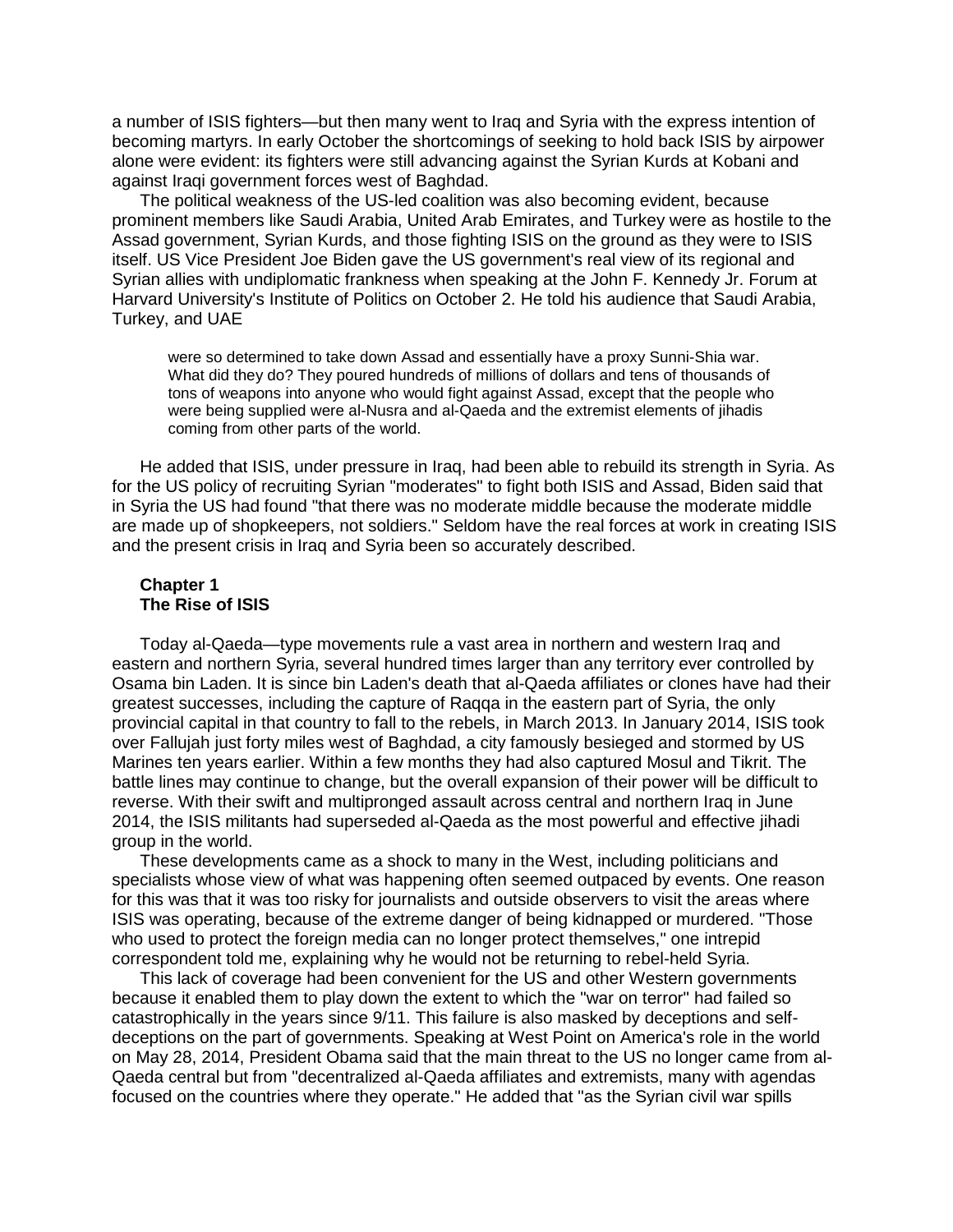a number of ISIS fighters—but then many went to Iraq and Syria with the express intention of becoming martyrs. In early October the shortcomings of seeking to hold back ISIS by airpower alone were evident: its fighters were still advancing against the Syrian Kurds at Kobani and against Iraqi government forces west of Baghdad.

The political weakness of the US-led coalition was also becoming evident, because prominent members like Saudi Arabia, United Arab Emirates, and Turkey were as hostile to the Assad government, Syrian Kurds, and those fighting ISIS on the ground as they were to ISIS itself. US Vice President Joe Biden gave the US government's real view of its regional and Syrian allies with undiplomatic frankness when speaking at the John F. Kennedy Jr. Forum at Harvard University's Institute of Politics on October 2. He told his audience that Saudi Arabia, Turkey, and UAE

were so determined to take down Assad and essentially have a proxy Sunni-Shia war. What did they do? They poured hundreds of millions of dollars and tens of thousands of tons of weapons into anyone who would fight against Assad, except that the people who were being supplied were al-Nusra and al-Qaeda and the extremist elements of jihadis coming from other parts of the world.

He added that ISIS, under pressure in Iraq, had been able to rebuild its strength in Syria. As for the US policy of recruiting Syrian "moderates" to fight both ISIS and Assad, Biden said that in Syria the US had found "that there was no moderate middle because the moderate middle are made up of shopkeepers, not soldiers." Seldom have the real forces at work in creating ISIS and the present crisis in Iraq and Syria been so accurately described.

#### **Chapter 1 The Rise of ISIS**

Today al-Qaeda—type movements rule a vast area in northern and western Iraq and eastern and northern Syria, several hundred times larger than any territory ever controlled by Osama bin Laden. It is since bin Laden's death that al-Qaeda affiliates or clones have had their greatest successes, including the capture of Raqqa in the eastern part of Syria, the only provincial capital in that country to fall to the rebels, in March 2013. In January 2014, ISIS took over Fallujah just forty miles west of Baghdad, a city famously besieged and stormed by US Marines ten years earlier. Within a few months they had also captured Mosul and Tikrit. The battle lines may continue to change, but the overall expansion of their power will be difficult to reverse. With their swift and multipronged assault across central and northern Iraq in June 2014, the ISIS militants had superseded al-Qaeda as the most powerful and effective jihadi group in the world.

These developments came as a shock to many in the West, including politicians and specialists whose view of what was happening often seemed outpaced by events. One reason for this was that it was too risky for journalists and outside observers to visit the areas where ISIS was operating, because of the extreme danger of being kidnapped or murdered. "Those who used to protect the foreign media can no longer protect themselves," one intrepid correspondent told me, explaining why he would not be returning to rebel-held Syria.

This lack of coverage had been convenient for the US and other Western governments because it enabled them to play down the extent to which the "war on terror" had failed so catastrophically in the years since 9/11. This failure is also masked by deceptions and selfdeceptions on the part of governments. Speaking at West Point on America's role in the world on May 28, 2014, President Obama said that the main threat to the US no longer came from al-Qaeda central but from "decentralized al-Qaeda affiliates and extremists, many with agendas focused on the countries where they operate." He added that "as the Syrian civil war spills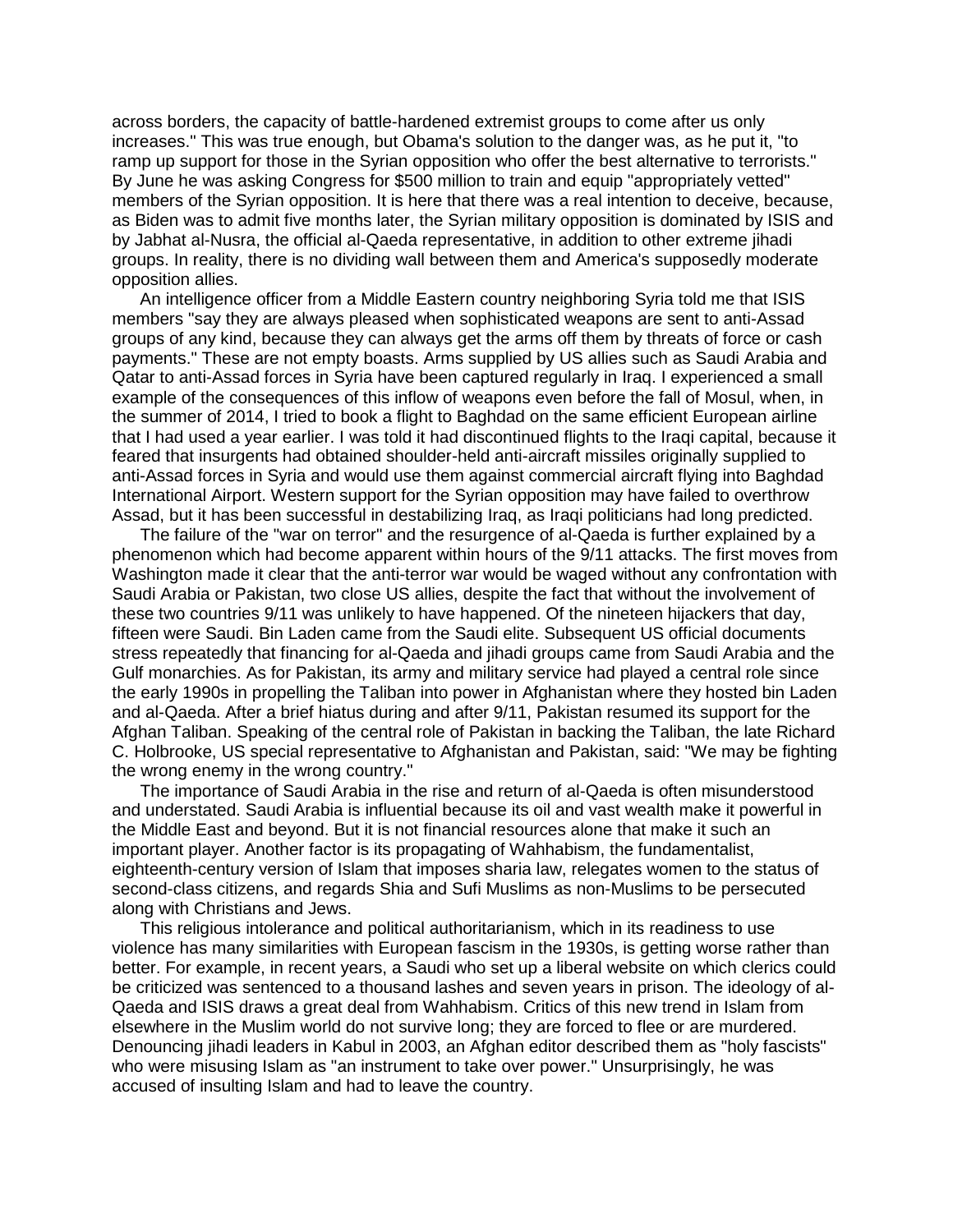across borders, the capacity of battle-hardened extremist groups to come after us only increases." This was true enough, but Obama's solution to the danger was, as he put it, "to ramp up support for those in the Syrian opposition who offer the best alternative to terrorists." By June he was asking Congress for \$500 million to train and equip "appropriately vetted" members of the Syrian opposition. It is here that there was a real intention to deceive, because, as Biden was to admit five months later, the Syrian military opposition is dominated by ISIS and by Jabhat al-Nusra, the official al-Qaeda representative, in addition to other extreme jihadi groups. In reality, there is no dividing wall between them and America's supposedly moderate opposition allies.

An intelligence officer from a Middle Eastern country neighboring Syria told me that ISIS members "say they are always pleased when sophisticated weapons are sent to anti-Assad groups of any kind, because they can always get the arms off them by threats of force or cash payments." These are not empty boasts. Arms supplied by US allies such as Saudi Arabia and Qatar to anti-Assad forces in Syria have been captured regularly in Iraq. I experienced a small example of the consequences of this inflow of weapons even before the fall of Mosul, when, in the summer of 2014, I tried to book a flight to Baghdad on the same efficient European airline that I had used a year earlier. I was told it had discontinued flights to the Iraqi capital, because it feared that insurgents had obtained shoulder-held anti-aircraft missiles originally supplied to anti-Assad forces in Syria and would use them against commercial aircraft flying into Baghdad International Airport. Western support for the Syrian opposition may have failed to overthrow Assad, but it has been successful in destabilizing Iraq, as Iraqi politicians had long predicted.

The failure of the "war on terror" and the resurgence of al-Qaeda is further explained by a phenomenon which had become apparent within hours of the 9/11 attacks. The first moves from Washington made it clear that the anti-terror war would be waged without any confrontation with Saudi Arabia or Pakistan, two close US allies, despite the fact that without the involvement of these two countries 9/11 was unlikely to have happened. Of the nineteen hijackers that day, fifteen were Saudi. Bin Laden came from the Saudi elite. Subsequent US official documents stress repeatedly that financing for al-Qaeda and jihadi groups came from Saudi Arabia and the Gulf monarchies. As for Pakistan, its army and military service had played a central role since the early 1990s in propelling the Taliban into power in Afghanistan where they hosted bin Laden and al-Qaeda. After a brief hiatus during and after 9/11, Pakistan resumed its support for the Afghan Taliban. Speaking of the central role of Pakistan in backing the Taliban, the late Richard C. Holbrooke, US special representative to Afghanistan and Pakistan, said: "We may be fighting the wrong enemy in the wrong country."

The importance of Saudi Arabia in the rise and return of al-Qaeda is often misunderstood and understated. Saudi Arabia is influential because its oil and vast wealth make it powerful in the Middle East and beyond. But it is not financial resources alone that make it such an important player. Another factor is its propagating of Wahhabism, the fundamentalist, eighteenth-century version of Islam that imposes sharia law, relegates women to the status of second-class citizens, and regards Shia and Sufi Muslims as non-Muslims to be persecuted along with Christians and Jews.

This religious intolerance and political authoritarianism, which in its readiness to use violence has many similarities with European fascism in the 1930s, is getting worse rather than better. For example, in recent years, a Saudi who set up a liberal website on which clerics could be criticized was sentenced to a thousand lashes and seven years in prison. The ideology of al-Qaeda and ISIS draws a great deal from Wahhabism. Critics of this new trend in Islam from elsewhere in the Muslim world do not survive long; they are forced to flee or are murdered. Denouncing jihadi leaders in Kabul in 2003, an Afghan editor described them as "holy fascists" who were misusing Islam as "an instrument to take over power." Unsurprisingly, he was accused of insulting Islam and had to leave the country.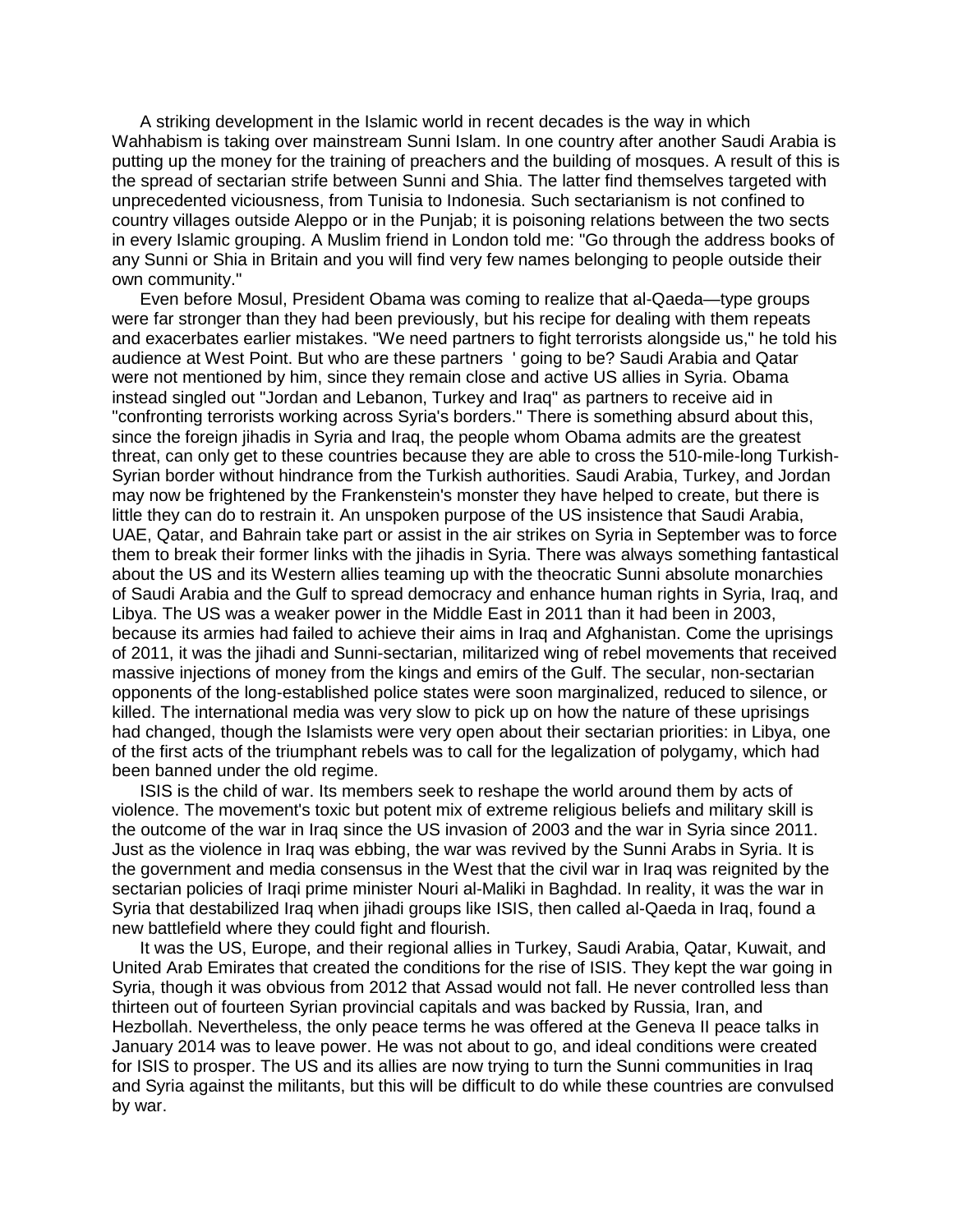A striking development in the Islamic world in recent decades is the way in which Wahhabism is taking over mainstream Sunni Islam. In one country after another Saudi Arabia is putting up the money for the training of preachers and the building of mosques. A result of this is the spread of sectarian strife between Sunni and Shia. The latter find themselves targeted with unprecedented viciousness, from Tunisia to Indonesia. Such sectarianism is not confined to country villages outside Aleppo or in the Punjab; it is poisoning relations between the two sects in every Islamic grouping. A Muslim friend in London told me: "Go through the address books of any Sunni or Shia in Britain and you will find very few names belonging to people outside their own community."

Even before Mosul, President Obama was coming to realize that al-Qaeda—type groups were far stronger than they had been previously, but his recipe for dealing with them repeats and exacerbates earlier mistakes. "We need partners to fight terrorists alongside us," he told his audience at West Point. But who are these partners ' going to be? Saudi Arabia and Qatar were not mentioned by him, since they remain close and active US allies in Syria. Obama instead singled out "Jordan and Lebanon, Turkey and Iraq" as partners to receive aid in "confronting terrorists working across Syria's borders." There is something absurd about this, since the foreign jihadis in Syria and Iraq, the people whom Obama admits are the greatest threat, can only get to these countries because they are able to cross the 510-mile-long Turkish-Syrian border without hindrance from the Turkish authorities. Saudi Arabia, Turkey, and Jordan may now be frightened by the Frankenstein's monster they have helped to create, but there is little they can do to restrain it. An unspoken purpose of the US insistence that Saudi Arabia, UAE, Qatar, and Bahrain take part or assist in the air strikes on Syria in September was to force them to break their former links with the jihadis in Syria. There was always something fantastical about the US and its Western allies teaming up with the theocratic Sunni absolute monarchies of Saudi Arabia and the Gulf to spread democracy and enhance human rights in Syria, Iraq, and Libya. The US was a weaker power in the Middle East in 2011 than it had been in 2003, because its armies had failed to achieve their aims in Iraq and Afghanistan. Come the uprisings of 2011, it was the jihadi and Sunni-sectarian, militarized wing of rebel movements that received massive injections of money from the kings and emirs of the Gulf. The secular, non-sectarian opponents of the long-established police states were soon marginalized, reduced to silence, or killed. The international media was very slow to pick up on how the nature of these uprisings had changed, though the Islamists were very open about their sectarian priorities: in Libya, one of the first acts of the triumphant rebels was to call for the legalization of polygamy, which had been banned under the old regime.

ISIS is the child of war. Its members seek to reshape the world around them by acts of violence. The movement's toxic but potent mix of extreme religious beliefs and military skill is the outcome of the war in Iraq since the US invasion of 2003 and the war in Syria since 2011. Just as the violence in Iraq was ebbing, the war was revived by the Sunni Arabs in Syria. It is the government and media consensus in the West that the civil war in Iraq was reignited by the sectarian policies of Iraqi prime minister Nouri al-Maliki in Baghdad. In reality, it was the war in Syria that destabilized Iraq when jihadi groups like ISIS, then called al-Qaeda in Iraq, found a new battlefield where they could fight and flourish.

It was the US, Europe, and their regional allies in Turkey, Saudi Arabia, Qatar, Kuwait, and United Arab Emirates that created the conditions for the rise of ISIS. They kept the war going in Syria, though it was obvious from 2012 that Assad would not fall. He never controlled less than thirteen out of fourteen Syrian provincial capitals and was backed by Russia, Iran, and Hezbollah. Nevertheless, the only peace terms he was offered at the Geneva II peace talks in January 2014 was to leave power. He was not about to go, and ideal conditions were created for ISIS to prosper. The US and its allies are now trying to turn the Sunni communities in Iraq and Syria against the militants, but this will be difficult to do while these countries are convulsed by war.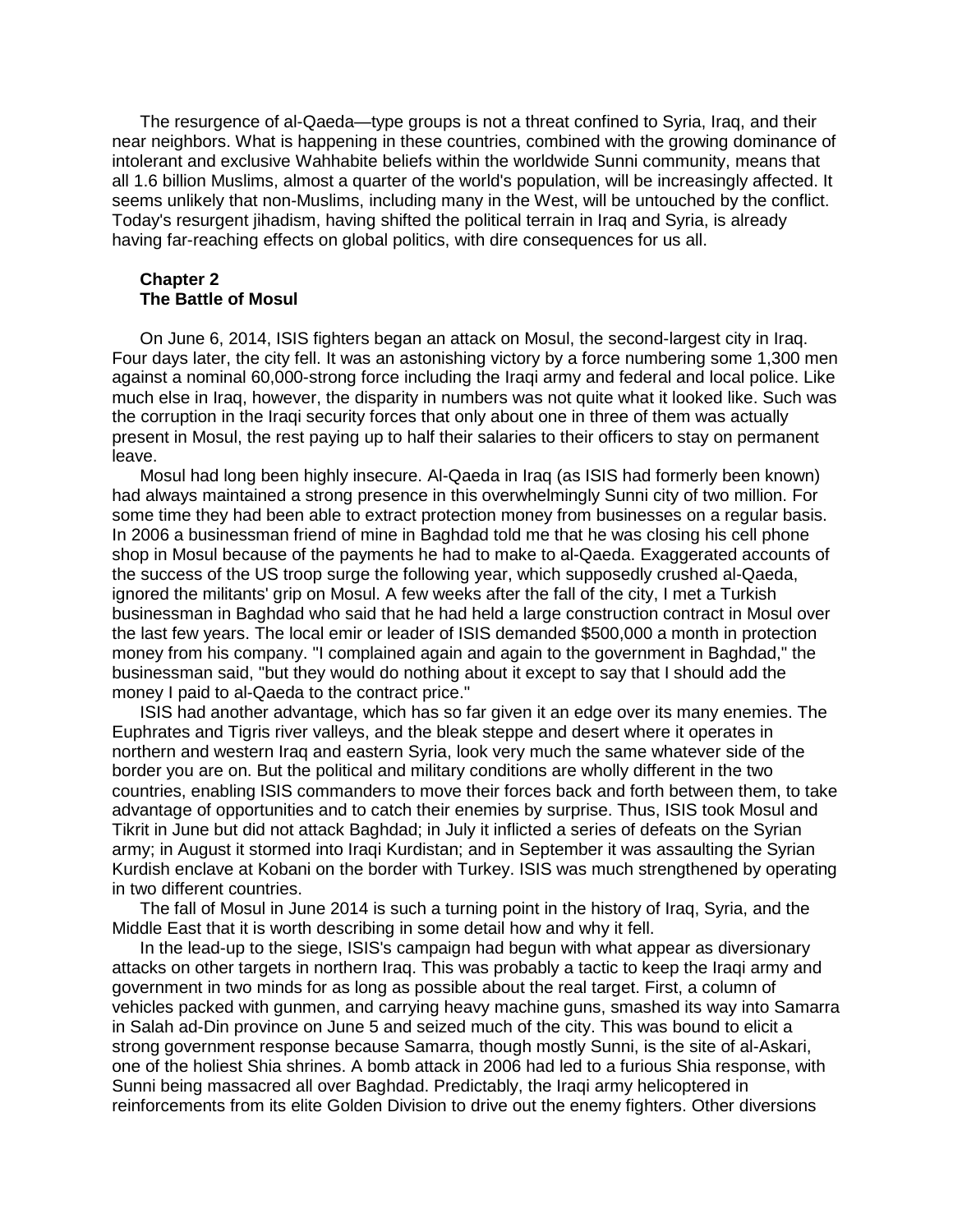The resurgence of al-Qaeda—type groups is not a threat confined to Syria, Iraq, and their near neighbors. What is happening in these countries, combined with the growing dominance of intolerant and exclusive Wahhabite beliefs within the worldwide Sunni community, means that all 1.6 billion Muslims, almost a quarter of the world's population, will be increasingly affected. It seems unlikely that non-Muslims, including many in the West, will be untouched by the conflict. Today's resurgent jihadism, having shifted the political terrain in Iraq and Syria, is already having far-reaching effects on global politics, with dire consequences for us all.

## **Chapter 2 The Battle of Mosul**

On June 6, 2014, ISIS fighters began an attack on Mosul, the second-largest city in Iraq. Four days later, the city fell. It was an astonishing victory by a force numbering some 1,300 men against a nominal 60,000-strong force including the Iraqi army and federal and local police. Like much else in Iraq, however, the disparity in numbers was not quite what it looked like. Such was the corruption in the Iraqi security forces that only about one in three of them was actually present in Mosul, the rest paying up to half their salaries to their officers to stay on permanent leave.

Mosul had long been highly insecure. Al-Qaeda in Iraq (as ISIS had formerly been known) had always maintained a strong presence in this overwhelmingly Sunni city of two million. For some time they had been able to extract protection money from businesses on a regular basis. In 2006 a businessman friend of mine in Baghdad told me that he was closing his cell phone shop in Mosul because of the payments he had to make to al-Qaeda. Exaggerated accounts of the success of the US troop surge the following year, which supposedly crushed al-Qaeda, ignored the militants' grip on Mosul. A few weeks after the fall of the city, I met a Turkish businessman in Baghdad who said that he had held a large construction contract in Mosul over the last few years. The local emir or leader of ISIS demanded \$500,000 a month in protection money from his company. "I complained again and again to the government in Baghdad," the businessman said, "but they would do nothing about it except to say that I should add the money I paid to al-Qaeda to the contract price."

ISIS had another advantage, which has so far given it an edge over its many enemies. The Euphrates and Tigris river valleys, and the bleak steppe and desert where it operates in northern and western Iraq and eastern Syria, look very much the same whatever side of the border you are on. But the political and military conditions are wholly different in the two countries, enabling ISIS commanders to move their forces back and forth between them, to take advantage of opportunities and to catch their enemies by surprise. Thus, ISIS took Mosul and Tikrit in June but did not attack Baghdad; in July it inflicted a series of defeats on the Syrian army; in August it stormed into Iraqi Kurdistan; and in September it was assaulting the Syrian Kurdish enclave at Kobani on the border with Turkey. ISIS was much strengthened by operating in two different countries.

The fall of Mosul in June 2014 is such a turning point in the history of Iraq, Syria, and the Middle East that it is worth describing in some detail how and why it fell.

In the lead-up to the siege, ISIS's campaign had begun with what appear as diversionary attacks on other targets in northern Iraq. This was probably a tactic to keep the Iraqi army and government in two minds for as long as possible about the real target. First, a column of vehicles packed with gunmen, and carrying heavy machine guns, smashed its way into Samarra in Salah ad-Din province on June 5 and seized much of the city. This was bound to elicit a strong government response because Samarra, though mostly Sunni, is the site of al-Askari, one of the holiest Shia shrines. A bomb attack in 2006 had led to a furious Shia response, with Sunni being massacred all over Baghdad. Predictably, the Iraqi army helicoptered in reinforcements from its elite Golden Division to drive out the enemy fighters. Other diversions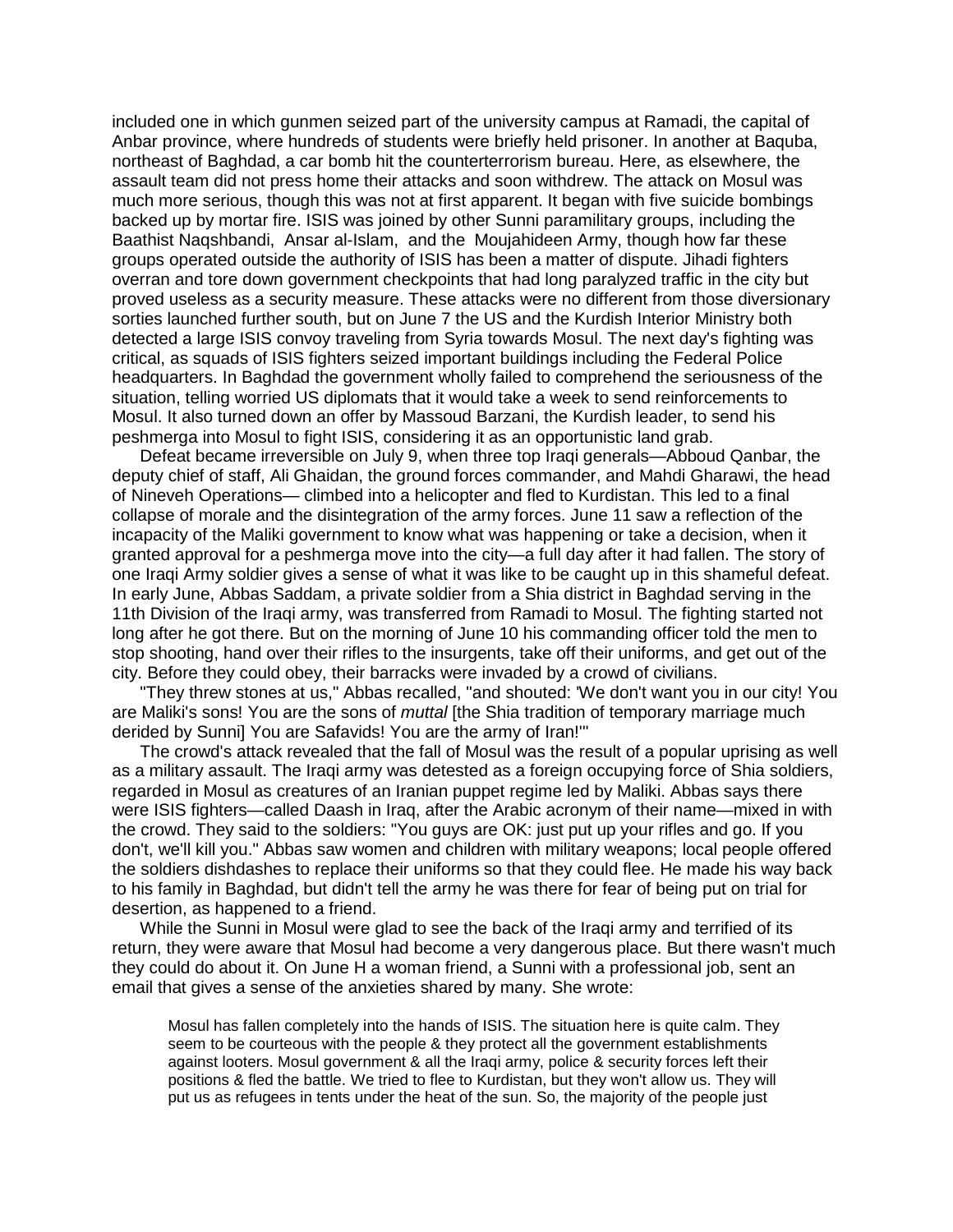included one in which gunmen seized part of the university campus at Ramadi, the capital of Anbar province, where hundreds of students were briefly held prisoner. In another at Baquba, northeast of Baghdad, a car bomb hit the counterterrorism bureau. Here, as elsewhere, the assault team did not press home their attacks and soon withdrew. The attack on Mosul was much more serious, though this was not at first apparent. It began with five suicide bombings backed up by mortar fire. ISIS was joined by other Sunni paramilitary groups, including the Baathist Naqshbandi, Ansar al-Islam, and the Moujahideen Army, though how far these groups operated outside the authority of ISIS has been a matter of dispute. Jihadi fighters overran and tore down government checkpoints that had long paralyzed traffic in the city but proved useless as a security measure. These attacks were no different from those diversionary sorties launched further south, but on June 7 the US and the Kurdish Interior Ministry both detected a large ISIS convoy traveling from Syria towards Mosul. The next day's fighting was critical, as squads of ISIS fighters seized important buildings including the Federal Police headquarters. In Baghdad the government wholly failed to comprehend the seriousness of the situation, telling worried US diplomats that it would take a week to send reinforcements to Mosul. It also turned down an offer by Massoud Barzani, the Kurdish leader, to send his peshmerga into Mosul to fight ISIS, considering it as an opportunistic land grab.

Defeat became irreversible on July 9, when three top Iraqi generals—Abboud Qanbar, the deputy chief of staff, Ali Ghaidan, the ground forces commander, and Mahdi Gharawi, the head of Nineveh Operations— climbed into a helicopter and fled to Kurdistan. This led to a final collapse of morale and the disintegration of the army forces. June 11 saw a reflection of the incapacity of the Maliki government to know what was happening or take a decision, when it granted approval for a peshmerga move into the city—a full day after it had fallen. The story of one Iraqi Army soldier gives a sense of what it was like to be caught up in this shameful defeat. In early June, Abbas Saddam, a private soldier from a Shia district in Baghdad serving in the 11th Division of the Iraqi army, was transferred from Ramadi to Mosul. The fighting started not long after he got there. But on the morning of June 10 his commanding officer told the men to stop shooting, hand over their rifles to the insurgents, take off their uniforms, and get out of the city. Before they could obey, their barracks were invaded by a crowd of civilians.

"They threw stones at us," Abbas recalled, "and shouted: 'We don't want you in our city! You are Maliki's sons! You are the sons of *muttal* [the Shia tradition of temporary marriage much derided by Sunni] You are Safavids! You are the army of Iran!'"

The crowd's attack revealed that the fall of Mosul was the result of a popular uprising as well as a military assault. The Iraqi army was detested as a foreign occupying force of Shia soldiers, regarded in Mosul as creatures of an Iranian puppet regime led by Maliki. Abbas says there were ISIS fighters—called Daash in Iraq, after the Arabic acronym of their name—mixed in with the crowd. They said to the soldiers: "You guys are OK: just put up your rifles and go. If you don't, we'll kill you." Abbas saw women and children with military weapons; local people offered the soldiers dishdashes to replace their uniforms so that they could flee. He made his way back to his family in Baghdad, but didn't tell the army he was there for fear of being put on trial for desertion, as happened to a friend.

While the Sunni in Mosul were glad to see the back of the Iraqi army and terrified of its return, they were aware that Mosul had become a very dangerous place. But there wasn't much they could do about it. On June H a woman friend, a Sunni with a professional job, sent an email that gives a sense of the anxieties shared by many. She wrote:

Mosul has fallen completely into the hands of ISIS. The situation here is quite calm. They seem to be courteous with the people & they protect all the government establishments against looters. Mosul government & all the Iraqi army, police & security forces left their positions & fled the battle. We tried to flee to Kurdistan, but they won't allow us. They will put us as refugees in tents under the heat of the sun. So, the majority of the people just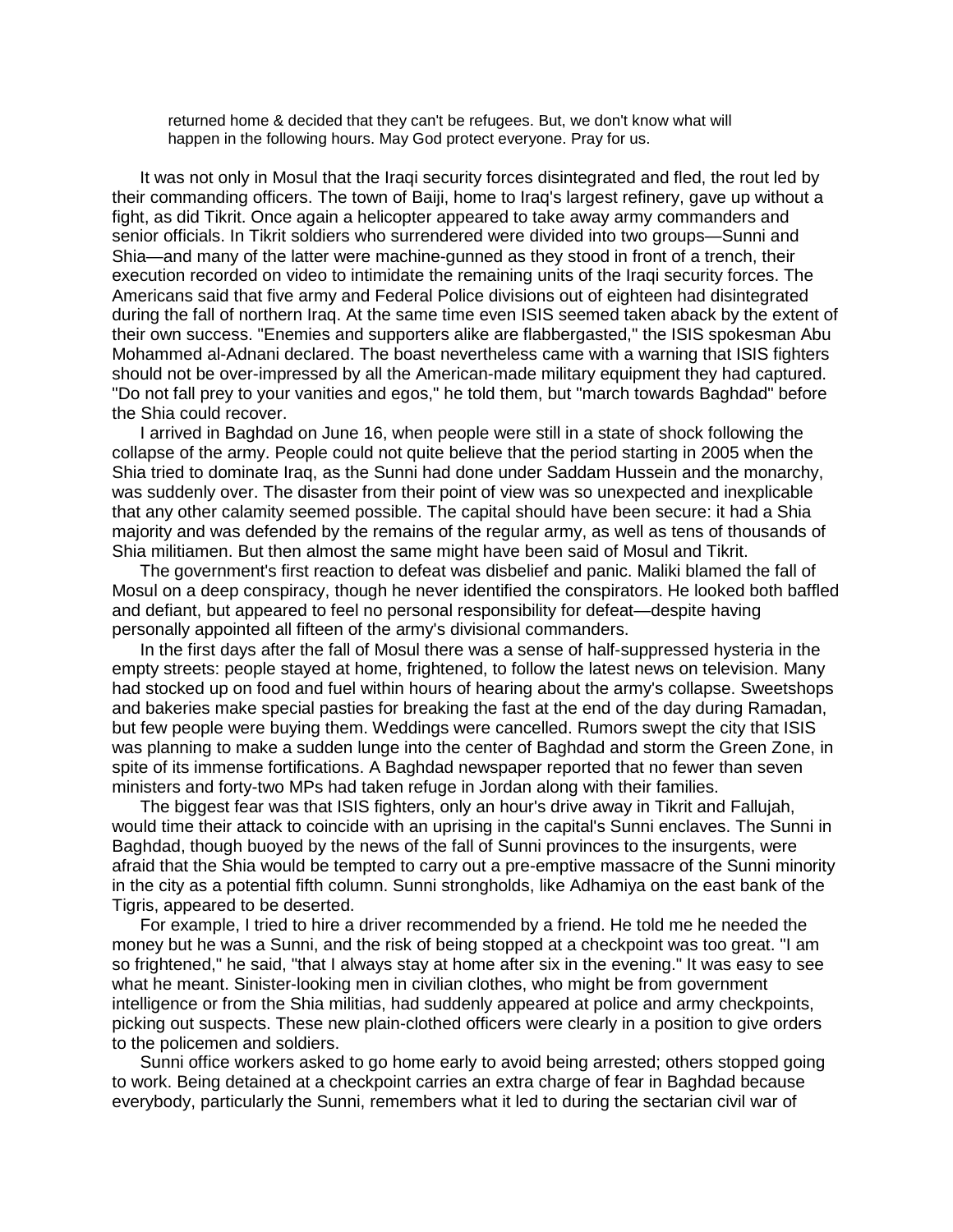returned home & decided that they can't be refugees. But, we don't know what will happen in the following hours. May God protect everyone. Pray for us.

It was not only in Mosul that the Iraqi security forces disintegrated and fled, the rout led by their commanding officers. The town of Baiji, home to Iraq's largest refinery, gave up without a fight, as did Tikrit. Once again a helicopter appeared to take away army commanders and senior officials. In Tikrit soldiers who surrendered were divided into two groups—Sunni and Shia—and many of the latter were machine-gunned as they stood in front of a trench, their execution recorded on video to intimidate the remaining units of the Iraqi security forces. The Americans said that five army and Federal Police divisions out of eighteen had disintegrated during the fall of northern Iraq. At the same time even ISIS seemed taken aback by the extent of their own success. "Enemies and supporters alike are flabbergasted," the ISIS spokesman Abu Mohammed al-Adnani declared. The boast nevertheless came with a warning that ISIS fighters should not be over-impressed by all the American-made military equipment they had captured. "Do not fall prey to your vanities and egos," he told them, but "march towards Baghdad" before the Shia could recover.

I arrived in Baghdad on June 16, when people were still in a state of shock following the collapse of the army. People could not quite believe that the period starting in 2005 when the Shia tried to dominate Iraq, as the Sunni had done under Saddam Hussein and the monarchy, was suddenly over. The disaster from their point of view was so unexpected and inexplicable that any other calamity seemed possible. The capital should have been secure: it had a Shia majority and was defended by the remains of the regular army, as well as tens of thousands of Shia militiamen. But then almost the same might have been said of Mosul and Tikrit.

The government's first reaction to defeat was disbelief and panic. Maliki blamed the fall of Mosul on a deep conspiracy, though he never identified the conspirators. He looked both baffled and defiant, but appeared to feel no personal responsibility for defeat—despite having personally appointed all fifteen of the army's divisional commanders.

In the first days after the fall of Mosul there was a sense of half-suppressed hysteria in the empty streets: people stayed at home, frightened, to follow the latest news on television. Many had stocked up on food and fuel within hours of hearing about the army's collapse. Sweetshops and bakeries make special pasties for breaking the fast at the end of the day during Ramadan, but few people were buying them. Weddings were cancelled. Rumors swept the city that ISIS was planning to make a sudden lunge into the center of Baghdad and storm the Green Zone, in spite of its immense fortifications. A Baghdad newspaper reported that no fewer than seven ministers and forty-two MPs had taken refuge in Jordan along with their families.

The biggest fear was that ISIS fighters, only an hour's drive away in Tikrit and Fallujah, would time their attack to coincide with an uprising in the capital's Sunni enclaves. The Sunni in Baghdad, though buoyed by the news of the fall of Sunni provinces to the insurgents, were afraid that the Shia would be tempted to carry out a pre-emptive massacre of the Sunni minority in the city as a potential fifth column. Sunni strongholds, like Adhamiya on the east bank of the Tigris, appeared to be deserted.

For example, I tried to hire a driver recommended by a friend. He told me he needed the money but he was a Sunni, and the risk of being stopped at a checkpoint was too great. "I am so frightened," he said, "that I always stay at home after six in the evening." It was easy to see what he meant. Sinister-looking men in civilian clothes, who might be from government intelligence or from the Shia militias, had suddenly appeared at police and army checkpoints, picking out suspects. These new plain-clothed officers were clearly in a position to give orders to the policemen and soldiers.

Sunni office workers asked to go home early to avoid being arrested; others stopped going to work. Being detained at a checkpoint carries an extra charge of fear in Baghdad because everybody, particularly the Sunni, remembers what it led to during the sectarian civil war of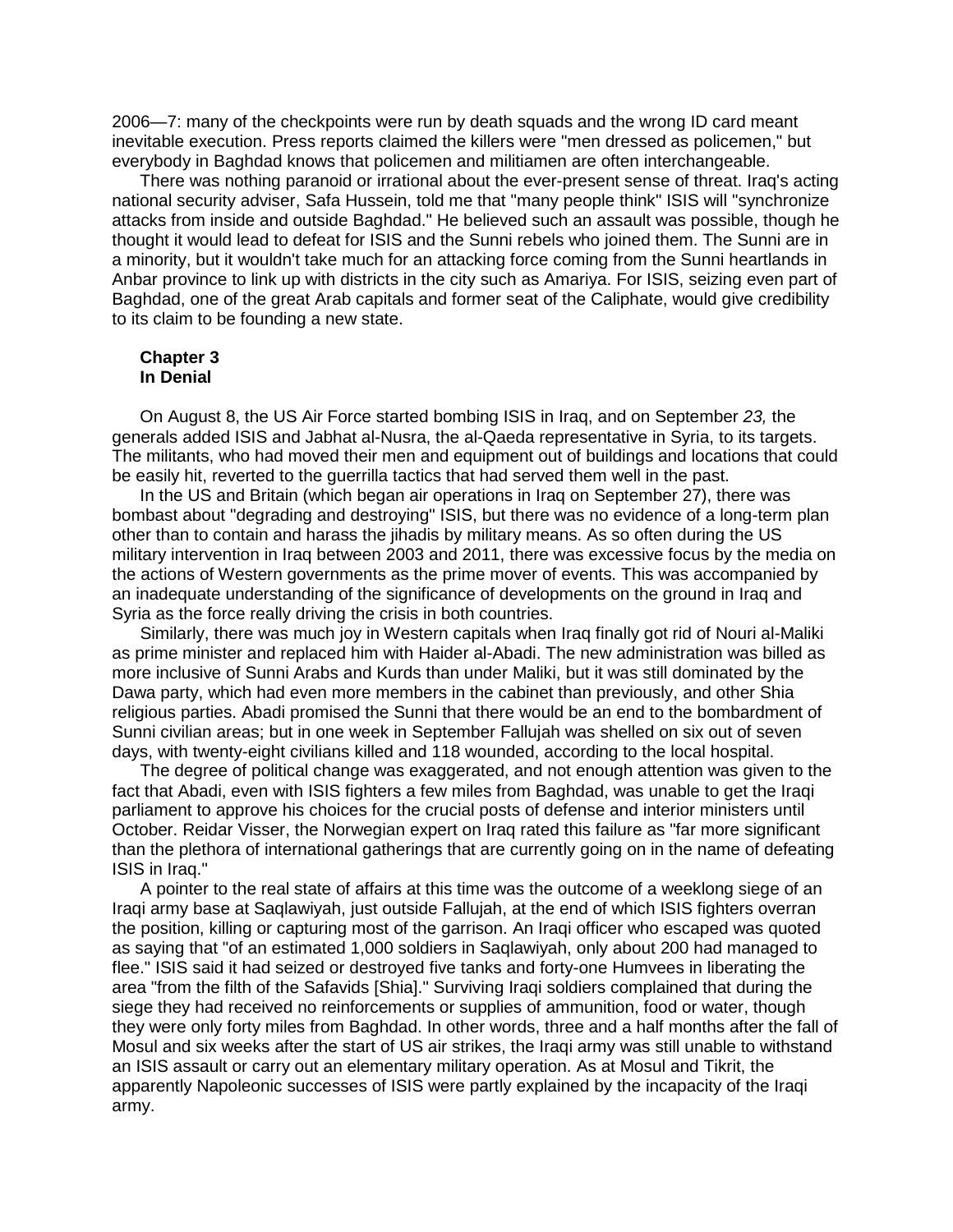2006—7: many of the checkpoints were run by death squads and the wrong ID card meant inevitable execution. Press reports claimed the killers were "men dressed as policemen," but everybody in Baghdad knows that policemen and militiamen are often interchangeable.

There was nothing paranoid or irrational about the ever-present sense of threat. Iraq's acting national security adviser, Safa Hussein, told me that "many people think" ISIS will "synchronize attacks from inside and outside Baghdad." He believed such an assault was possible, though he thought it would lead to defeat for ISIS and the Sunni rebels who joined them. The Sunni are in a minority, but it wouldn't take much for an attacking force coming from the Sunni heartlands in Anbar province to link up with districts in the city such as Amariya. For ISIS, seizing even part of Baghdad, one of the great Arab capitals and former seat of the Caliphate, would give credibility to its claim to be founding a new state.

## **Chapter 3 In Denial**

On August 8, the US Air Force started bombing ISIS in Iraq, and on September *23,* the generals added ISIS and Jabhat al-Nusra, the al-Qaeda representative in Syria, to its targets. The militants, who had moved their men and equipment out of buildings and locations that could be easily hit, reverted to the guerrilla tactics that had served them well in the past.

In the US and Britain (which began air operations in Iraq on September 27), there was bombast about "degrading and destroying" ISIS, but there was no evidence of a long-term plan other than to contain and harass the jihadis by military means. As so often during the US military intervention in Iraq between 2003 and 2011, there was excessive focus by the media on the actions of Western governments as the prime mover of events. This was accompanied by an inadequate understanding of the significance of developments on the ground in Iraq and Syria as the force really driving the crisis in both countries.

Similarly, there was much joy in Western capitals when Iraq finally got rid of Nouri al-Maliki as prime minister and replaced him with Haider al-Abadi. The new administration was billed as more inclusive of Sunni Arabs and Kurds than under Maliki, but it was still dominated by the Dawa party, which had even more members in the cabinet than previously, and other Shia religious parties. Abadi promised the Sunni that there would be an end to the bombardment of Sunni civilian areas; but in one week in September Fallujah was shelled on six out of seven days, with twenty-eight civilians killed and 118 wounded, according to the local hospital.

The degree of political change was exaggerated, and not enough attention was given to the fact that Abadi, even with ISIS fighters a few miles from Baghdad, was unable to get the Iraqi parliament to approve his choices for the crucial posts of defense and interior ministers until October. Reidar Visser, the Norwegian expert on Iraq rated this failure as "far more significant than the plethora of international gatherings that are currently going on in the name of defeating ISIS in Iraq."

A pointer to the real state of affairs at this time was the outcome of a weeklong siege of an Iraqi army base at Saqlawiyah, just outside Fallujah, at the end of which ISIS fighters overran the position, killing or capturing most of the garrison. An Iraqi officer who escaped was quoted as saying that "of an estimated 1,000 soldiers in Saqlawiyah, only about 200 had managed to flee." ISIS said it had seized or destroyed five tanks and forty-one Humvees in liberating the area "from the filth of the Safavids [Shia]." Surviving Iraqi soldiers complained that during the siege they had received no reinforcements or supplies of ammunition, food or water, though they were only forty miles from Baghdad. In other words, three and a half months after the fall of Mosul and six weeks after the start of US air strikes, the Iraqi army was still unable to withstand an ISIS assault or carry out an elementary military operation. As at Mosul and Tikrit, the apparently Napoleonic successes of ISIS were partly explained by the incapacity of the Iraqi army.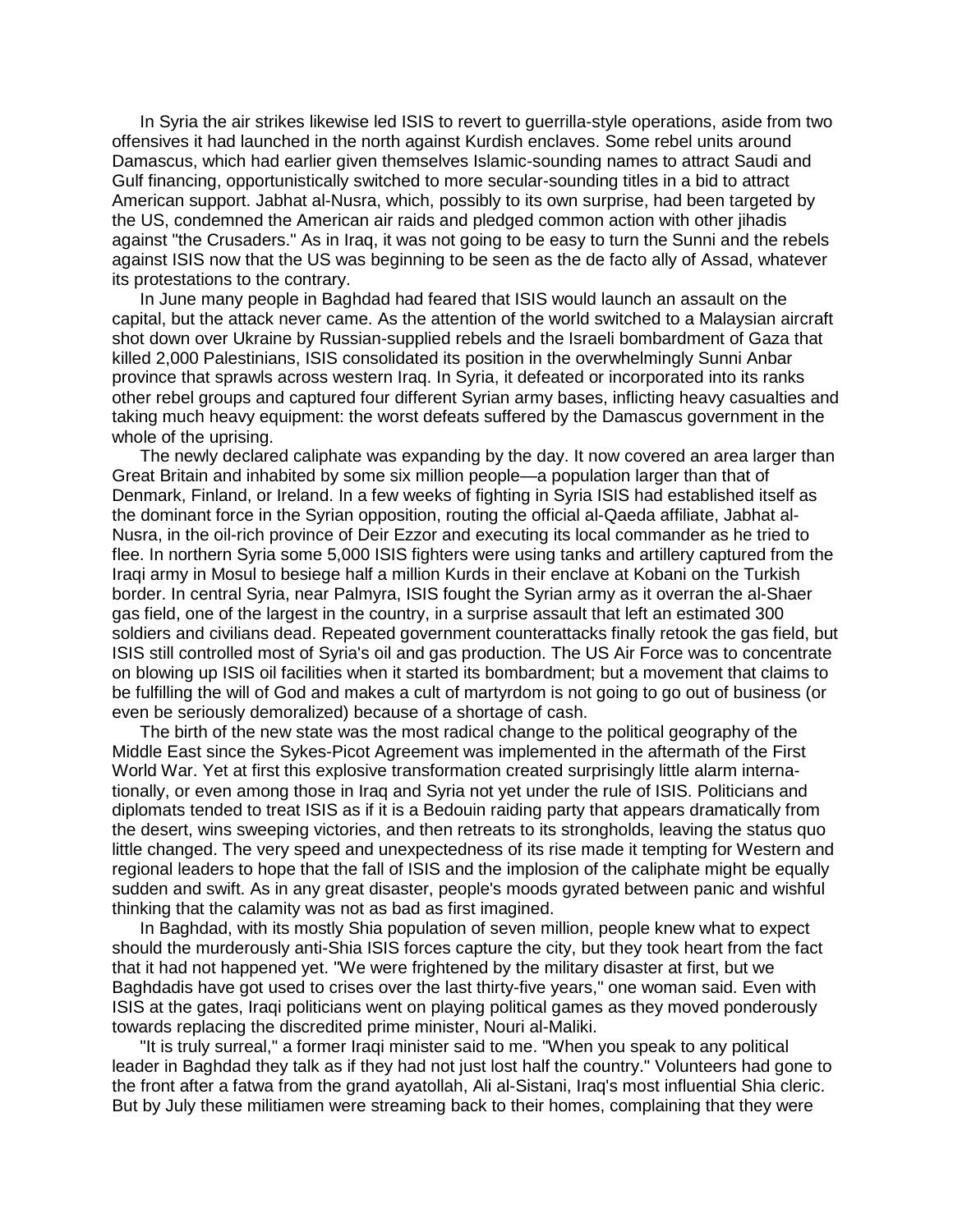In Syria the air strikes likewise led ISIS to revert to guerrilla-style operations, aside from two offensives it had launched in the north against Kurdish enclaves. Some rebel units around Damascus, which had earlier given themselves Islamic-sounding names to attract Saudi and Gulf financing, opportunistically switched to more secular-sounding titles in a bid to attract American support. Jabhat al-Nusra, which, possibly to its own surprise, had been targeted by the US, condemned the American air raids and pledged common action with other jihadis against "the Crusaders." As in Iraq, it was not going to be easy to turn the Sunni and the rebels against ISIS now that the US was beginning to be seen as the de facto ally of Assad, whatever its protestations to the contrary.

In June many people in Baghdad had feared that ISIS would launch an assault on the capital, but the attack never came. As the attention of the world switched to a Malaysian aircraft shot down over Ukraine by Russian-supplied rebels and the Israeli bombardment of Gaza that killed 2,000 Palestinians, ISIS consolidated its position in the overwhelmingly Sunni Anbar province that sprawls across western Iraq. In Syria, it defeated or incorporated into its ranks other rebel groups and captured four different Syrian army bases, inflicting heavy casualties and taking much heavy equipment: the worst defeats suffered by the Damascus government in the whole of the uprising.

The newly declared caliphate was expanding by the day. It now covered an area larger than Great Britain and inhabited by some six million people—a population larger than that of Denmark, Finland, or Ireland. In a few weeks of fighting in Syria ISIS had established itself as the dominant force in the Syrian opposition, routing the official al-Qaeda affiliate, Jabhat al-Nusra, in the oil-rich province of Deir Ezzor and executing its local commander as he tried to flee. In northern Syria some 5,000 ISIS fighters were using tanks and artillery captured from the Iraqi army in Mosul to besiege half a million Kurds in their enclave at Kobani on the Turkish border. In central Syria, near Palmyra, ISIS fought the Syrian army as it overran the al-Shaer gas field, one of the largest in the country, in a surprise assault that left an estimated 300 soldiers and civilians dead. Repeated government counterattacks finally retook the gas field, but ISIS still controlled most of Syria's oil and gas production. The US Air Force was to concentrate on blowing up ISIS oil facilities when it started its bombardment; but a movement that claims to be fulfilling the will of God and makes a cult of martyrdom is not going to go out of business (or even be seriously demoralized) because of a shortage of cash.

The birth of the new state was the most radical change to the political geography of the Middle East since the Sykes-Picot Agreement was implemented in the aftermath of the First World War. Yet at first this explosive transformation created surprisingly little alarm internationally, or even among those in Iraq and Syria not yet under the rule of ISIS. Politicians and diplomats tended to treat ISIS as if it is a Bedouin raiding party that appears dramatically from the desert, wins sweeping victories, and then retreats to its strongholds, leaving the status quo little changed. The very speed and unexpectedness of its rise made it tempting for Western and regional leaders to hope that the fall of ISIS and the implosion of the caliphate might be equally sudden and swift. As in any great disaster, people's moods gyrated between panic and wishful thinking that the calamity was not as bad as first imagined.

In Baghdad, with its mostly Shia population of seven million, people knew what to expect should the murderously anti-Shia ISIS forces capture the city, but they took heart from the fact that it had not happened yet. "We were frightened by the military disaster at first, but we Baghdadis have got used to crises over the last thirty-five years," one woman said. Even with ISIS at the gates, Iraqi politicians went on playing political games as they moved ponderously towards replacing the discredited prime minister, Nouri al-Maliki.

"It is truly surreal," a former Iraqi minister said to me. "When you speak to any political leader in Baghdad they talk as if they had not just lost half the country." Volunteers had gone to the front after a fatwa from the grand ayatollah, Ali al-Sistani, Iraq's most influential Shia cleric. But by July these militiamen were streaming back to their homes, complaining that they were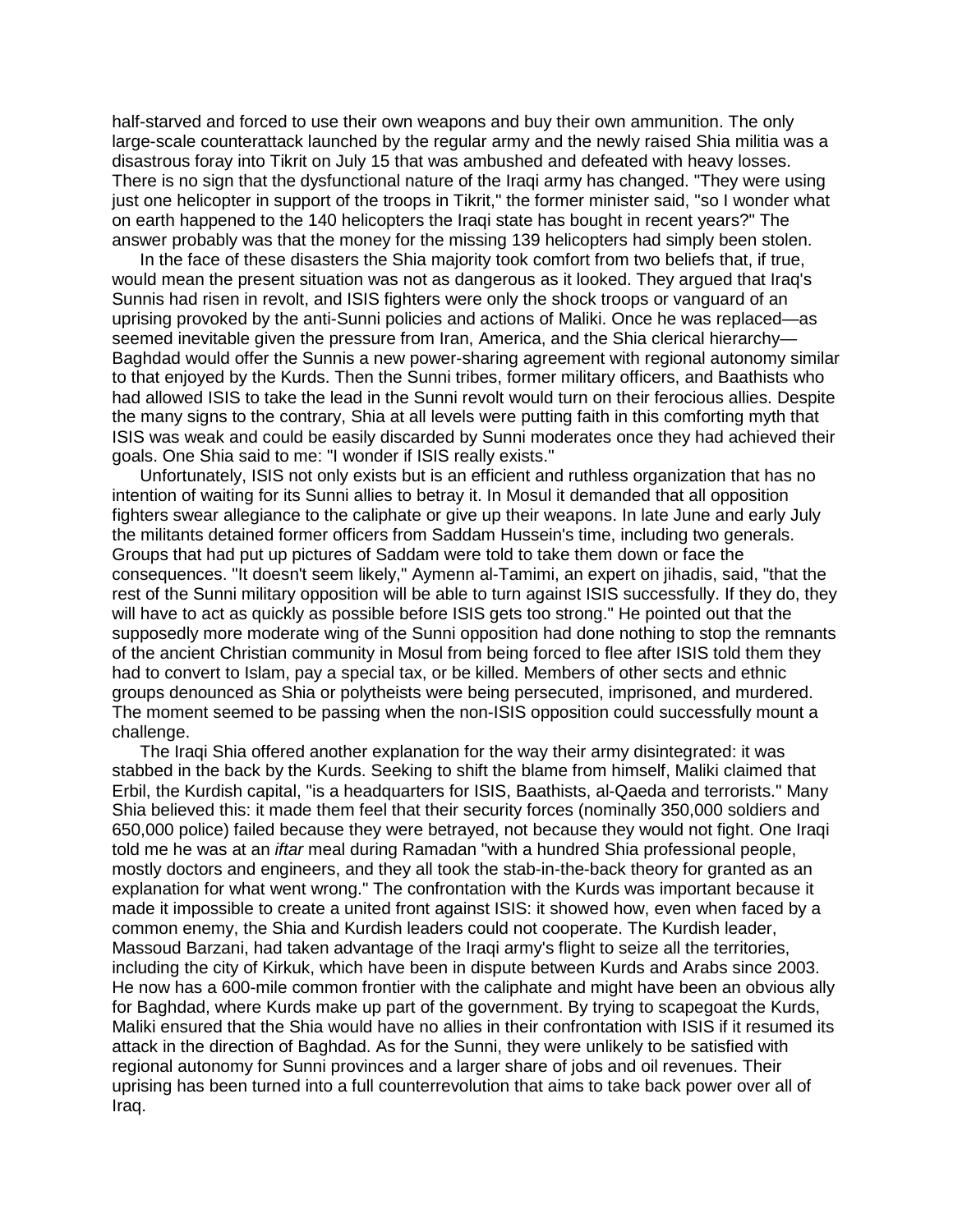half-starved and forced to use their own weapons and buy their own ammunition. The only large-scale counterattack launched by the regular army and the newly raised Shia militia was a disastrous foray into Tikrit on July 15 that was ambushed and defeated with heavy losses. There is no sign that the dysfunctional nature of the Iraqi army has changed. "They were using just one helicopter in support of the troops in Tikrit," the former minister said, "so I wonder what on earth happened to the 140 helicopters the Iraqi state has bought in recent years?" The answer probably was that the money for the missing 139 helicopters had simply been stolen.

In the face of these disasters the Shia majority took comfort from two beliefs that, if true, would mean the present situation was not as dangerous as it looked. They argued that Iraq's Sunnis had risen in revolt, and ISIS fighters were only the shock troops or vanguard of an uprising provoked by the anti-Sunni policies and actions of Maliki. Once he was replaced—as seemed inevitable given the pressure from Iran, America, and the Shia clerical hierarchy-Baghdad would offer the Sunnis a new power-sharing agreement with regional autonomy similar to that enjoyed by the Kurds. Then the Sunni tribes, former military officers, and Baathists who had allowed ISIS to take the lead in the Sunni revolt would turn on their ferocious allies. Despite the many signs to the contrary, Shia at all levels were putting faith in this comforting myth that ISIS was weak and could be easily discarded by Sunni moderates once they had achieved their goals. One Shia said to me: "I wonder if ISIS really exists."

Unfortunately, ISIS not only exists but is an efficient and ruthless organization that has no intention of waiting for its Sunni allies to betray it. In Mosul it demanded that all opposition fighters swear allegiance to the caliphate or give up their weapons. In late June and early July the militants detained former officers from Saddam Hussein's time, including two generals. Groups that had put up pictures of Saddam were told to take them down or face the consequences. "It doesn't seem likely," Aymenn al-Tamimi, an expert on jihadis, said, "that the rest of the Sunni military opposition will be able to turn against ISIS successfully. If they do, they will have to act as quickly as possible before ISIS gets too strong." He pointed out that the supposedly more moderate wing of the Sunni opposition had done nothing to stop the remnants of the ancient Christian community in Mosul from being forced to flee after ISIS told them they had to convert to Islam, pay a special tax, or be killed. Members of other sects and ethnic groups denounced as Shia or polytheists were being persecuted, imprisoned, and murdered. The moment seemed to be passing when the non-ISIS opposition could successfully mount a challenge.

The Iraqi Shia offered another explanation for the way their army disintegrated: it was stabbed in the back by the Kurds. Seeking to shift the blame from himself, Maliki claimed that Erbil, the Kurdish capital, "is a headquarters for ISIS, Baathists, al-Qaeda and terrorists." Many Shia believed this: it made them feel that their security forces (nominally 350,000 soldiers and 650,000 police) failed because they were betrayed, not because they would not fight. One Iraqi told me he was at an *iftar* meal during Ramadan "with a hundred Shia professional people, mostly doctors and engineers, and they all took the stab-in-the-back theory for granted as an explanation for what went wrong." The confrontation with the Kurds was important because it made it impossible to create a united front against ISIS: it showed how, even when faced by a common enemy, the Shia and Kurdish leaders could not cooperate. The Kurdish leader, Massoud Barzani, had taken advantage of the Iraqi army's flight to seize all the territories, including the city of Kirkuk, which have been in dispute between Kurds and Arabs since 2003. He now has a 600-mile common frontier with the caliphate and might have been an obvious ally for Baghdad, where Kurds make up part of the government. By trying to scapegoat the Kurds, Maliki ensured that the Shia would have no allies in their confrontation with ISIS if it resumed its attack in the direction of Baghdad. As for the Sunni, they were unlikely to be satisfied with regional autonomy for Sunni provinces and a larger share of jobs and oil revenues. Their uprising has been turned into a full counterrevolution that aims to take back power over all of Iraq.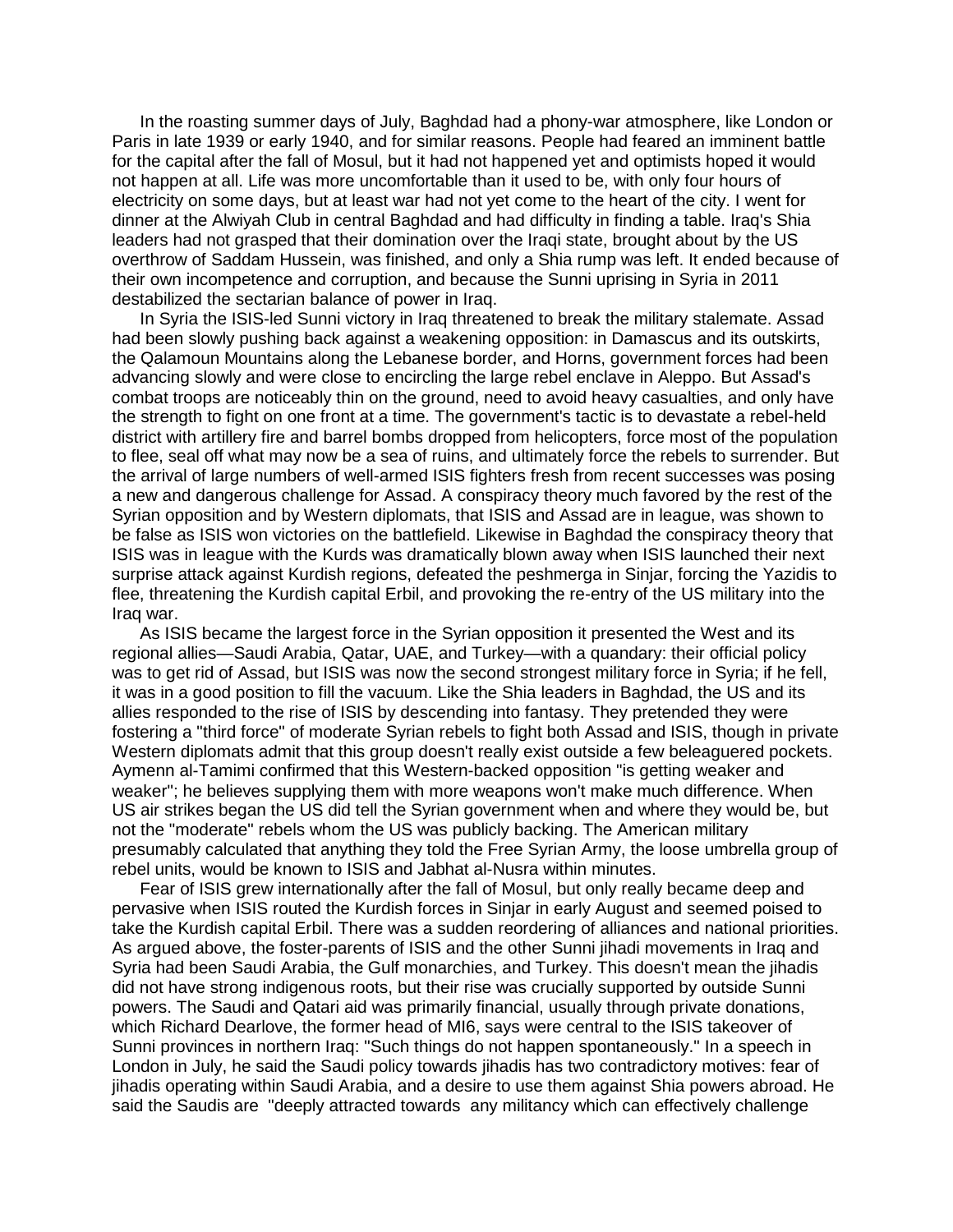In the roasting summer days of July, Baghdad had a phony-war atmosphere, like London or Paris in late 1939 or early 1940, and for similar reasons. People had feared an imminent battle for the capital after the fall of Mosul, but it had not happened yet and optimists hoped it would not happen at all. Life was more uncomfortable than it used to be, with only four hours of electricity on some days, but at least war had not yet come to the heart of the city. I went for dinner at the Alwiyah Club in central Baghdad and had difficulty in finding a table. Iraq's Shia leaders had not grasped that their domination over the Iraqi state, brought about by the US overthrow of Saddam Hussein, was finished, and only a Shia rump was left. It ended because of their own incompetence and corruption, and because the Sunni uprising in Syria in 2011 destabilized the sectarian balance of power in Iraq.

In Syria the ISIS-led Sunni victory in Iraq threatened to break the military stalemate. Assad had been slowly pushing back against a weakening opposition: in Damascus and its outskirts, the Qalamoun Mountains along the Lebanese border, and Horns, government forces had been advancing slowly and were close to encircling the large rebel enclave in Aleppo. But Assad's combat troops are noticeably thin on the ground, need to avoid heavy casualties, and only have the strength to fight on one front at a time. The government's tactic is to devastate a rebel-held district with artillery fire and barrel bombs dropped from helicopters, force most of the population to flee, seal off what may now be a sea of ruins, and ultimately force the rebels to surrender. But the arrival of large numbers of well-armed ISIS fighters fresh from recent successes was posing a new and dangerous challenge for Assad. A conspiracy theory much favored by the rest of the Syrian opposition and by Western diplomats, that ISIS and Assad are in league, was shown to be false as ISIS won victories on the battlefield. Likewise in Baghdad the conspiracy theory that ISIS was in league with the Kurds was dramatically blown away when ISIS launched their next surprise attack against Kurdish regions, defeated the peshmerga in Sinjar, forcing the Yazidis to flee, threatening the Kurdish capital Erbil, and provoking the re-entry of the US military into the Iraq war.

As ISIS became the largest force in the Syrian opposition it presented the West and its regional allies—Saudi Arabia, Qatar, UAE, and Turkey—with a quandary: their official policy was to get rid of Assad, but ISIS was now the second strongest military force in Syria; if he fell, it was in a good position to fill the vacuum. Like the Shia leaders in Baghdad, the US and its allies responded to the rise of ISIS by descending into fantasy. They pretended they were fostering a "third force" of moderate Syrian rebels to fight both Assad and ISIS, though in private Western diplomats admit that this group doesn't really exist outside a few beleaguered pockets. Aymenn al-Tamimi confirmed that this Western-backed opposition "is getting weaker and weaker"; he believes supplying them with more weapons won't make much difference. When US air strikes began the US did tell the Syrian government when and where they would be, but not the "moderate" rebels whom the US was publicly backing. The American military presumably calculated that anything they told the Free Syrian Army, the loose umbrella group of rebel units, would be known to ISIS and Jabhat al-Nusra within minutes.

Fear of ISIS grew internationally after the fall of Mosul, but only really became deep and pervasive when ISIS routed the Kurdish forces in Sinjar in early August and seemed poised to take the Kurdish capital Erbil. There was a sudden reordering of alliances and national priorities. As argued above, the foster-parents of ISIS and the other Sunni jihadi movements in Iraq and Syria had been Saudi Arabia, the Gulf monarchies, and Turkey. This doesn't mean the jihadis did not have strong indigenous roots, but their rise was crucially supported by outside Sunni powers. The Saudi and Qatari aid was primarily financial, usually through private donations, which Richard Dearlove, the former head of MI6, says were central to the ISIS takeover of Sunni provinces in northern Iraq: "Such things do not happen spontaneously." In a speech in London in July, he said the Saudi policy towards jihadis has two contradictory motives: fear of jihadis operating within Saudi Arabia, and a desire to use them against Shia powers abroad. He said the Saudis are "deeply attracted towards any militancy which can effectively challenge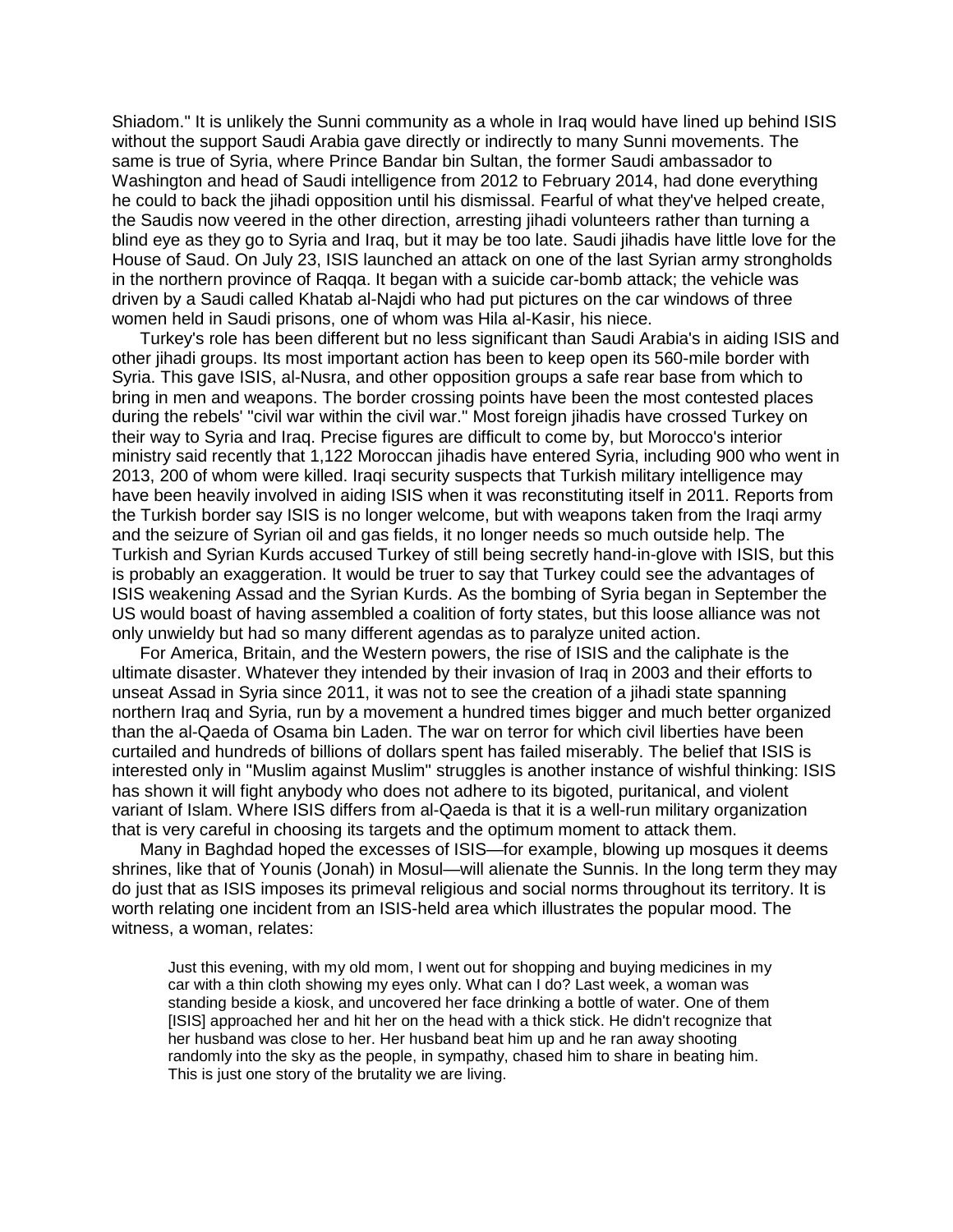Shiadom." It is unlikely the Sunni community as a whole in Iraq would have lined up behind ISIS without the support Saudi Arabia gave directly or indirectly to many Sunni movements. The same is true of Syria, where Prince Bandar bin Sultan, the former Saudi ambassador to Washington and head of Saudi intelligence from 2012 to February 2014, had done everything he could to back the jihadi opposition until his dismissal. Fearful of what they've helped create, the Saudis now veered in the other direction, arresting jihadi volunteers rather than turning a blind eye as they go to Syria and Iraq, but it may be too late. Saudi jihadis have little love for the House of Saud. On July 23, ISIS launched an attack on one of the last Syrian army strongholds in the northern province of Raqqa. It began with a suicide car-bomb attack; the vehicle was driven by a Saudi called Khatab al-Najdi who had put pictures on the car windows of three women held in Saudi prisons, one of whom was Hila al-Kasir, his niece.

Turkey's role has been different but no less significant than Saudi Arabia's in aiding ISIS and other jihadi groups. Its most important action has been to keep open its 560-mile border with Syria. This gave ISIS, al-Nusra, and other opposition groups a safe rear base from which to bring in men and weapons. The border crossing points have been the most contested places during the rebels' "civil war within the civil war." Most foreign jihadis have crossed Turkey on their way to Syria and Iraq. Precise figures are difficult to come by, but Morocco's interior ministry said recently that 1,122 Moroccan jihadis have entered Syria, including 900 who went in 2013, 200 of whom were killed. Iraqi security suspects that Turkish military intelligence may have been heavily involved in aiding ISIS when it was reconstituting itself in 2011. Reports from the Turkish border say ISIS is no longer welcome, but with weapons taken from the Iraqi army and the seizure of Syrian oil and gas fields, it no longer needs so much outside help. The Turkish and Syrian Kurds accused Turkey of still being secretly hand-in-glove with ISIS, but this is probably an exaggeration. It would be truer to say that Turkey could see the advantages of ISIS weakening Assad and the Syrian Kurds. As the bombing of Syria began in September the US would boast of having assembled a coalition of forty states, but this loose alliance was not only unwieldy but had so many different agendas as to paralyze united action.

For America, Britain, and the Western powers, the rise of ISIS and the caliphate is the ultimate disaster. Whatever they intended by their invasion of Iraq in 2003 and their efforts to unseat Assad in Syria since 2011, it was not to see the creation of a jihadi state spanning northern Iraq and Syria, run by a movement a hundred times bigger and much better organized than the al-Qaeda of Osama bin Laden. The war on terror for which civil liberties have been curtailed and hundreds of billions of dollars spent has failed miserably. The belief that ISIS is interested only in "Muslim against Muslim" struggles is another instance of wishful thinking: ISIS has shown it will fight anybody who does not adhere to its bigoted, puritanical, and violent variant of Islam. Where ISIS differs from al-Qaeda is that it is a well-run military organization that is very careful in choosing its targets and the optimum moment to attack them.

Many in Baghdad hoped the excesses of ISIS—for example, blowing up mosques it deems shrines, like that of Younis (Jonah) in Mosul—will alienate the Sunnis. In the long term they may do just that as ISIS imposes its primeval religious and social norms throughout its territory. It is worth relating one incident from an ISIS-held area which illustrates the popular mood. The witness, a woman, relates:

Just this evening, with my old mom, I went out for shopping and buying medicines in my car with a thin cloth showing my eyes only. What can I do? Last week, a woman was standing beside a kiosk, and uncovered her face drinking a bottle of water. One of them [ISIS] approached her and hit her on the head with a thick stick. He didn't recognize that her husband was close to her. Her husband beat him up and he ran away shooting randomly into the sky as the people, in sympathy, chased him to share in beating him. This is just one story of the brutality we are living.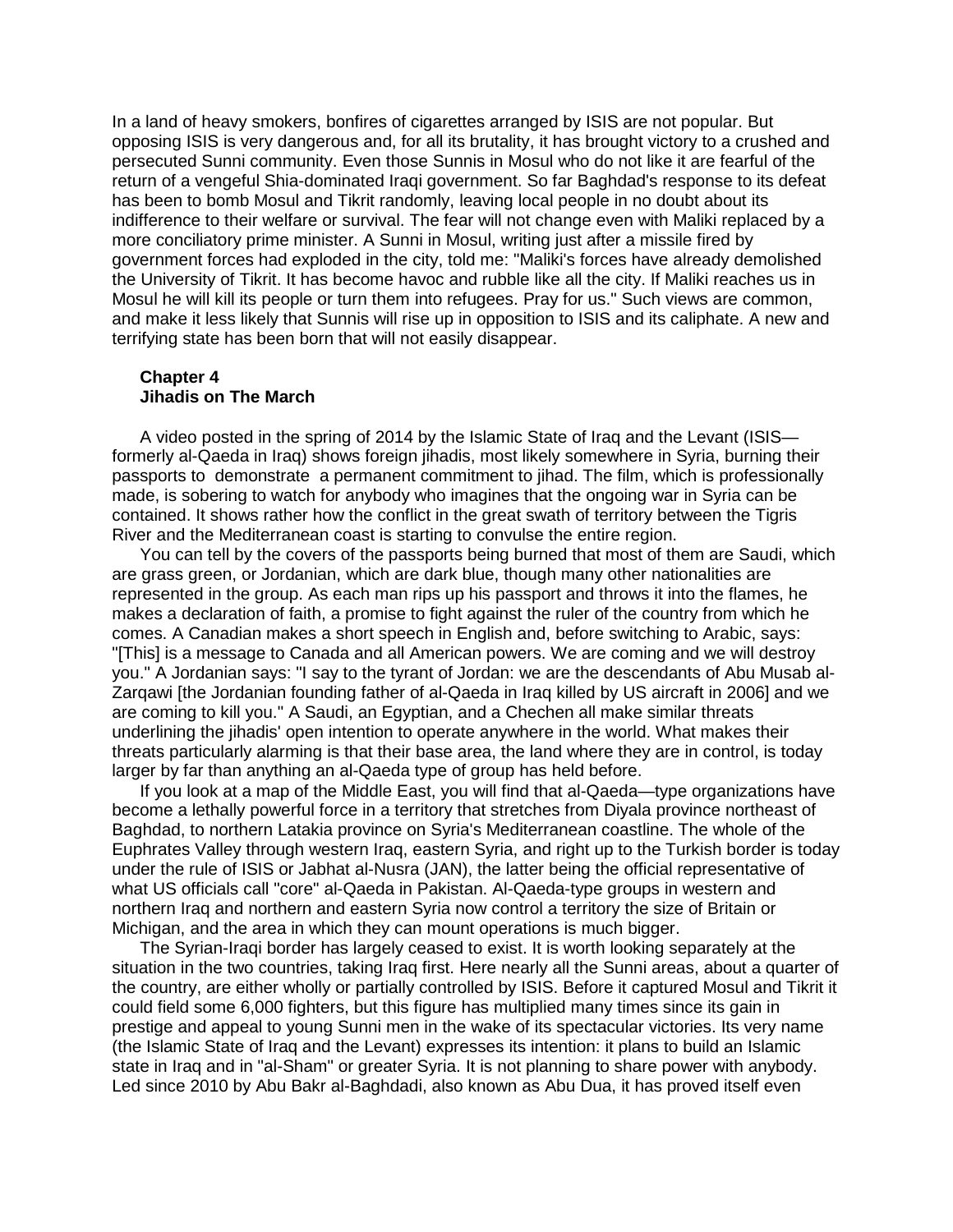In a land of heavy smokers, bonfires of cigarettes arranged by ISIS are not popular. But opposing ISIS is very dangerous and, for all its brutality, it has brought victory to a crushed and persecuted Sunni community. Even those Sunnis in Mosul who do not like it are fearful of the return of a vengeful Shia-dominated Iraqi government. So far Baghdad's response to its defeat has been to bomb Mosul and Tikrit randomly, leaving local people in no doubt about its indifference to their welfare or survival. The fear will not change even with Maliki replaced by a more conciliatory prime minister. A Sunni in Mosul, writing just after a missile fired by government forces had exploded in the city, told me: "Maliki's forces have already demolished the University of Tikrit. It has become havoc and rubble like all the city. If Maliki reaches us in Mosul he will kill its people or turn them into refugees. Pray for us." Such views are common, and make it less likely that Sunnis will rise up in opposition to ISIS and its caliphate. A new and terrifying state has been born that will not easily disappear.

## **Chapter 4 Jihadis on The March**

A video posted in the spring of 2014 by the Islamic State of Iraq and the Levant (ISIS formerly al-Qaeda in Iraq) shows foreign jihadis, most likely somewhere in Syria, burning their passports to demonstrate a permanent commitment to jihad. The film, which is professionally made, is sobering to watch for anybody who imagines that the ongoing war in Syria can be contained. It shows rather how the conflict in the great swath of territory between the Tigris River and the Mediterranean coast is starting to convulse the entire region.

You can tell by the covers of the passports being burned that most of them are Saudi, which are grass green, or Jordanian, which are dark blue, though many other nationalities are represented in the group. As each man rips up his passport and throws it into the flames, he makes a declaration of faith, a promise to fight against the ruler of the country from which he comes. A Canadian makes a short speech in English and, before switching to Arabic, says: "[This] is a message to Canada and all American powers. We are coming and we will destroy you." A Jordanian says: "I say to the tyrant of Jordan: we are the descendants of Abu Musab al-Zarqawi [the Jordanian founding father of al-Qaeda in Iraq killed by US aircraft in 2006] and we are coming to kill you." A Saudi, an Egyptian, and a Chechen all make similar threats underlining the jihadis' open intention to operate anywhere in the world. What makes their threats particularly alarming is that their base area, the land where they are in control, is today larger by far than anything an al-Qaeda type of group has held before.

If you look at a map of the Middle East, you will find that al-Qaeda—type organizations have become a lethally powerful force in a territory that stretches from Diyala province northeast of Baghdad, to northern Latakia province on Syria's Mediterranean coastline. The whole of the Euphrates Valley through western Iraq, eastern Syria, and right up to the Turkish border is today under the rule of ISIS or Jabhat al-Nusra (JAN), the latter being the official representative of what US officials call "core" al-Qaeda in Pakistan. Al-Qaeda-type groups in western and northern Iraq and northern and eastern Syria now control a territory the size of Britain or Michigan, and the area in which they can mount operations is much bigger.

The Syrian-Iraqi border has largely ceased to exist. It is worth looking separately at the situation in the two countries, taking Iraq first. Here nearly all the Sunni areas, about a quarter of the country, are either wholly or partially controlled by ISIS. Before it captured Mosul and Tikrit it could field some 6,000 fighters, but this figure has multiplied many times since its gain in prestige and appeal to young Sunni men in the wake of its spectacular victories. Its very name (the Islamic State of Iraq and the Levant) expresses its intention: it plans to build an Islamic state in Iraq and in "al-Sham" or greater Syria. It is not planning to share power with anybody. Led since 2010 by Abu Bakr al-Baghdadi, also known as Abu Dua, it has proved itself even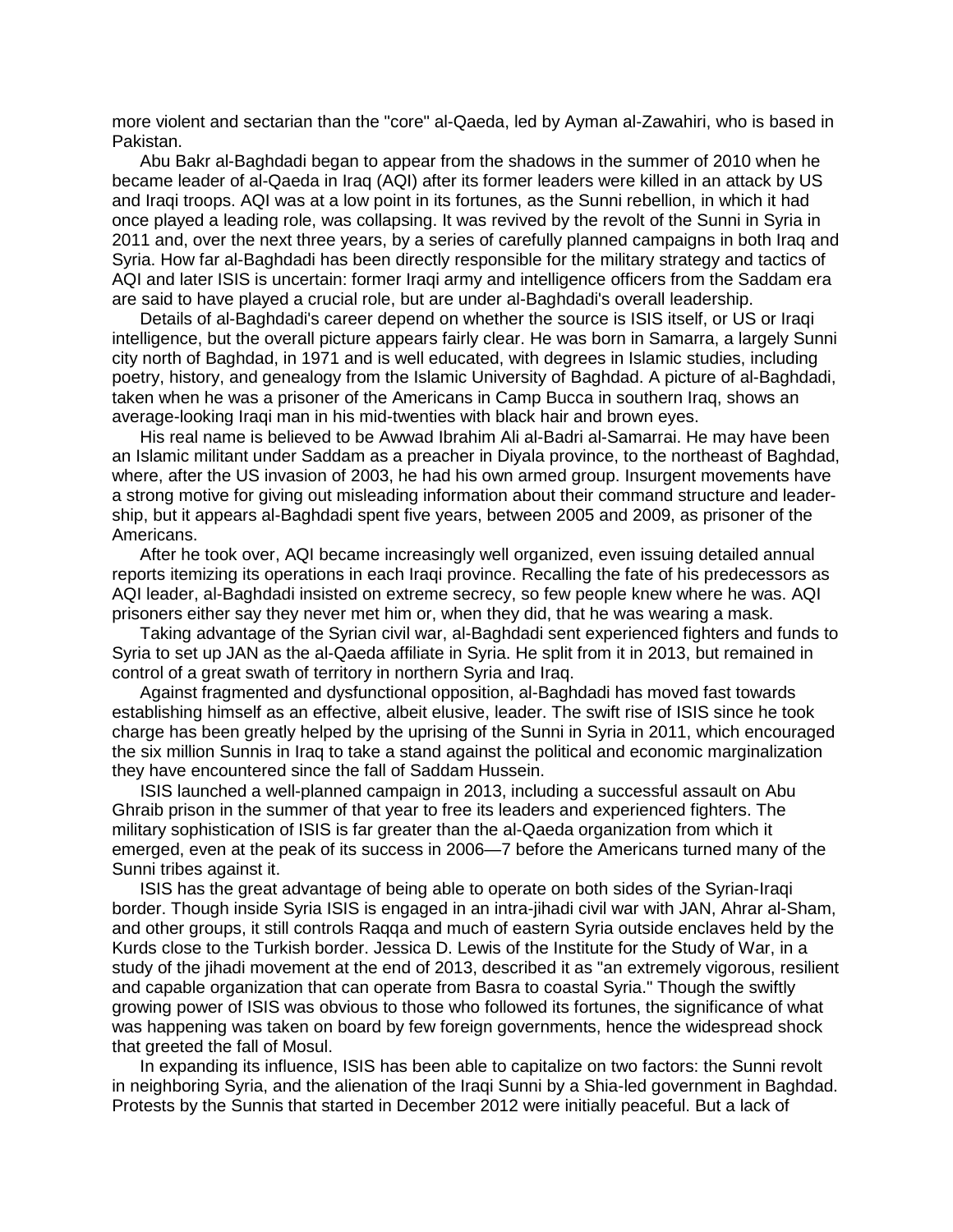more violent and sectarian than the "core" al-Qaeda, led by Ayman al-Zawahiri, who is based in Pakistan.

Abu Bakr al-Baghdadi began to appear from the shadows in the summer of 2010 when he became leader of al-Qaeda in Iraq (AQI) after its former leaders were killed in an attack by US and Iraqi troops. AQI was at a low point in its fortunes, as the Sunni rebellion, in which it had once played a leading role, was collapsing. It was revived by the revolt of the Sunni in Syria in 2011 and, over the next three years, by a series of carefully planned campaigns in both Iraq and Syria. How far al-Baghdadi has been directly responsible for the military strategy and tactics of AQI and later ISIS is uncertain: former Iraqi army and intelligence officers from the Saddam era are said to have played a crucial role, but are under al-Baghdadi's overall leadership.

Details of al-Baghdadi's career depend on whether the source is ISIS itself, or US or Iraqi intelligence, but the overall picture appears fairly clear. He was born in Samarra, a largely Sunni city north of Baghdad, in 1971 and is well educated, with degrees in Islamic studies, including poetry, history, and genealogy from the Islamic University of Baghdad. A picture of al-Baghdadi, taken when he was a prisoner of the Americans in Camp Bucca in southern Iraq, shows an average-looking Iraqi man in his mid-twenties with black hair and brown eyes.

His real name is believed to be Awwad Ibrahim Ali al-Badri al-Samarrai. He may have been an Islamic militant under Saddam as a preacher in Diyala province, to the northeast of Baghdad, where, after the US invasion of 2003, he had his own armed group. Insurgent movements have a strong motive for giving out misleading information about their command structure and leadership, but it appears al-Baghdadi spent five years, between 2005 and 2009, as prisoner of the Americans.

After he took over, AQI became increasingly well organized, even issuing detailed annual reports itemizing its operations in each Iraqi province. Recalling the fate of his predecessors as AQI leader, al-Baghdadi insisted on extreme secrecy, so few people knew where he was. AQI prisoners either say they never met him or, when they did, that he was wearing a mask.

Taking advantage of the Syrian civil war, al-Baghdadi sent experienced fighters and funds to Syria to set up JAN as the al-Qaeda affiliate in Syria. He split from it in 2013, but remained in control of a great swath of territory in northern Syria and Iraq.

Against fragmented and dysfunctional opposition, al-Baghdadi has moved fast towards establishing himself as an effective, albeit elusive, leader. The swift rise of ISIS since he took charge has been greatly helped by the uprising of the Sunni in Syria in 2011, which encouraged the six million Sunnis in Iraq to take a stand against the political and economic marginalization they have encountered since the fall of Saddam Hussein.

ISIS launched a well-planned campaign in 2013, including a successful assault on Abu Ghraib prison in the summer of that year to free its leaders and experienced fighters. The military sophistication of ISIS is far greater than the al-Qaeda organization from which it emerged, even at the peak of its success in 2006—7 before the Americans turned many of the Sunni tribes against it.

ISIS has the great advantage of being able to operate on both sides of the Syrian-Iraqi border. Though inside Syria ISIS is engaged in an intra-jihadi civil war with JAN, Ahrar al-Sham, and other groups, it still controls Raqqa and much of eastern Syria outside enclaves held by the Kurds close to the Turkish border. Jessica D. Lewis of the Institute for the Study of War, in a study of the jihadi movement at the end of 2013, described it as "an extremely vigorous, resilient and capable organization that can operate from Basra to coastal Syria." Though the swiftly growing power of ISIS was obvious to those who followed its fortunes, the significance of what was happening was taken on board by few foreign governments, hence the widespread shock that greeted the fall of Mosul.

In expanding its influence, ISIS has been able to capitalize on two factors: the Sunni revolt in neighboring Syria, and the alienation of the Iraqi Sunni by a Shia-led government in Baghdad. Protests by the Sunnis that started in December 2012 were initially peaceful. But a lack of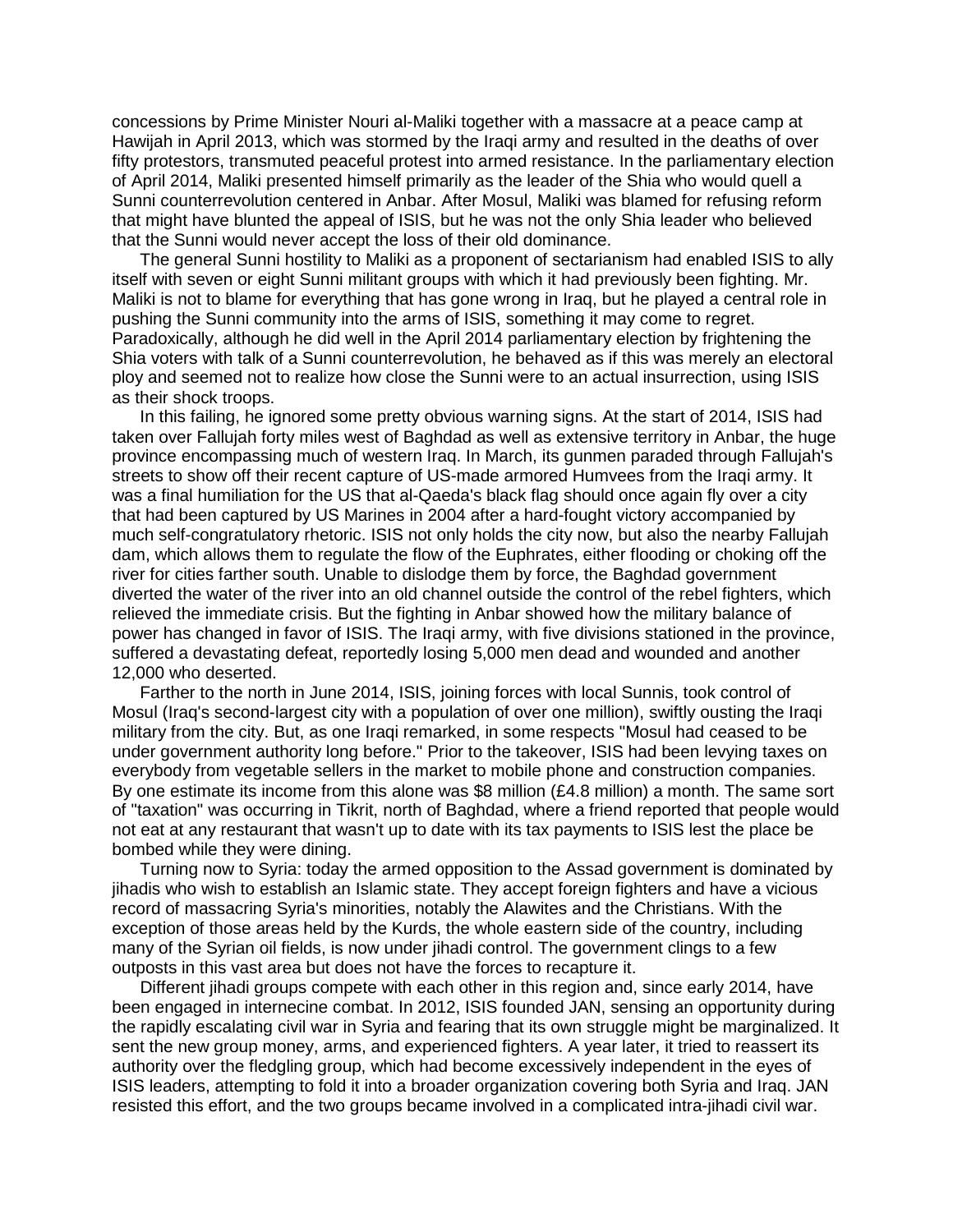concessions by Prime Minister Nouri al-Maliki together with a massacre at a peace camp at Hawijah in April 2013, which was stormed by the Iraqi army and resulted in the deaths of over fifty protestors, transmuted peaceful protest into armed resistance. In the parliamentary election of April 2014, Maliki presented himself primarily as the leader of the Shia who would quell a Sunni counterrevolution centered in Anbar. After Mosul, Maliki was blamed for refusing reform that might have blunted the appeal of ISIS, but he was not the only Shia leader who believed that the Sunni would never accept the loss of their old dominance.

The general Sunni hostility to Maliki as a proponent of sectarianism had enabled ISIS to ally itself with seven or eight Sunni militant groups with which it had previously been fighting. Mr. Maliki is not to blame for everything that has gone wrong in Iraq, but he played a central role in pushing the Sunni community into the arms of ISIS, something it may come to regret. Paradoxically, although he did well in the April 2014 parliamentary election by frightening the Shia voters with talk of a Sunni counterrevolution, he behaved as if this was merely an electoral ploy and seemed not to realize how close the Sunni were to an actual insurrection, using ISIS as their shock troops.

In this failing, he ignored some pretty obvious warning signs. At the start of 2014, ISIS had taken over Fallujah forty miles west of Baghdad as well as extensive territory in Anbar, the huge province encompassing much of western Iraq. In March, its gunmen paraded through Fallujah's streets to show off their recent capture of US-made armored Humvees from the Iraqi army. It was a final humiliation for the US that al-Qaeda's black flag should once again fly over a city that had been captured by US Marines in 2004 after a hard-fought victory accompanied by much self-congratulatory rhetoric. ISIS not only holds the city now, but also the nearby Fallujah dam, which allows them to regulate the flow of the Euphrates, either flooding or choking off the river for cities farther south. Unable to dislodge them by force, the Baghdad government diverted the water of the river into an old channel outside the control of the rebel fighters, which relieved the immediate crisis. But the fighting in Anbar showed how the military balance of power has changed in favor of ISIS. The Iraqi army, with five divisions stationed in the province, suffered a devastating defeat, reportedly losing 5,000 men dead and wounded and another 12,000 who deserted.

Farther to the north in June 2014, ISIS, joining forces with local Sunnis, took control of Mosul (Iraq's second-largest city with a population of over one million), swiftly ousting the Iraqi military from the city. But, as one Iraqi remarked, in some respects "Mosul had ceased to be under government authority long before." Prior to the takeover, ISIS had been levying taxes on everybody from vegetable sellers in the market to mobile phone and construction companies. By one estimate its income from this alone was \$8 million (£4.8 million) a month. The same sort of "taxation" was occurring in Tikrit, north of Baghdad, where a friend reported that people would not eat at any restaurant that wasn't up to date with its tax payments to ISIS lest the place be bombed while they were dining.

Turning now to Syria: today the armed opposition to the Assad government is dominated by jihadis who wish to establish an Islamic state. They accept foreign fighters and have a vicious record of massacring Syria's minorities, notably the Alawites and the Christians. With the exception of those areas held by the Kurds, the whole eastern side of the country, including many of the Syrian oil fields, is now under jihadi control. The government clings to a few outposts in this vast area but does not have the forces to recapture it.

Different jihadi groups compete with each other in this region and, since early 2014, have been engaged in internecine combat. In 2012, ISIS founded JAN, sensing an opportunity during the rapidly escalating civil war in Syria and fearing that its own struggle might be marginalized. It sent the new group money, arms, and experienced fighters. A year later, it tried to reassert its authority over the fledgling group, which had become excessively independent in the eyes of ISIS leaders, attempting to fold it into a broader organization covering both Syria and Iraq. JAN resisted this effort, and the two groups became involved in a complicated intra-jihadi civil war.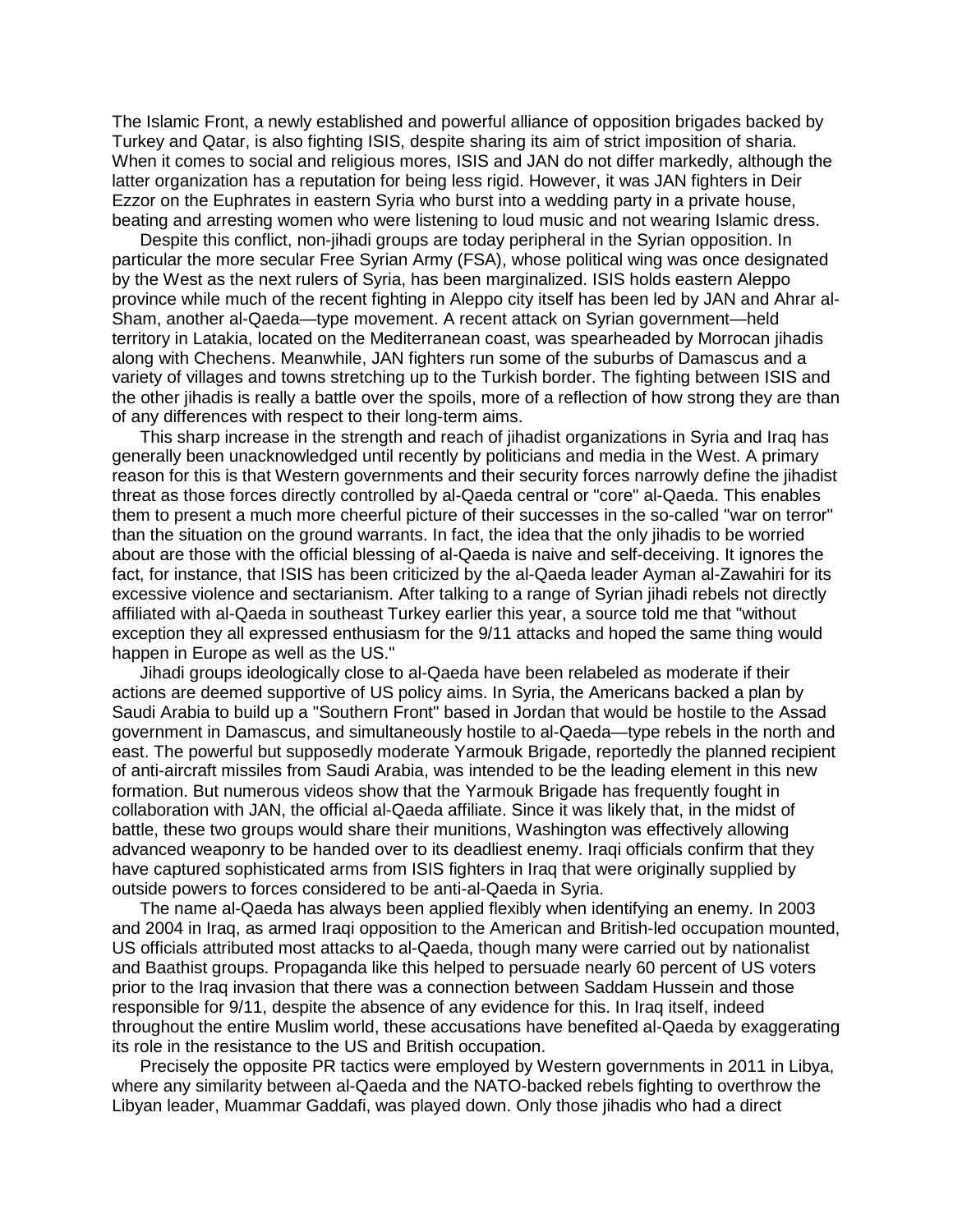The Islamic Front, a newly established and powerful alliance of opposition brigades backed by Turkey and Qatar, is also fighting ISIS, despite sharing its aim of strict imposition of sharia. When it comes to social and religious mores, ISIS and JAN do not differ markedly, although the latter organization has a reputation for being less rigid. However, it was JAN fighters in Deir Ezzor on the Euphrates in eastern Syria who burst into a wedding party in a private house, beating and arresting women who were listening to loud music and not wearing Islamic dress.

Despite this conflict, non-jihadi groups are today peripheral in the Syrian opposition. In particular the more secular Free Syrian Army (FSA), whose political wing was once designated by the West as the next rulers of Syria, has been marginalized. ISIS holds eastern Aleppo province while much of the recent fighting in Aleppo city itself has been led by JAN and Ahrar al-Sham, another al-Qaeda—type movement. A recent attack on Syrian government—held territory in Latakia, located on the Mediterranean coast, was spearheaded by Morrocan jihadis along with Chechens. Meanwhile, JAN fighters run some of the suburbs of Damascus and a variety of villages and towns stretching up to the Turkish border. The fighting between ISIS and the other jihadis is really a battle over the spoils, more of a reflection of how strong they are than of any differences with respect to their long-term aims.

This sharp increase in the strength and reach of jihadist organizations in Syria and Iraq has generally been unacknowledged until recently by politicians and media in the West. A primary reason for this is that Western governments and their security forces narrowly define the jihadist threat as those forces directly controlled by al-Qaeda central or "core" al-Qaeda. This enables them to present a much more cheerful picture of their successes in the so-called "war on terror" than the situation on the ground warrants. In fact, the idea that the only jihadis to be worried about are those with the official blessing of al-Qaeda is naive and self-deceiving. It ignores the fact, for instance, that ISIS has been criticized by the al-Qaeda leader Ayman al-Zawahiri for its excessive violence and sectarianism. After talking to a range of Syrian jihadi rebels not directly affiliated with al-Qaeda in southeast Turkey earlier this year, a source told me that "without exception they all expressed enthusiasm for the 9/11 attacks and hoped the same thing would happen in Europe as well as the US."

Jihadi groups ideologically close to al-Qaeda have been relabeled as moderate if their actions are deemed supportive of US policy aims. In Syria, the Americans backed a plan by Saudi Arabia to build up a "Southern Front" based in Jordan that would be hostile to the Assad government in Damascus, and simultaneously hostile to al-Qaeda—type rebels in the north and east. The powerful but supposedly moderate Yarmouk Brigade, reportedly the planned recipient of anti-aircraft missiles from Saudi Arabia, was intended to be the leading element in this new formation. But numerous videos show that the Yarmouk Brigade has frequently fought in collaboration with JAN, the official al-Qaeda affiliate. Since it was likely that, in the midst of battle, these two groups would share their munitions, Washington was effectively allowing advanced weaponry to be handed over to its deadliest enemy. Iraqi officials confirm that they have captured sophisticated arms from ISIS fighters in Iraq that were originally supplied by outside powers to forces considered to be anti-al-Qaeda in Syria.

The name al-Qaeda has always been applied flexibly when identifying an enemy. In 2003 and 2004 in Iraq, as armed Iraqi opposition to the American and British-led occupation mounted, US officials attributed most attacks to al-Qaeda, though many were carried out by nationalist and Baathist groups. Propaganda like this helped to persuade nearly 60 percent of US voters prior to the Iraq invasion that there was a connection between Saddam Hussein and those responsible for 9/11, despite the absence of any evidence for this. In Iraq itself, indeed throughout the entire Muslim world, these accusations have benefited al-Qaeda by exaggerating its role in the resistance to the US and British occupation.

Precisely the opposite PR tactics were employed by Western governments in 2011 in Libya, where any similarity between al-Qaeda and the NATO-backed rebels fighting to overthrow the Libyan leader, Muammar Gaddafi, was played down. Only those jihadis who had a direct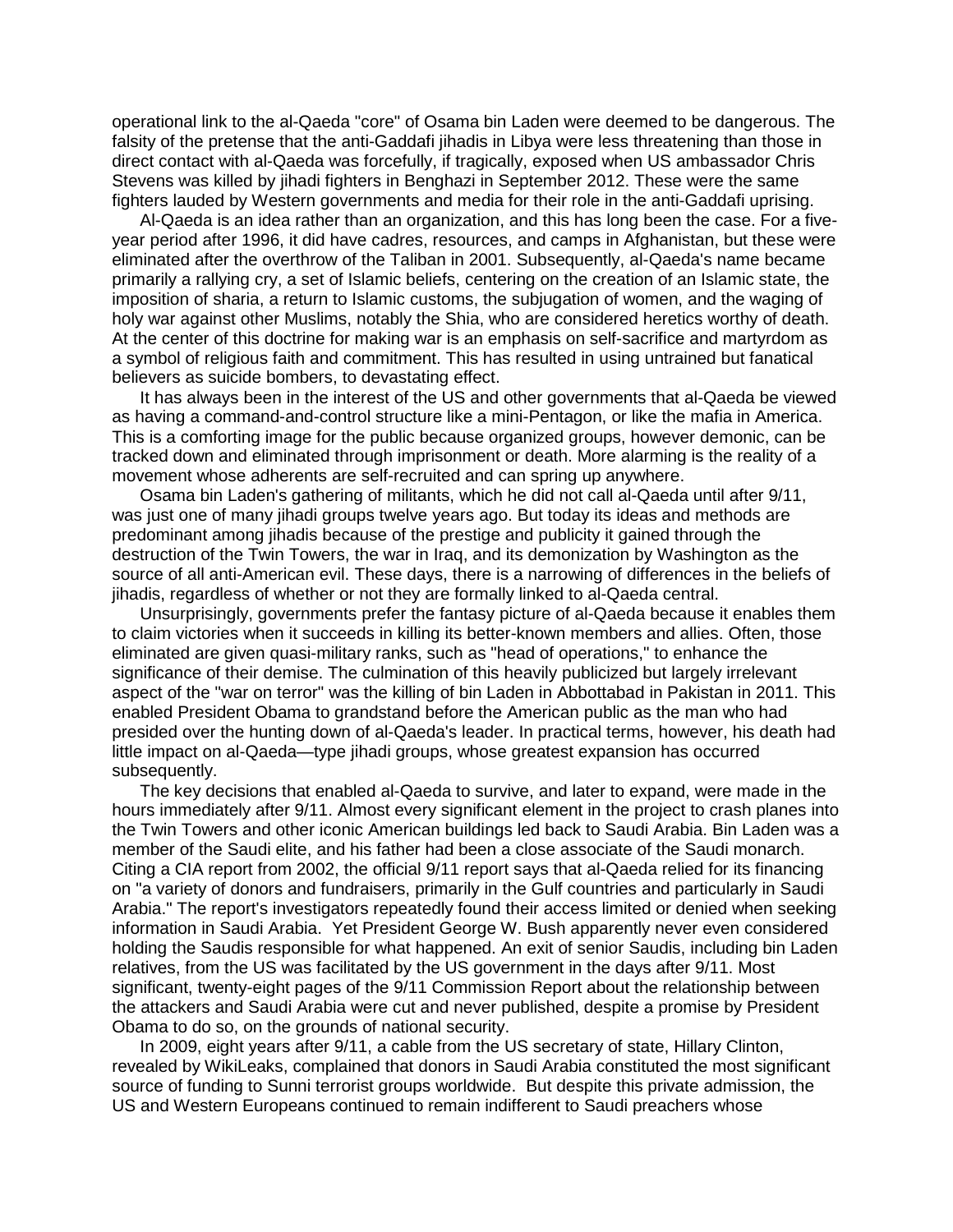operational link to the al-Qaeda "core" of Osama bin Laden were deemed to be dangerous. The falsity of the pretense that the anti-Gaddafi jihadis in Libya were less threatening than those in direct contact with al-Qaeda was forcefully, if tragically, exposed when US ambassador Chris Stevens was killed by jihadi fighters in Benghazi in September 2012. These were the same fighters lauded by Western governments and media for their role in the anti-Gaddafi uprising.

Al-Qaeda is an idea rather than an organization, and this has long been the case. For a fiveyear period after 1996, it did have cadres, resources, and camps in Afghanistan, but these were eliminated after the overthrow of the Taliban in 2001. Subsequently, al-Qaeda's name became primarily a rallying cry, a set of Islamic beliefs, centering on the creation of an Islamic state, the imposition of sharia, a return to Islamic customs, the subjugation of women, and the waging of holy war against other Muslims, notably the Shia, who are considered heretics worthy of death. At the center of this doctrine for making war is an emphasis on self-sacrifice and martyrdom as a symbol of religious faith and commitment. This has resulted in using untrained but fanatical believers as suicide bombers, to devastating effect.

It has always been in the interest of the US and other governments that al-Qaeda be viewed as having a command-and-control structure like a mini-Pentagon, or like the mafia in America. This is a comforting image for the public because organized groups, however demonic, can be tracked down and eliminated through imprisonment or death. More alarming is the reality of a movement whose adherents are self-recruited and can spring up anywhere.

Osama bin Laden's gathering of militants, which he did not call al-Qaeda until after 9/11, was just one of many jihadi groups twelve years ago. But today its ideas and methods are predominant among jihadis because of the prestige and publicity it gained through the destruction of the Twin Towers, the war in Iraq, and its demonization by Washington as the source of all anti-American evil. These days, there is a narrowing of differences in the beliefs of jihadis, regardless of whether or not they are formally linked to al-Qaeda central.

Unsurprisingly, governments prefer the fantasy picture of al-Qaeda because it enables them to claim victories when it succeeds in killing its better-known members and allies. Often, those eliminated are given quasi-military ranks, such as "head of operations," to enhance the significance of their demise. The culmination of this heavily publicized but largely irrelevant aspect of the "war on terror" was the killing of bin Laden in Abbottabad in Pakistan in 2011. This enabled President Obama to grandstand before the American public as the man who had presided over the hunting down of al-Qaeda's leader. In practical terms, however, his death had little impact on al-Qaeda—type jihadi groups, whose greatest expansion has occurred subsequently.

The key decisions that enabled al-Qaeda to survive, and later to expand, were made in the hours immediately after 9/11. Almost every significant element in the project to crash planes into the Twin Towers and other iconic American buildings led back to Saudi Arabia. Bin Laden was a member of the Saudi elite, and his father had been a close associate of the Saudi monarch. Citing a CIA report from 2002, the official 9/11 report says that al-Qaeda relied for its financing on "a variety of donors and fundraisers, primarily in the Gulf countries and particularly in Saudi Arabia." The report's investigators repeatedly found their access limited or denied when seeking information in Saudi Arabia. Yet President George W. Bush apparently never even considered holding the Saudis responsible for what happened. An exit of senior Saudis, including bin Laden relatives, from the US was facilitated by the US government in the days after 9/11. Most significant, twenty-eight pages of the 9/11 Commission Report about the relationship between the attackers and Saudi Arabia were cut and never published, despite a promise by President Obama to do so, on the grounds of national security.

In 2009, eight years after 9/11, a cable from the US secretary of state, Hillary Clinton, revealed by WikiLeaks, complained that donors in Saudi Arabia constituted the most significant source of funding to Sunni terrorist groups worldwide. But despite this private admission, the US and Western Europeans continued to remain indifferent to Saudi preachers whose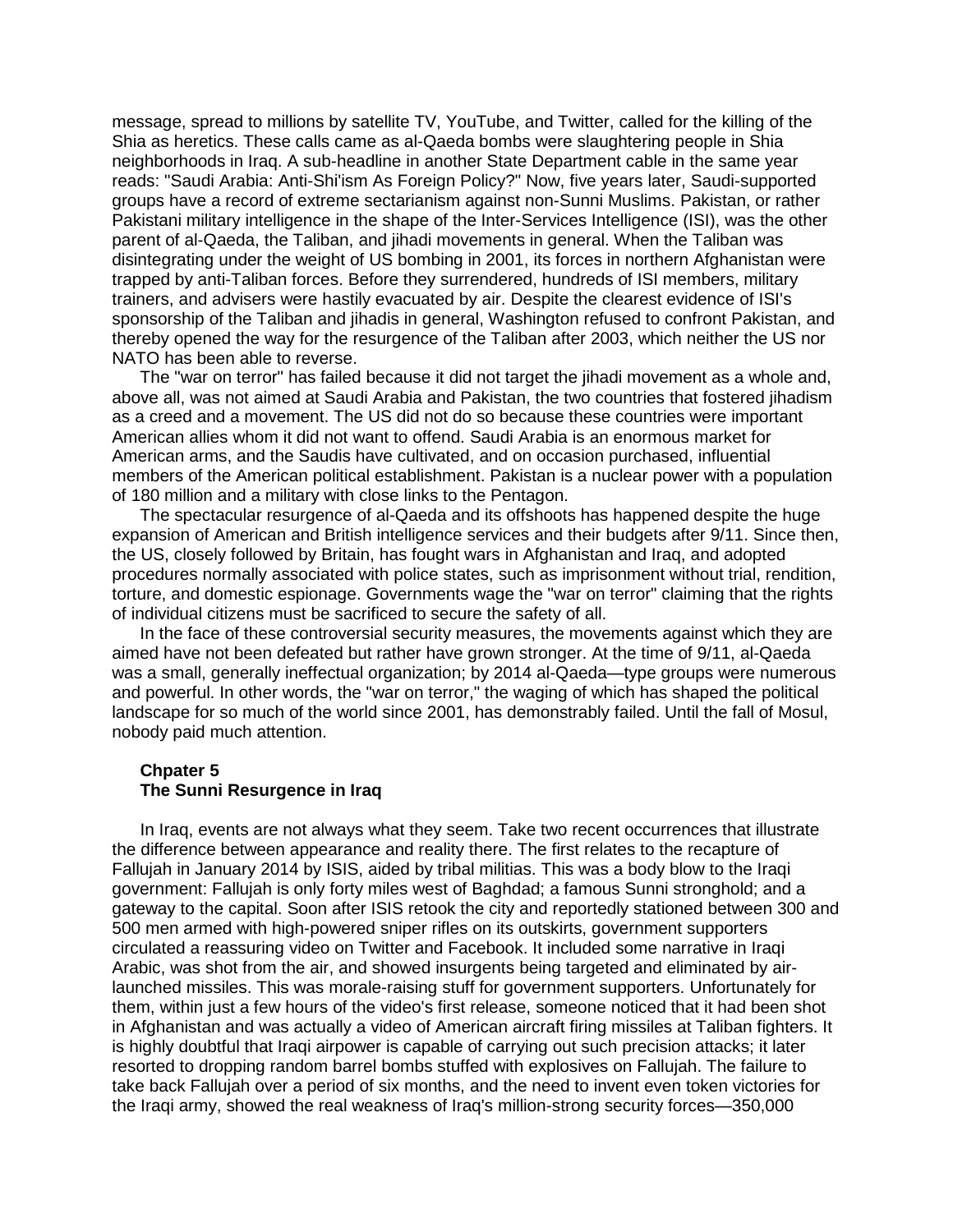message, spread to millions by satellite TV, YouTube, and Twitter, called for the killing of the Shia as heretics. These calls came as al-Qaeda bombs were slaughtering people in Shia neighborhoods in Iraq. A sub-headline in another State Department cable in the same year reads: "Saudi Arabia: Anti-Shi'ism As Foreign Policy?" Now, five years later, Saudi-supported groups have a record of extreme sectarianism against non-Sunni Muslims. Pakistan, or rather Pakistani military intelligence in the shape of the Inter-Services Intelligence (ISI), was the other parent of al-Qaeda, the Taliban, and jihadi movements in general. When the Taliban was disintegrating under the weight of US bombing in 2001, its forces in northern Afghanistan were trapped by anti-Taliban forces. Before they surrendered, hundreds of ISI members, military trainers, and advisers were hastily evacuated by air. Despite the clearest evidence of ISI's sponsorship of the Taliban and jihadis in general, Washington refused to confront Pakistan, and thereby opened the way for the resurgence of the Taliban after 2003, which neither the US nor NATO has been able to reverse.

The "war on terror" has failed because it did not target the jihadi movement as a whole and, above all, was not aimed at Saudi Arabia and Pakistan, the two countries that fostered jihadism as a creed and a movement. The US did not do so because these countries were important American allies whom it did not want to offend. Saudi Arabia is an enormous market for American arms, and the Saudis have cultivated, and on occasion purchased, influential members of the American political establishment. Pakistan is a nuclear power with a population of 180 million and a military with close links to the Pentagon.

The spectacular resurgence of al-Qaeda and its offshoots has happened despite the huge expansion of American and British intelligence services and their budgets after 9/11. Since then, the US, closely followed by Britain, has fought wars in Afghanistan and Iraq, and adopted procedures normally associated with police states, such as imprisonment without trial, rendition, torture, and domestic espionage. Governments wage the "war on terror" claiming that the rights of individual citizens must be sacrificed to secure the safety of all.

In the face of these controversial security measures, the movements against which they are aimed have not been defeated but rather have grown stronger. At the time of 9/11, al-Qaeda was a small, generally ineffectual organization; by 2014 al-Qaeda—type groups were numerous and powerful. In other words, the "war on terror," the waging of which has shaped the political landscape for so much of the world since 2001, has demonstrably failed. Until the fall of Mosul, nobody paid much attention.

## **Chpater 5 The Sunni Resurgence in Iraq**

In Iraq, events are not always what they seem. Take two recent occurrences that illustrate the difference between appearance and reality there. The first relates to the recapture of Fallujah in January 2014 by ISIS, aided by tribal militias. This was a body blow to the Iraqi government: Fallujah is only forty miles west of Baghdad; a famous Sunni stronghold; and a gateway to the capital. Soon after ISIS retook the city and reportedly stationed between 300 and 500 men armed with high-powered sniper rifles on its outskirts, government supporters circulated a reassuring video on Twitter and Facebook. It included some narrative in Iraqi Arabic, was shot from the air, and showed insurgents being targeted and eliminated by airlaunched missiles. This was morale-raising stuff for government supporters. Unfortunately for them, within just a few hours of the video's first release, someone noticed that it had been shot in Afghanistan and was actually a video of American aircraft firing missiles at Taliban fighters. It is highly doubtful that Iraqi airpower is capable of carrying out such precision attacks; it later resorted to dropping random barrel bombs stuffed with explosives on Fallujah. The failure to take back Fallujah over a period of six months, and the need to invent even token victories for the Iraqi army, showed the real weakness of Iraq's million-strong security forces—350,000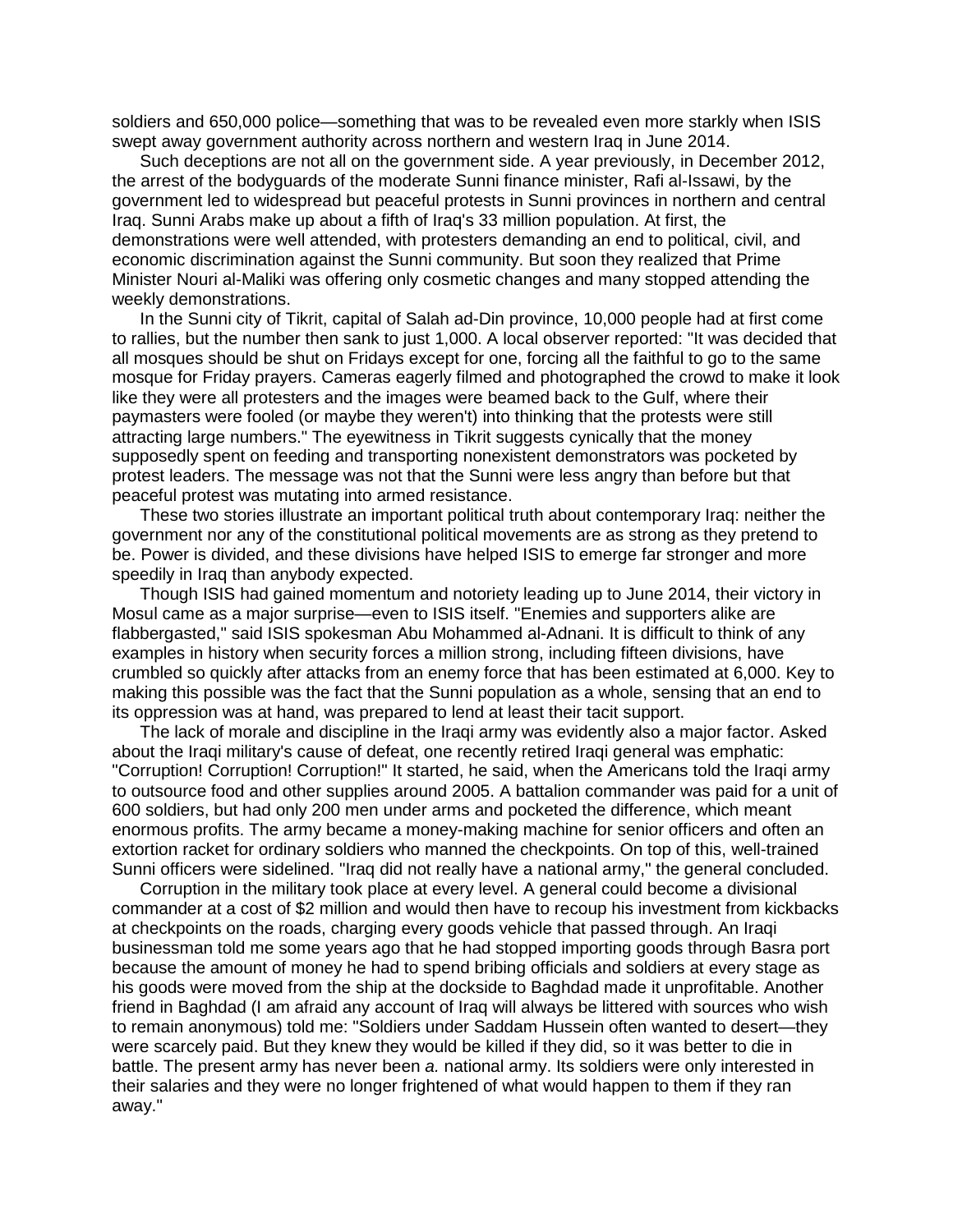soldiers and 650,000 police—something that was to be revealed even more starkly when ISIS swept away government authority across northern and western Iraq in June 2014.

Such deceptions are not all on the government side. A year previously, in December 2012, the arrest of the bodyguards of the moderate Sunni finance minister, Rafi al-Issawi, by the government led to widespread but peaceful protests in Sunni provinces in northern and central Iraq. Sunni Arabs make up about a fifth of Iraq's 33 million population. At first, the demonstrations were well attended, with protesters demanding an end to political, civil, and economic discrimination against the Sunni community. But soon they realized that Prime Minister Nouri al-Maliki was offering only cosmetic changes and many stopped attending the weekly demonstrations.

In the Sunni city of Tikrit, capital of Salah ad-Din province, 10,000 people had at first come to rallies, but the number then sank to just 1,000. A local observer reported: "It was decided that all mosques should be shut on Fridays except for one, forcing all the faithful to go to the same mosque for Friday prayers. Cameras eagerly filmed and photographed the crowd to make it look like they were all protesters and the images were beamed back to the Gulf, where their paymasters were fooled (or maybe they weren't) into thinking that the protests were still attracting large numbers." The eyewitness in Tikrit suggests cynically that the money supposedly spent on feeding and transporting nonexistent demonstrators was pocketed by protest leaders. The message was not that the Sunni were less angry than before but that peaceful protest was mutating into armed resistance.

These two stories illustrate an important political truth about contemporary Iraq: neither the government nor any of the constitutional political movements are as strong as they pretend to be. Power is divided, and these divisions have helped ISIS to emerge far stronger and more speedily in Iraq than anybody expected.

Though ISIS had gained momentum and notoriety leading up to June 2014, their victory in Mosul came as a major surprise—even to ISIS itself. "Enemies and supporters alike are flabbergasted," said ISIS spokesman Abu Mohammed al-Adnani. It is difficult to think of any examples in history when security forces a million strong, including fifteen divisions, have crumbled so quickly after attacks from an enemy force that has been estimated at 6,000. Key to making this possible was the fact that the Sunni population as a whole, sensing that an end to its oppression was at hand, was prepared to lend at least their tacit support.

The lack of morale and discipline in the Iraqi army was evidently also a major factor. Asked about the Iraqi military's cause of defeat, one recently retired Iraqi general was emphatic: "Corruption! Corruption! Corruption!" It started, he said, when the Americans told the Iraqi army to outsource food and other supplies around 2005. A battalion commander was paid for a unit of 600 soldiers, but had only 200 men under arms and pocketed the difference, which meant enormous profits. The army became a money-making machine for senior officers and often an extortion racket for ordinary soldiers who manned the checkpoints. On top of this, well-trained Sunni officers were sidelined. "Iraq did not really have a national army," the general concluded.

Corruption in the military took place at every level. A general could become a divisional commander at a cost of \$2 million and would then have to recoup his investment from kickbacks at checkpoints on the roads, charging every goods vehicle that passed through. An Iraqi businessman told me some years ago that he had stopped importing goods through Basra port because the amount of money he had to spend bribing officials and soldiers at every stage as his goods were moved from the ship at the dockside to Baghdad made it unprofitable. Another friend in Baghdad (I am afraid any account of Iraq will always be littered with sources who wish to remain anonymous) told me: "Soldiers under Saddam Hussein often wanted to desert—they were scarcely paid. But they knew they would be killed if they did, so it was better to die in battle. The present army has never been *a.* national army. Its soldiers were only interested in their salaries and they were no longer frightened of what would happen to them if they ran away."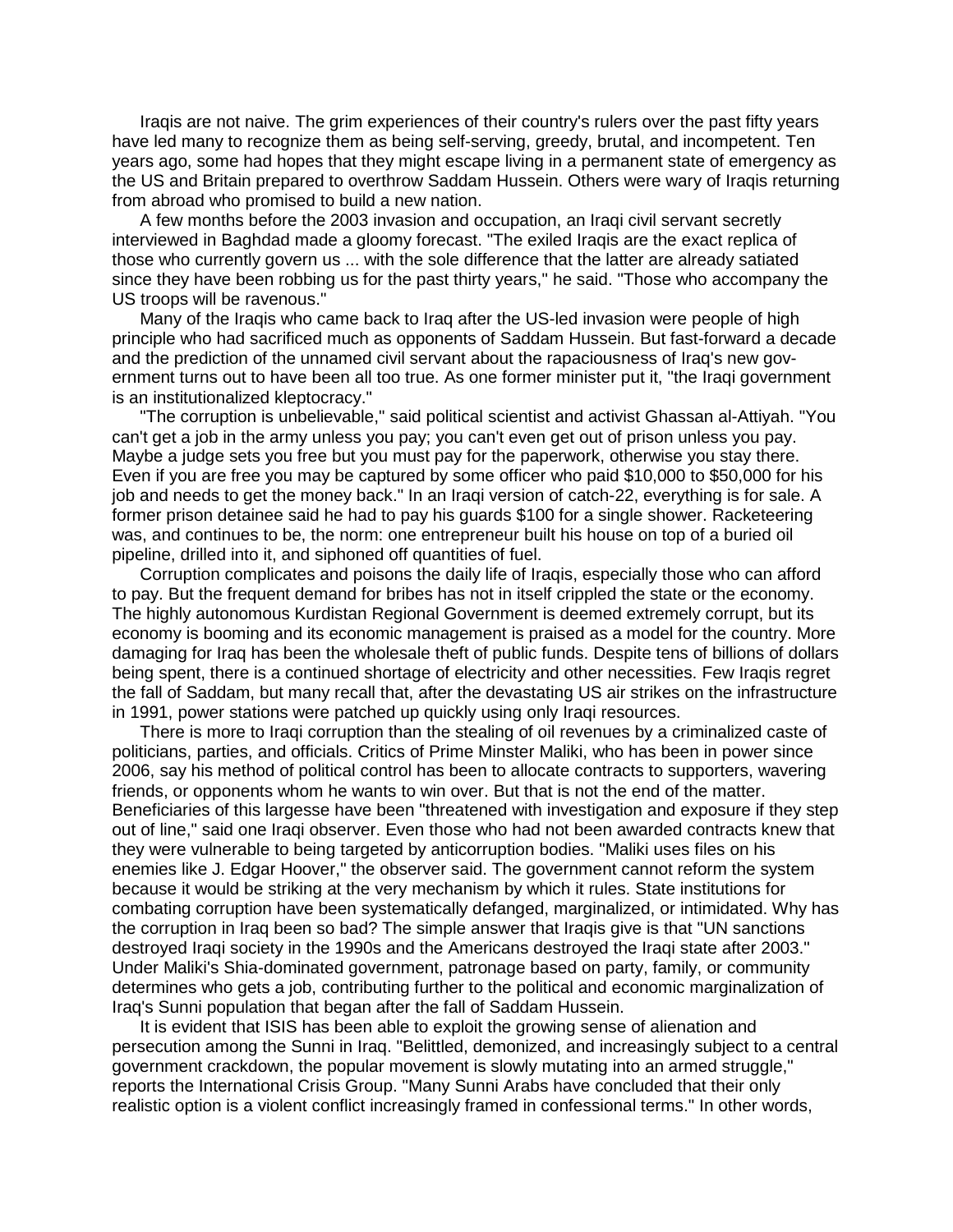Iraqis are not naive. The grim experiences of their country's rulers over the past fifty years have led many to recognize them as being self-serving, greedy, brutal, and incompetent. Ten years ago, some had hopes that they might escape living in a permanent state of emergency as the US and Britain prepared to overthrow Saddam Hussein. Others were wary of Iraqis returning from abroad who promised to build a new nation.

A few months before the 2003 invasion and occupation, an Iraqi civil servant secretly interviewed in Baghdad made a gloomy forecast. "The exiled Iraqis are the exact replica of those who currently govern us ... with the sole difference that the latter are already satiated since they have been robbing us for the past thirty years," he said. "Those who accompany the US troops will be ravenous."

Many of the Iraqis who came back to Iraq after the US-led invasion were people of high principle who had sacrificed much as opponents of Saddam Hussein. But fast-forward a decade and the prediction of the unnamed civil servant about the rapaciousness of Iraq's new government turns out to have been all too true. As one former minister put it, "the Iraqi government is an institutionalized kleptocracy."

"The corruption is unbelievable," said political scientist and activist Ghassan al-Attiyah. "You can't get a job in the army unless you pay; you can't even get out of prison unless you pay. Maybe a judge sets you free but you must pay for the paperwork, otherwise you stay there. Even if you are free you may be captured by some officer who paid \$10,000 to \$50,000 for his job and needs to get the money back." In an Iraqi version of catch-22, everything is for sale. A former prison detainee said he had to pay his guards \$100 for a single shower. Racketeering was, and continues to be, the norm: one entrepreneur built his house on top of a buried oil pipeline, drilled into it, and siphoned off quantities of fuel.

Corruption complicates and poisons the daily life of Iraqis, especially those who can afford to pay. But the frequent demand for bribes has not in itself crippled the state or the economy. The highly autonomous Kurdistan Regional Government is deemed extremely corrupt, but its economy is booming and its economic management is praised as a model for the country. More damaging for Iraq has been the wholesale theft of public funds. Despite tens of billions of dollars being spent, there is a continued shortage of electricity and other necessities. Few Iraqis regret the fall of Saddam, but many recall that, after the devastating US air strikes on the infrastructure in 1991, power stations were patched up quickly using only Iraqi resources.

There is more to Iraqi corruption than the stealing of oil revenues by a criminalized caste of politicians, parties, and officials. Critics of Prime Minster Maliki, who has been in power since 2006, say his method of political control has been to allocate contracts to supporters, wavering friends, or opponents whom he wants to win over. But that is not the end of the matter. Beneficiaries of this largesse have been "threatened with investigation and exposure if they step out of line," said one Iraqi observer. Even those who had not been awarded contracts knew that they were vulnerable to being targeted by anticorruption bodies. "Maliki uses files on his enemies like J. Edgar Hoover," the observer said. The government cannot reform the system because it would be striking at the very mechanism by which it rules. State institutions for combating corruption have been systematically defanged, marginalized, or intimidated. Why has the corruption in Iraq been so bad? The simple answer that Iraqis give is that "UN sanctions destroyed Iraqi society in the 1990s and the Americans destroyed the Iraqi state after 2003." Under Maliki's Shia-dominated government, patronage based on party, family, or community determines who gets a job, contributing further to the political and economic marginalization of Iraq's Sunni population that began after the fall of Saddam Hussein.

It is evident that ISIS has been able to exploit the growing sense of alienation and persecution among the Sunni in Iraq. "Belittled, demonized, and increasingly subject to a central government crackdown, the popular movement is slowly mutating into an armed struggle," reports the International Crisis Group. "Many Sunni Arabs have concluded that their only realistic option is a violent conflict increasingly framed in confessional terms." In other words,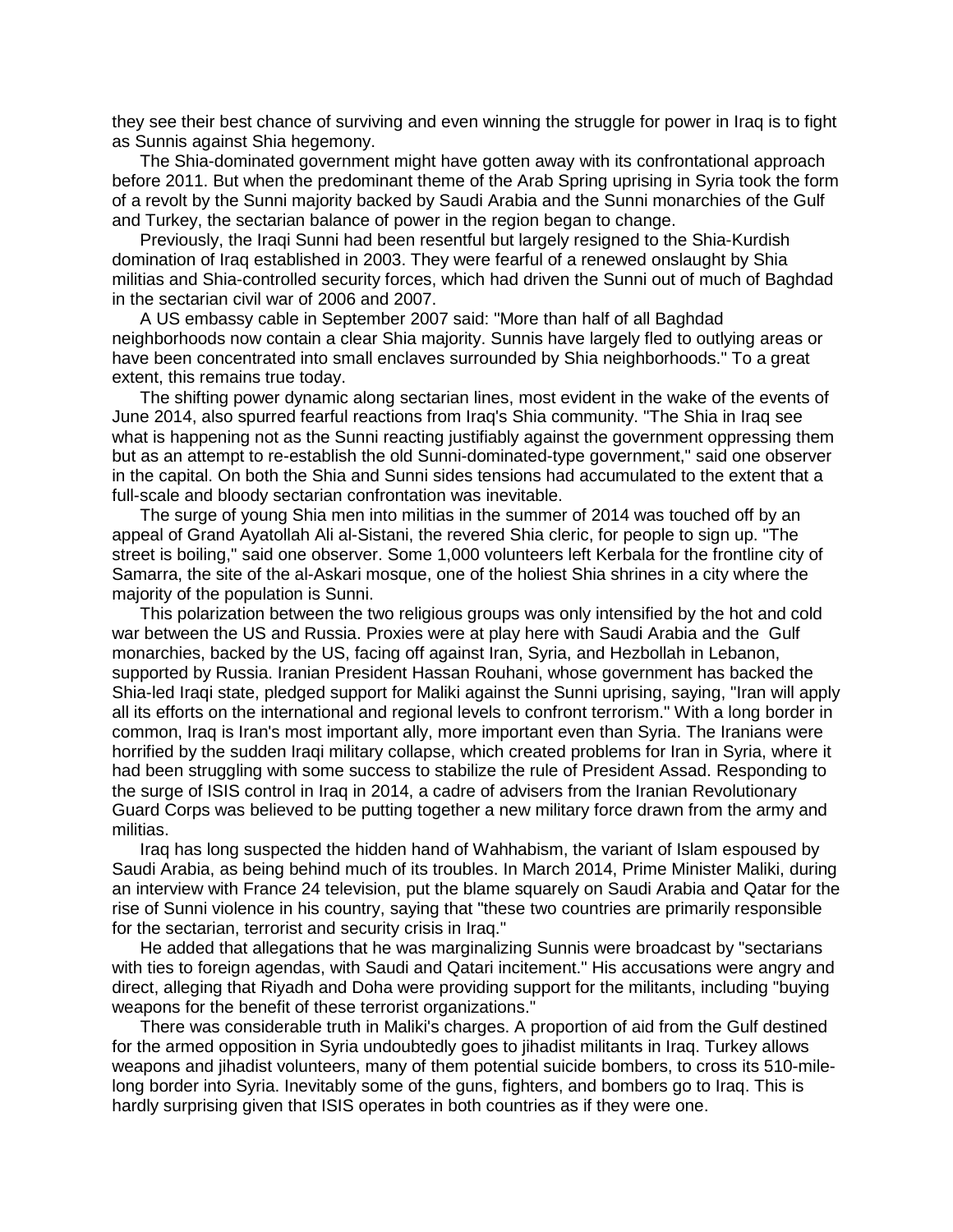they see their best chance of surviving and even winning the struggle for power in Iraq is to fight as Sunnis against Shia hegemony.

The Shia-dominated government might have gotten away with its confrontational approach before 2011. But when the predominant theme of the Arab Spring uprising in Syria took the form of a revolt by the Sunni majority backed by Saudi Arabia and the Sunni monarchies of the Gulf and Turkey, the sectarian balance of power in the region began to change.

Previously, the Iraqi Sunni had been resentful but largely resigned to the Shia-Kurdish domination of Iraq established in 2003. They were fearful of a renewed onslaught by Shia militias and Shia-controlled security forces, which had driven the Sunni out of much of Baghdad in the sectarian civil war of 2006 and 2007.

A US embassy cable in September 2007 said: "More than half of all Baghdad neighborhoods now contain a clear Shia majority. Sunnis have largely fled to outlying areas or have been concentrated into small enclaves surrounded by Shia neighborhoods." To a great extent, this remains true today.

The shifting power dynamic along sectarian lines, most evident in the wake of the events of June 2014, also spurred fearful reactions from Iraq's Shia community. "The Shia in Iraq see what is happening not as the Sunni reacting justifiably against the government oppressing them but as an attempt to re-establish the old Sunni-dominated-type government," said one observer in the capital. On both the Shia and Sunni sides tensions had accumulated to the extent that a full-scale and bloody sectarian confrontation was inevitable.

The surge of young Shia men into militias in the summer of 2014 was touched off by an appeal of Grand Ayatollah Ali al-Sistani, the revered Shia cleric, for people to sign up. "The street is boiling," said one observer. Some 1,000 volunteers left Kerbala for the frontline city of Samarra, the site of the al-Askari mosque, one of the holiest Shia shrines in a city where the majority of the population is Sunni.

This polarization between the two religious groups was only intensified by the hot and cold war between the US and Russia. Proxies were at play here with Saudi Arabia and the Gulf monarchies, backed by the US, facing off against Iran, Syria, and Hezbollah in Lebanon, supported by Russia. Iranian President Hassan Rouhani, whose government has backed the Shia-led Iraqi state, pledged support for Maliki against the Sunni uprising, saying, "Iran will apply all its efforts on the international and regional levels to confront terrorism." With a long border in common, Iraq is Iran's most important ally, more important even than Syria. The Iranians were horrified by the sudden Iraqi military collapse, which created problems for Iran in Syria, where it had been struggling with some success to stabilize the rule of President Assad. Responding to the surge of ISIS control in Iraq in 2014, a cadre of advisers from the Iranian Revolutionary Guard Corps was believed to be putting together a new military force drawn from the army and militias.

Iraq has long suspected the hidden hand of Wahhabism, the variant of Islam espoused by Saudi Arabia, as being behind much of its troubles. In March 2014, Prime Minister Maliki, during an interview with France 24 television, put the blame squarely on Saudi Arabia and Qatar for the rise of Sunni violence in his country, saying that "these two countries are primarily responsible for the sectarian, terrorist and security crisis in Iraq."

He added that allegations that he was marginalizing Sunnis were broadcast by "sectarians with ties to foreign agendas, with Saudi and Qatari incitement." His accusations were angry and direct, alleging that Riyadh and Doha were providing support for the militants, including "buying weapons for the benefit of these terrorist organizations."

There was considerable truth in Maliki's charges. A proportion of aid from the Gulf destined for the armed opposition in Syria undoubtedly goes to jihadist militants in Iraq. Turkey allows weapons and jihadist volunteers, many of them potential suicide bombers, to cross its 510-milelong border into Syria. Inevitably some of the guns, fighters, and bombers go to Iraq. This is hardly surprising given that ISIS operates in both countries as if they were one.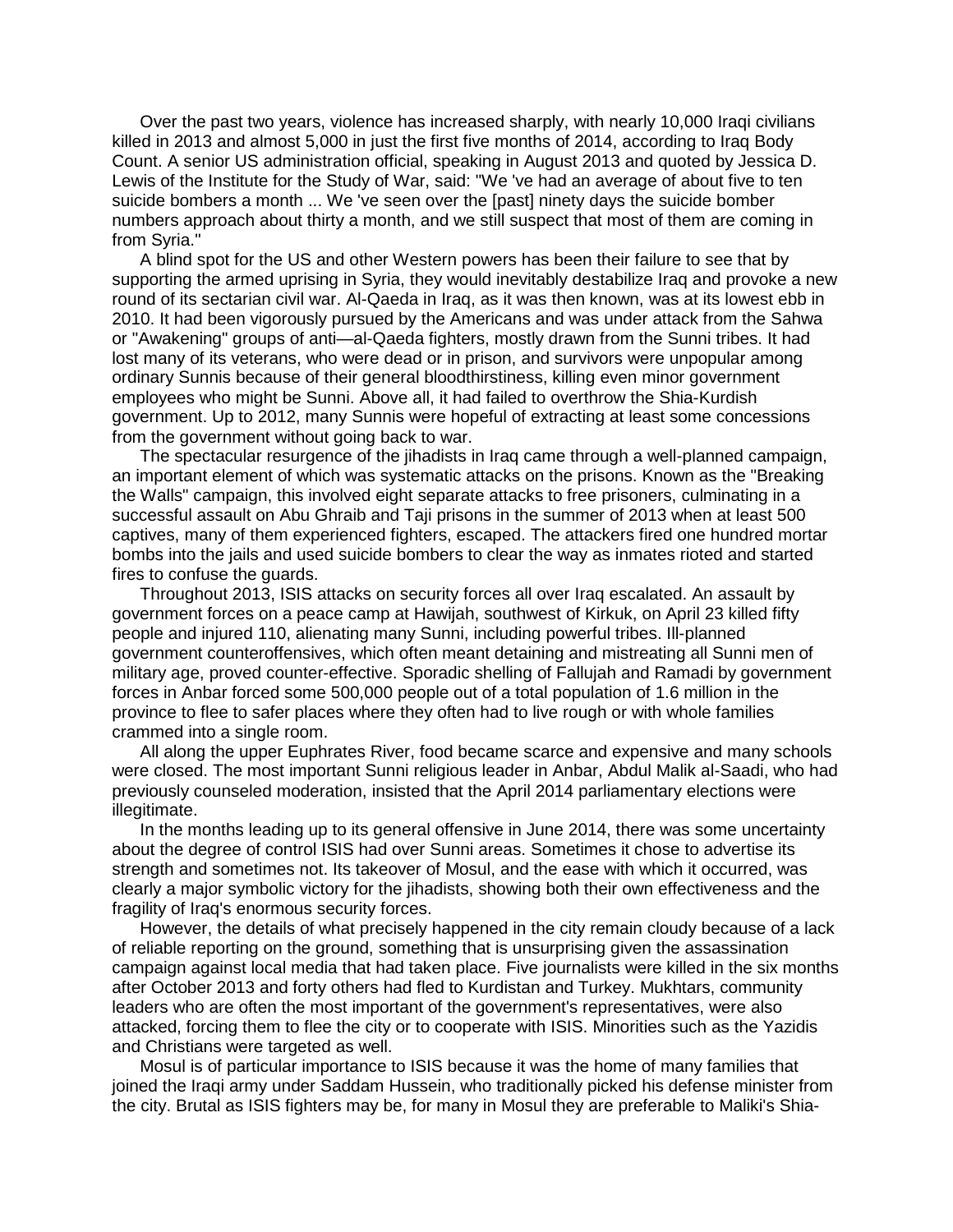Over the past two years, violence has increased sharply, with nearly 10,000 Iraqi civilians killed in 2013 and almost 5,000 in just the first five months of 2014, according to Iraq Body Count. A senior US administration official, speaking in August 2013 and quoted by Jessica D. Lewis of the Institute for the Study of War, said: "We 've had an average of about five to ten suicide bombers a month ... We 've seen over the [past] ninety days the suicide bomber numbers approach about thirty a month, and we still suspect that most of them are coming in from Syria."

A blind spot for the US and other Western powers has been their failure to see that by supporting the armed uprising in Syria, they would inevitably destabilize Iraq and provoke a new round of its sectarian civil war. Al-Qaeda in Iraq, as it was then known, was at its lowest ebb in 2010. It had been vigorously pursued by the Americans and was under attack from the Sahwa or "Awakening" groups of anti—al-Qaeda fighters, mostly drawn from the Sunni tribes. It had lost many of its veterans, who were dead or in prison, and survivors were unpopular among ordinary Sunnis because of their general bloodthirstiness, killing even minor government employees who might be Sunni. Above all, it had failed to overthrow the Shia-Kurdish government. Up to 2012, many Sunnis were hopeful of extracting at least some concessions from the government without going back to war.

The spectacular resurgence of the jihadists in Iraq came through a well-planned campaign, an important element of which was systematic attacks on the prisons. Known as the "Breaking the Walls" campaign, this involved eight separate attacks to free prisoners, culminating in a successful assault on Abu Ghraib and Taji prisons in the summer of 2013 when at least 500 captives, many of them experienced fighters, escaped. The attackers fired one hundred mortar bombs into the jails and used suicide bombers to clear the way as inmates rioted and started fires to confuse the guards.

Throughout 2013, ISIS attacks on security forces all over Iraq escalated. An assault by government forces on a peace camp at Hawijah, southwest of Kirkuk, on April 23 killed fifty people and injured 110, alienating many Sunni, including powerful tribes. Ill-planned government counteroffensives, which often meant detaining and mistreating all Sunni men of military age, proved counter-effective. Sporadic shelling of Fallujah and Ramadi by government forces in Anbar forced some 500,000 people out of a total population of 1.6 million in the province to flee to safer places where they often had to live rough or with whole families crammed into a single room.

All along the upper Euphrates River, food became scarce and expensive and many schools were closed. The most important Sunni religious leader in Anbar, Abdul Malik al-Saadi, who had previously counseled moderation, insisted that the April 2014 parliamentary elections were illegitimate.

In the months leading up to its general offensive in June 2014, there was some uncertainty about the degree of control ISIS had over Sunni areas. Sometimes it chose to advertise its strength and sometimes not. Its takeover of Mosul, and the ease with which it occurred, was clearly a major symbolic victory for the jihadists, showing both their own effectiveness and the fragility of Iraq's enormous security forces.

However, the details of what precisely happened in the city remain cloudy because of a lack of reliable reporting on the ground, something that is unsurprising given the assassination campaign against local media that had taken place. Five journalists were killed in the six months after October 2013 and forty others had fled to Kurdistan and Turkey. Mukhtars, community leaders who are often the most important of the government's representatives, were also attacked, forcing them to flee the city or to cooperate with ISIS. Minorities such as the Yazidis and Christians were targeted as well.

Mosul is of particular importance to ISIS because it was the home of many families that joined the Iraqi army under Saddam Hussein, who traditionally picked his defense minister from the city. Brutal as ISIS fighters may be, for many in Mosul they are preferable to Maliki's Shia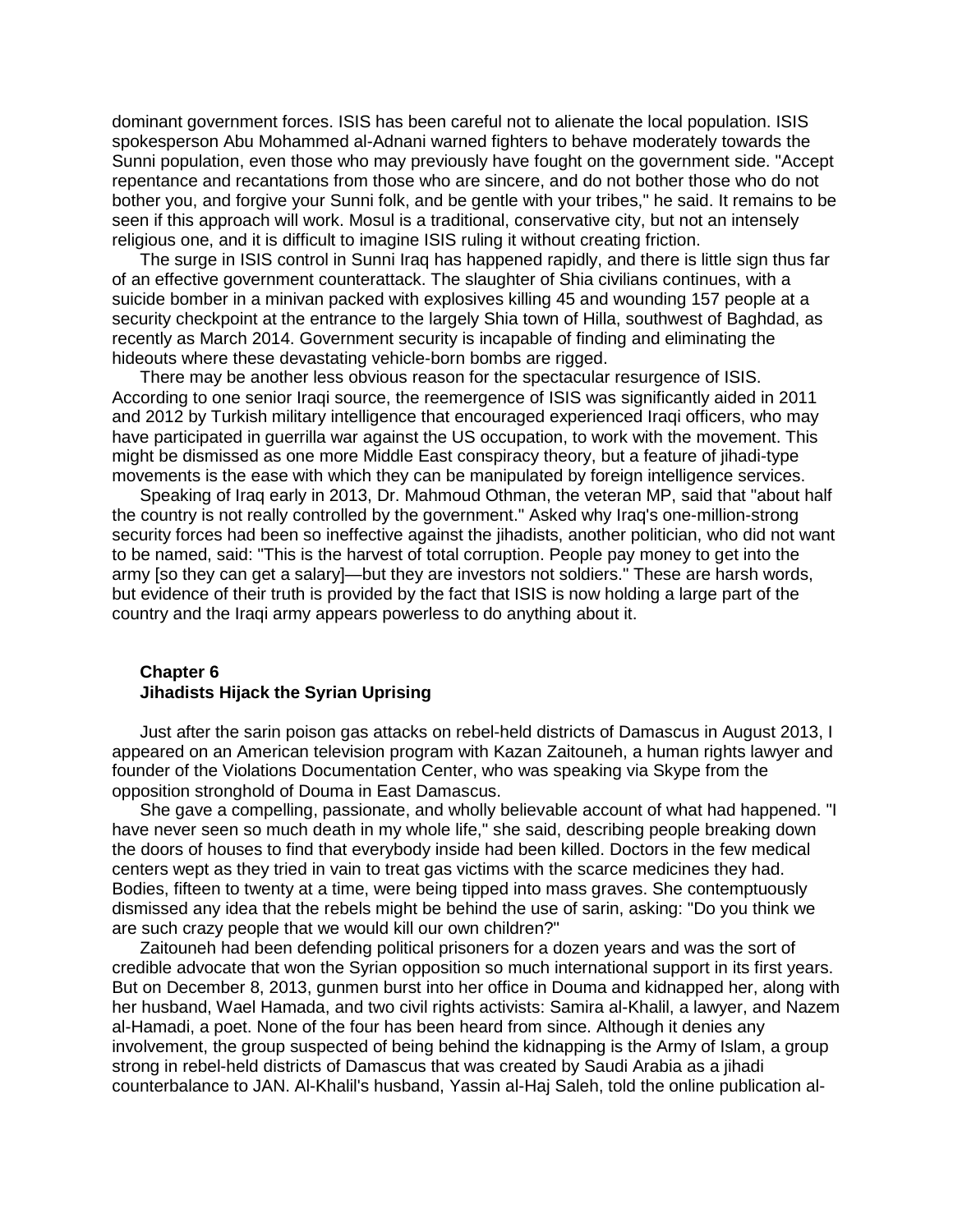dominant government forces. ISIS has been careful not to alienate the local population. ISIS spokesperson Abu Mohammed al-Adnani warned fighters to behave moderately towards the Sunni population, even those who may previously have fought on the government side. "Accept repentance and recantations from those who are sincere, and do not bother those who do not bother you, and forgive your Sunni folk, and be gentle with your tribes," he said. It remains to be seen if this approach will work. Mosul is a traditional, conservative city, but not an intensely religious one, and it is difficult to imagine ISIS ruling it without creating friction.

The surge in ISIS control in Sunni Iraq has happened rapidly, and there is little sign thus far of an effective government counterattack. The slaughter of Shia civilians continues, with a suicide bomber in a minivan packed with explosives killing 45 and wounding 157 people at a security checkpoint at the entrance to the largely Shia town of Hilla, southwest of Baghdad, as recently as March 2014. Government security is incapable of finding and eliminating the hideouts where these devastating vehicle-born bombs are rigged.

There may be another less obvious reason for the spectacular resurgence of ISIS. According to one senior Iraqi source, the reemergence of ISIS was significantly aided in 2011 and 2012 by Turkish military intelligence that encouraged experienced Iraqi officers, who may have participated in guerrilla war against the US occupation, to work with the movement. This might be dismissed as one more Middle East conspiracy theory, but a feature of jihadi-type movements is the ease with which they can be manipulated by foreign intelligence services.

Speaking of Iraq early in 2013, Dr. Mahmoud Othman, the veteran MP, said that "about half the country is not really controlled by the government." Asked why Iraq's one-million-strong security forces had been so ineffective against the jihadists, another politician, who did not want to be named, said: "This is the harvest of total corruption. People pay money to get into the army [so they can get a salary]—but they are investors not soldiers." These are harsh words, but evidence of their truth is provided by the fact that ISIS is now holding a large part of the country and the Iraqi army appears powerless to do anything about it.

## **Chapter 6 Jihadists Hijack the Syrian Uprising**

Just after the sarin poison gas attacks on rebel-held districts of Damascus in August 2013, I appeared on an American television program with Kazan Zaitouneh, a human rights lawyer and founder of the Violations Documentation Center, who was speaking via Skype from the opposition stronghold of Douma in East Damascus.

She gave a compelling, passionate, and wholly believable account of what had happened. "I have never seen so much death in my whole life," she said, describing people breaking down the doors of houses to find that everybody inside had been killed. Doctors in the few medical centers wept as they tried in vain to treat gas victims with the scarce medicines they had. Bodies, fifteen to twenty at a time, were being tipped into mass graves. She contemptuously dismissed any idea that the rebels might be behind the use of sarin, asking: "Do you think we are such crazy people that we would kill our own children?"

Zaitouneh had been defending political prisoners for a dozen years and was the sort of credible advocate that won the Syrian opposition so much international support in its first years. But on December 8, 2013, gunmen burst into her office in Douma and kidnapped her, along with her husband, Wael Hamada, and two civil rights activists: Samira al-Khalil, a lawyer, and Nazem al-Hamadi, a poet. None of the four has been heard from since. Although it denies any involvement, the group suspected of being behind the kidnapping is the Army of Islam, a group strong in rebel-held districts of Damascus that was created by Saudi Arabia as a jihadi counterbalance to JAN. Al-Khalil's husband, Yassin al-Haj Saleh, told the online publication al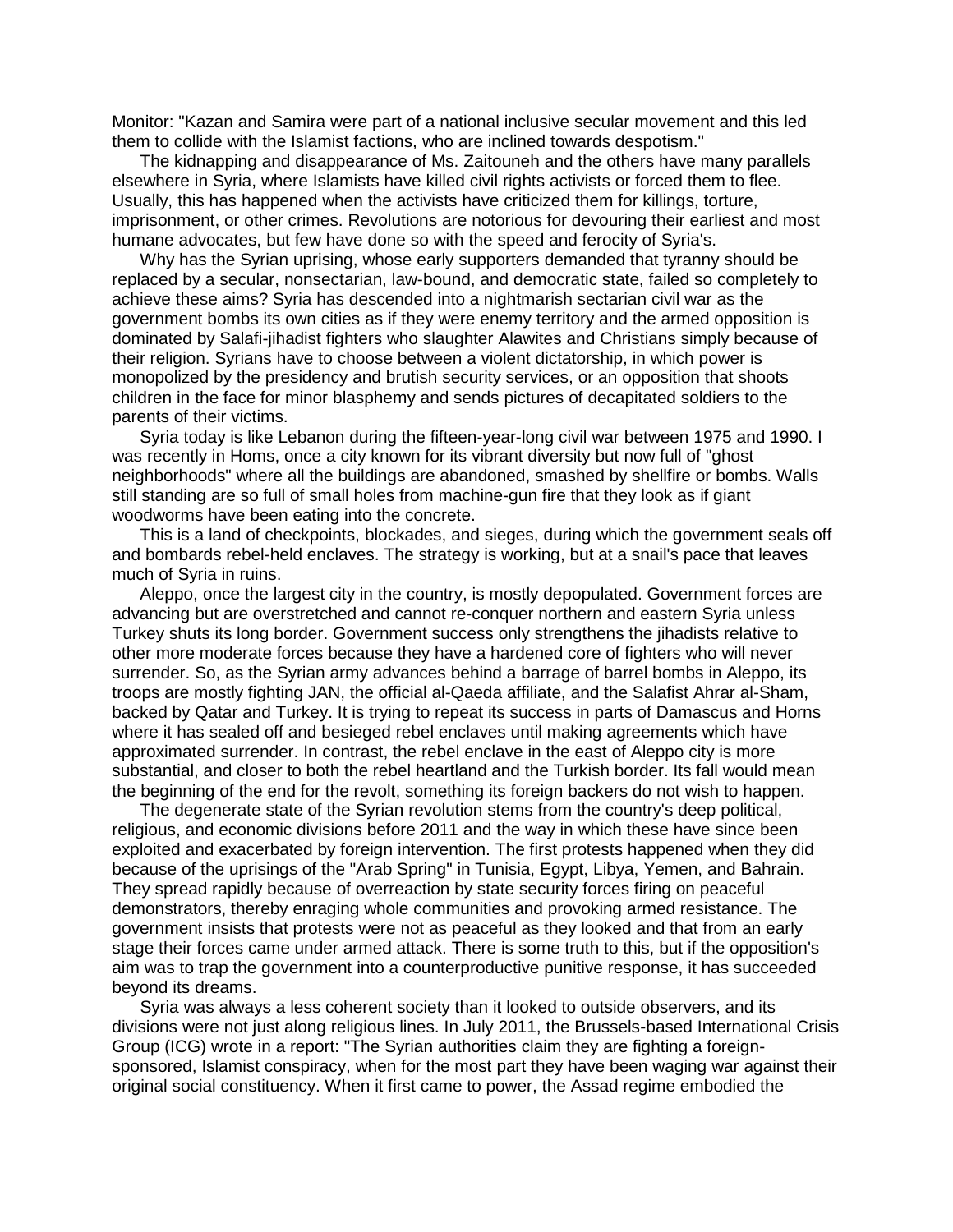Monitor: "Kazan and Samira were part of a national inclusive secular movement and this led them to collide with the Islamist factions, who are inclined towards despotism."

The kidnapping and disappearance of Ms. Zaitouneh and the others have many parallels elsewhere in Syria, where Islamists have killed civil rights activists or forced them to flee. Usually, this has happened when the activists have criticized them for killings, torture, imprisonment, or other crimes. Revolutions are notorious for devouring their earliest and most humane advocates, but few have done so with the speed and ferocity of Syria's.

Why has the Syrian uprising, whose early supporters demanded that tyranny should be replaced by a secular, nonsectarian, law-bound, and democratic state, failed so completely to achieve these aims? Syria has descended into a nightmarish sectarian civil war as the government bombs its own cities as if they were enemy territory and the armed opposition is dominated by Salafi-jihadist fighters who slaughter Alawites and Christians simply because of their religion. Syrians have to choose between a violent dictatorship, in which power is monopolized by the presidency and brutish security services, or an opposition that shoots children in the face for minor blasphemy and sends pictures of decapitated soldiers to the parents of their victims.

Syria today is like Lebanon during the fifteen-year-long civil war between 1975 and 1990. I was recently in Homs, once a city known for its vibrant diversity but now full of "ahost neighborhoods" where all the buildings are abandoned, smashed by shellfire or bombs. Walls still standing are so full of small holes from machine-gun fire that they look as if giant woodworms have been eating into the concrete.

This is a land of checkpoints, blockades, and sieges, during which the government seals off and bombards rebel-held enclaves. The strategy is working, but at a snail's pace that leaves much of Syria in ruins.

Aleppo, once the largest city in the country, is mostly depopulated. Government forces are advancing but are overstretched and cannot re-conquer northern and eastern Syria unless Turkey shuts its long border. Government success only strengthens the jihadists relative to other more moderate forces because they have a hardened core of fighters who will never surrender. So, as the Syrian army advances behind a barrage of barrel bombs in Aleppo, its troops are mostly fighting JAN, the official al-Qaeda affiliate, and the Salafist Ahrar al-Sham, backed by Qatar and Turkey. It is trying to repeat its success in parts of Damascus and Horns where it has sealed off and besieged rebel enclaves until making agreements which have approximated surrender. In contrast, the rebel enclave in the east of Aleppo city is more substantial, and closer to both the rebel heartland and the Turkish border. Its fall would mean the beginning of the end for the revolt, something its foreign backers do not wish to happen.

The degenerate state of the Syrian revolution stems from the country's deep political, religious, and economic divisions before 2011 and the way in which these have since been exploited and exacerbated by foreign intervention. The first protests happened when they did because of the uprisings of the "Arab Spring" in Tunisia, Egypt, Libya, Yemen, and Bahrain. They spread rapidly because of overreaction by state security forces firing on peaceful demonstrators, thereby enraging whole communities and provoking armed resistance. The government insists that protests were not as peaceful as they looked and that from an early stage their forces came under armed attack. There is some truth to this, but if the opposition's aim was to trap the government into a counterproductive punitive response, it has succeeded beyond its dreams.

Syria was always a less coherent society than it looked to outside observers, and its divisions were not just along religious lines. In July 2011, the Brussels-based International Crisis Group (ICG) wrote in a report: "The Syrian authorities claim they are fighting a foreignsponsored, Islamist conspiracy, when for the most part they have been waging war against their original social constituency. When it first came to power, the Assad regime embodied the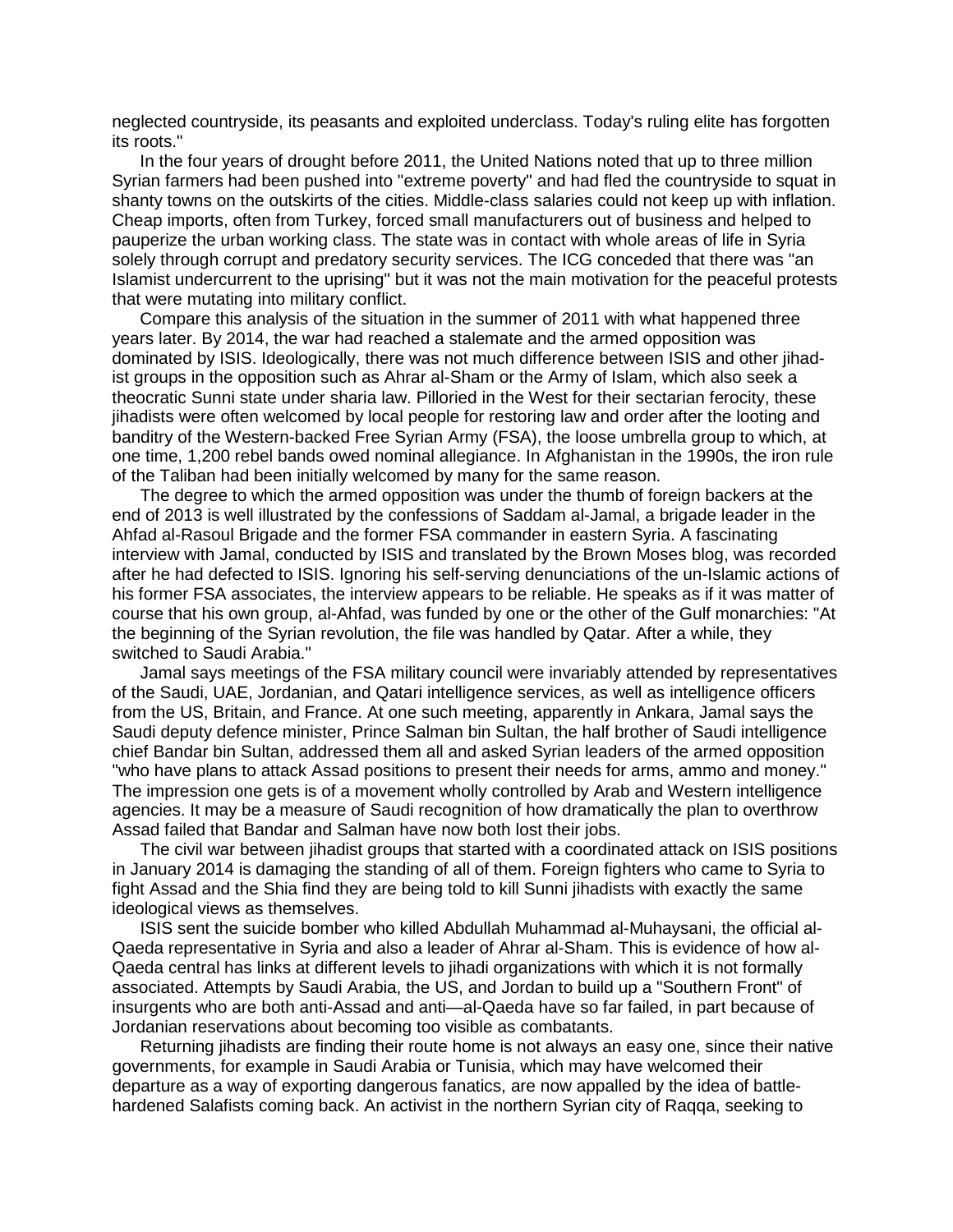neglected countryside, its peasants and exploited underclass. Today's ruling elite has forgotten its roots."

In the four years of drought before 2011, the United Nations noted that up to three million Syrian farmers had been pushed into "extreme poverty" and had fled the countryside to squat in shanty towns on the outskirts of the cities. Middle-class salaries could not keep up with inflation. Cheap imports, often from Turkey, forced small manufacturers out of business and helped to pauperize the urban working class. The state was in contact with whole areas of life in Syria solely through corrupt and predatory security services. The ICG conceded that there was "an Islamist undercurrent to the uprising" but it was not the main motivation for the peaceful protests that were mutating into military conflict.

Compare this analysis of the situation in the summer of 2011 with what happened three years later. By 2014, the war had reached a stalemate and the armed opposition was dominated by ISIS. Ideologically, there was not much difference between ISIS and other jihadist groups in the opposition such as Ahrar al-Sham or the Army of Islam, which also seek a theocratic Sunni state under sharia law. Pilloried in the West for their sectarian ferocity, these jihadists were often welcomed by local people for restoring law and order after the looting and banditry of the Western-backed Free Syrian Army (FSA), the loose umbrella group to which, at one time, 1,200 rebel bands owed nominal allegiance. In Afghanistan in the 1990s, the iron rule of the Taliban had been initially welcomed by many for the same reason.

The degree to which the armed opposition was under the thumb of foreign backers at the end of 2013 is well illustrated by the confessions of Saddam al-Jamal, a brigade leader in the Ahfad al-Rasoul Brigade and the former FSA commander in eastern Syria. A fascinating interview with Jamal, conducted by ISIS and translated by the Brown Moses blog, was recorded after he had defected to ISIS. Ignoring his self-serving denunciations of the un-Islamic actions of his former FSA associates, the interview appears to be reliable. He speaks as if it was matter of course that his own group, al-Ahfad, was funded by one or the other of the Gulf monarchies: "At the beginning of the Syrian revolution, the file was handled by Qatar. After a while, they switched to Saudi Arabia."

Jamal says meetings of the FSA military council were invariably attended by representatives of the Saudi, UAE, Jordanian, and Qatari intelligence services, as well as intelligence officers from the US, Britain, and France. At one such meeting, apparently in Ankara, Jamal says the Saudi deputy defence minister, Prince Salman bin Sultan, the half brother of Saudi intelligence chief Bandar bin Sultan, addressed them all and asked Syrian leaders of the armed opposition "who have plans to attack Assad positions to present their needs for arms, ammo and money." The impression one gets is of a movement wholly controlled by Arab and Western intelligence agencies. It may be a measure of Saudi recognition of how dramatically the plan to overthrow Assad failed that Bandar and Salman have now both lost their jobs.

The civil war between jihadist groups that started with a coordinated attack on ISIS positions in January 2014 is damaging the standing of all of them. Foreign fighters who came to Syria to fight Assad and the Shia find they are being told to kill Sunni jihadists with exactly the same ideological views as themselves.

ISIS sent the suicide bomber who killed Abdullah Muhammad al-Muhaysani, the official al-Qaeda representative in Syria and also a leader of Ahrar al-Sham. This is evidence of how al-Qaeda central has links at different levels to jihadi organizations with which it is not formally associated. Attempts by Saudi Arabia, the US, and Jordan to build up a "Southern Front" of insurgents who are both anti-Assad and anti—al-Qaeda have so far failed, in part because of Jordanian reservations about becoming too visible as combatants.

Returning jihadists are finding their route home is not always an easy one, since their native governments, for example in Saudi Arabia or Tunisia, which may have welcomed their departure as a way of exporting dangerous fanatics, are now appalled by the idea of battlehardened Salafists coming back. An activist in the northern Syrian city of Raqqa, seeking to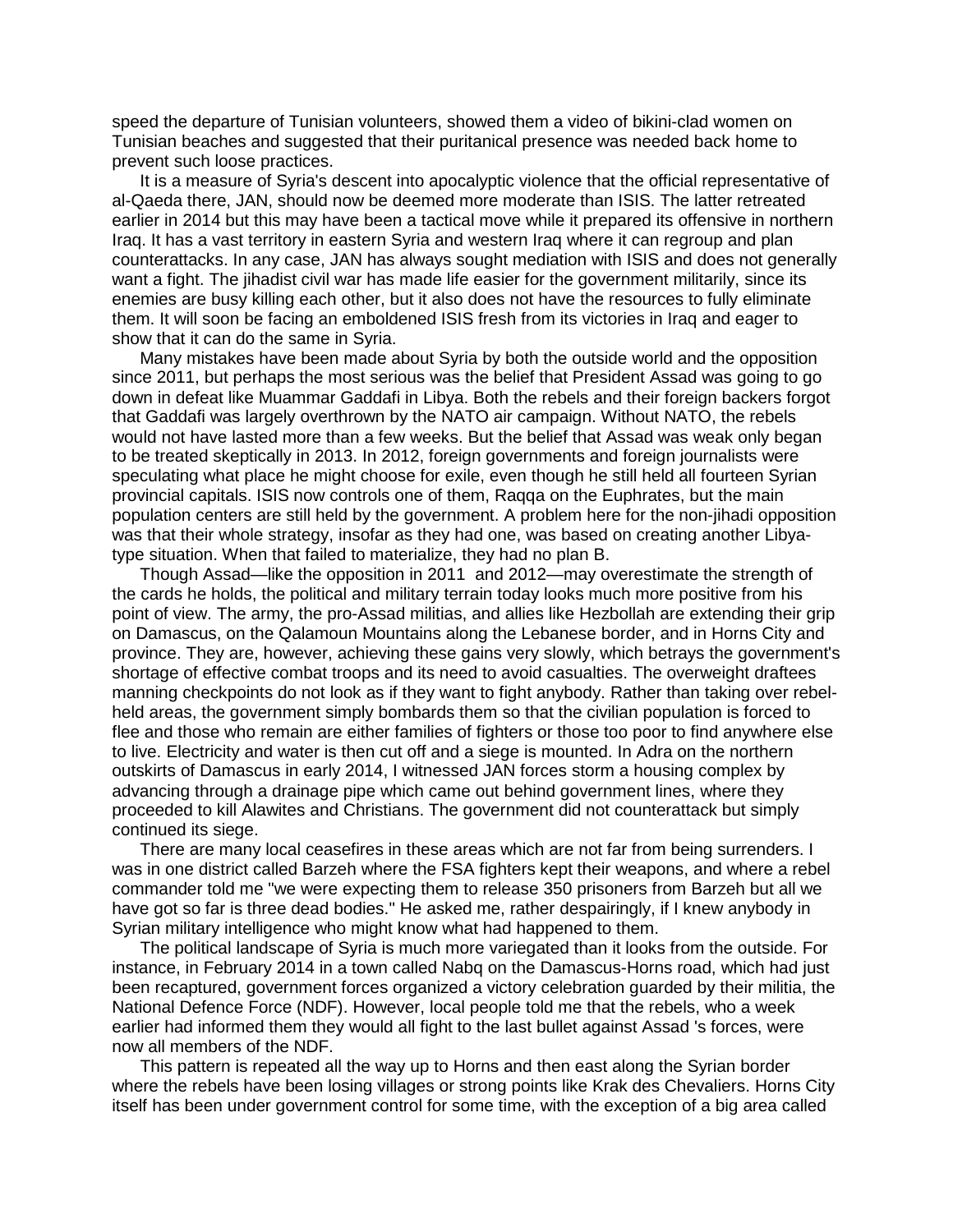speed the departure of Tunisian volunteers, showed them a video of bikini-clad women on Tunisian beaches and suggested that their puritanical presence was needed back home to prevent such loose practices.

It is a measure of Syria's descent into apocalyptic violence that the official representative of al-Qaeda there, JAN, should now be deemed more moderate than ISIS. The latter retreated earlier in 2014 but this may have been a tactical move while it prepared its offensive in northern Iraq. It has a vast territory in eastern Syria and western Iraq where it can regroup and plan counterattacks. In any case, JAN has always sought mediation with ISIS and does not generally want a fight. The jihadist civil war has made life easier for the government militarily, since its enemies are busy killing each other, but it also does not have the resources to fully eliminate them. It will soon be facing an emboldened ISIS fresh from its victories in Iraq and eager to show that it can do the same in Syria.

Many mistakes have been made about Syria by both the outside world and the opposition since 2011, but perhaps the most serious was the belief that President Assad was going to go down in defeat like Muammar Gaddafi in Libya. Both the rebels and their foreign backers forgot that Gaddafi was largely overthrown by the NATO air campaign. Without NATO, the rebels would not have lasted more than a few weeks. But the belief that Assad was weak only began to be treated skeptically in 2013. In 2012, foreign governments and foreign journalists were speculating what place he might choose for exile, even though he still held all fourteen Syrian provincial capitals. ISIS now controls one of them, Raqqa on the Euphrates, but the main population centers are still held by the government. A problem here for the non-jihadi opposition was that their whole strategy, insofar as they had one, was based on creating another Libyatype situation. When that failed to materialize, they had no plan B.

Though Assad—like the opposition in 2011 and 2012—may overestimate the strength of the cards he holds, the political and military terrain today looks much more positive from his point of view. The army, the pro-Assad militias, and allies like Hezbollah are extending their grip on Damascus, on the Qalamoun Mountains along the Lebanese border, and in Horns City and province. They are, however, achieving these gains very slowly, which betrays the government's shortage of effective combat troops and its need to avoid casualties. The overweight draftees manning checkpoints do not look as if they want to fight anybody. Rather than taking over rebelheld areas, the government simply bombards them so that the civilian population is forced to flee and those who remain are either families of fighters or those too poor to find anywhere else to live. Electricity and water is then cut off and a siege is mounted. In Adra on the northern outskirts of Damascus in early 2014, I witnessed JAN forces storm a housing complex by advancing through a drainage pipe which came out behind government lines, where they proceeded to kill Alawites and Christians. The government did not counterattack but simply continued its siege.

There are many local ceasefires in these areas which are not far from being surrenders. I was in one district called Barzeh where the FSA fighters kept their weapons, and where a rebel commander told me "we were expecting them to release 350 prisoners from Barzeh but all we have got so far is three dead bodies." He asked me, rather despairingly, if I knew anybody in Syrian military intelligence who might know what had happened to them.

The political landscape of Syria is much more variegated than it looks from the outside. For instance, in February 2014 in a town called Nabq on the Damascus-Horns road, which had just been recaptured, government forces organized a victory celebration guarded by their militia, the National Defence Force (NDF). However, local people told me that the rebels, who a week earlier had informed them they would all fight to the last bullet against Assad 's forces, were now all members of the NDF.

This pattern is repeated all the way up to Horns and then east along the Syrian border where the rebels have been losing villages or strong points like Krak des Chevaliers. Horns City itself has been under government control for some time, with the exception of a big area called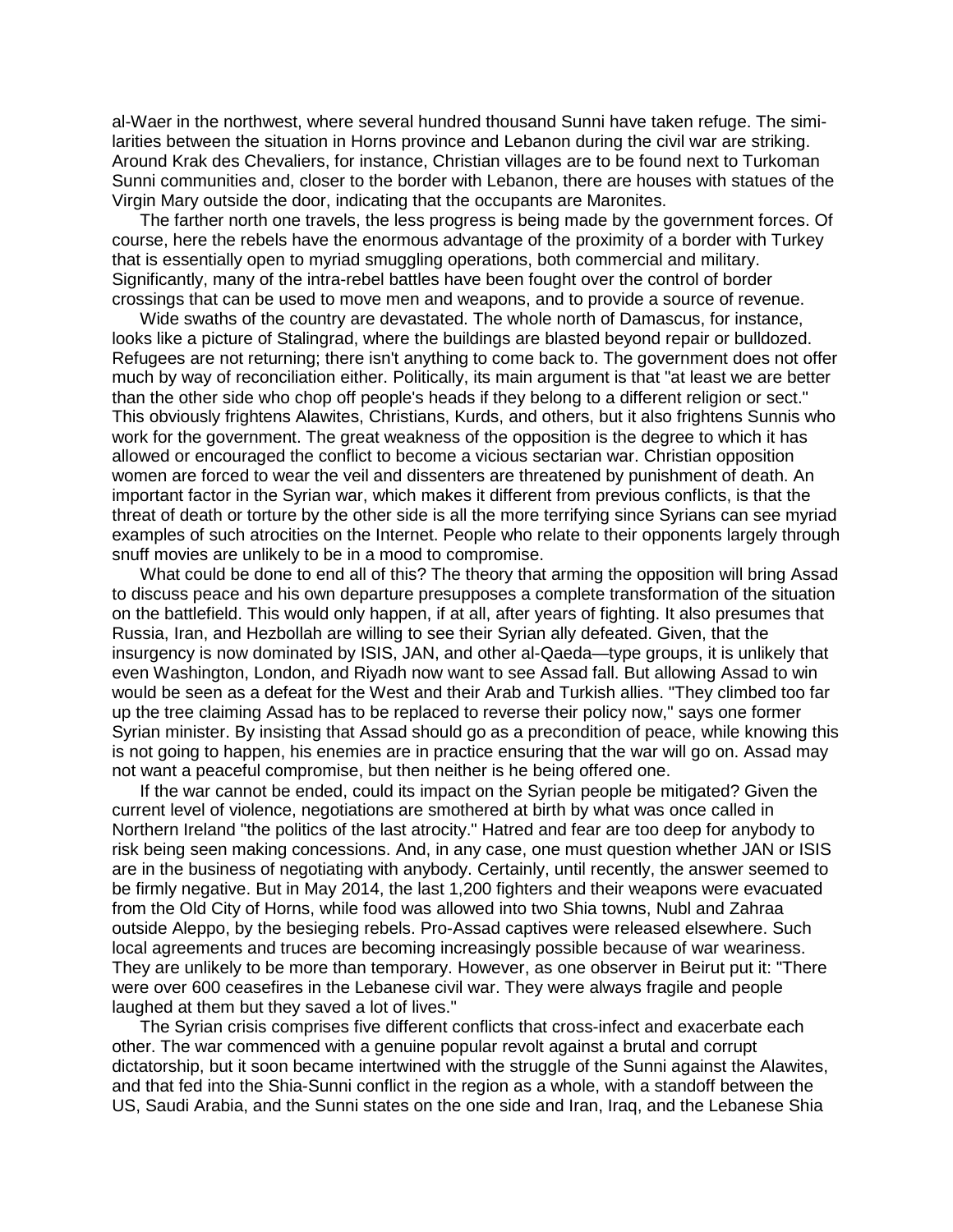al-Waer in the northwest, where several hundred thousand Sunni have taken refuge. The similarities between the situation in Horns province and Lebanon during the civil war are striking. Around Krak des Chevaliers, for instance, Christian villages are to be found next to Turkoman Sunni communities and, closer to the border with Lebanon, there are houses with statues of the Virgin Mary outside the door, indicating that the occupants are Maronites.

The farther north one travels, the less progress is being made by the government forces. Of course, here the rebels have the enormous advantage of the proximity of a border with Turkey that is essentially open to myriad smuggling operations, both commercial and military. Significantly, many of the intra-rebel battles have been fought over the control of border crossings that can be used to move men and weapons, and to provide a source of revenue.

Wide swaths of the country are devastated. The whole north of Damascus, for instance, looks like a picture of Stalingrad, where the buildings are blasted beyond repair or bulldozed. Refugees are not returning; there isn't anything to come back to. The government does not offer much by way of reconciliation either. Politically, its main argument is that "at least we are better than the other side who chop off people's heads if they belong to a different religion or sect." This obviously frightens Alawites, Christians, Kurds, and others, but it also frightens Sunnis who work for the government. The great weakness of the opposition is the degree to which it has allowed or encouraged the conflict to become a vicious sectarian war. Christian opposition women are forced to wear the veil and dissenters are threatened by punishment of death. An important factor in the Syrian war, which makes it different from previous conflicts, is that the threat of death or torture by the other side is all the more terrifying since Syrians can see myriad examples of such atrocities on the Internet. People who relate to their opponents largely through snuff movies are unlikely to be in a mood to compromise.

What could be done to end all of this? The theory that arming the opposition will bring Assad to discuss peace and his own departure presupposes a complete transformation of the situation on the battlefield. This would only happen, if at all, after years of fighting. It also presumes that Russia, Iran, and Hezbollah are willing to see their Syrian ally defeated. Given, that the insurgency is now dominated by ISIS, JAN, and other al-Qaeda—type groups, it is unlikely that even Washington, London, and Riyadh now want to see Assad fall. But allowing Assad to win would be seen as a defeat for the West and their Arab and Turkish allies. "They climbed too far up the tree claiming Assad has to be replaced to reverse their policy now," says one former Syrian minister. By insisting that Assad should go as a precondition of peace, while knowing this is not going to happen, his enemies are in practice ensuring that the war will go on. Assad may not want a peaceful compromise, but then neither is he being offered one.

If the war cannot be ended, could its impact on the Syrian people be mitigated? Given the current level of violence, negotiations are smothered at birth by what was once called in Northern Ireland "the politics of the last atrocity." Hatred and fear are too deep for anybody to risk being seen making concessions. And, in any case, one must question whether JAN or ISIS are in the business of negotiating with anybody. Certainly, until recently, the answer seemed to be firmly negative. But in May 2014, the last 1,200 fighters and their weapons were evacuated from the Old City of Horns, while food was allowed into two Shia towns, Nubl and Zahraa outside Aleppo, by the besieging rebels. Pro-Assad captives were released elsewhere. Such local agreements and truces are becoming increasingly possible because of war weariness. They are unlikely to be more than temporary. However, as one observer in Beirut put it: "There were over 600 ceasefires in the Lebanese civil war. They were always fragile and people laughed at them but they saved a lot of lives."

The Syrian crisis comprises five different conflicts that cross-infect and exacerbate each other. The war commenced with a genuine popular revolt against a brutal and corrupt dictatorship, but it soon became intertwined with the struggle of the Sunni against the Alawites, and that fed into the Shia-Sunni conflict in the region as a whole, with a standoff between the US, Saudi Arabia, and the Sunni states on the one side and Iran, Iraq, and the Lebanese Shia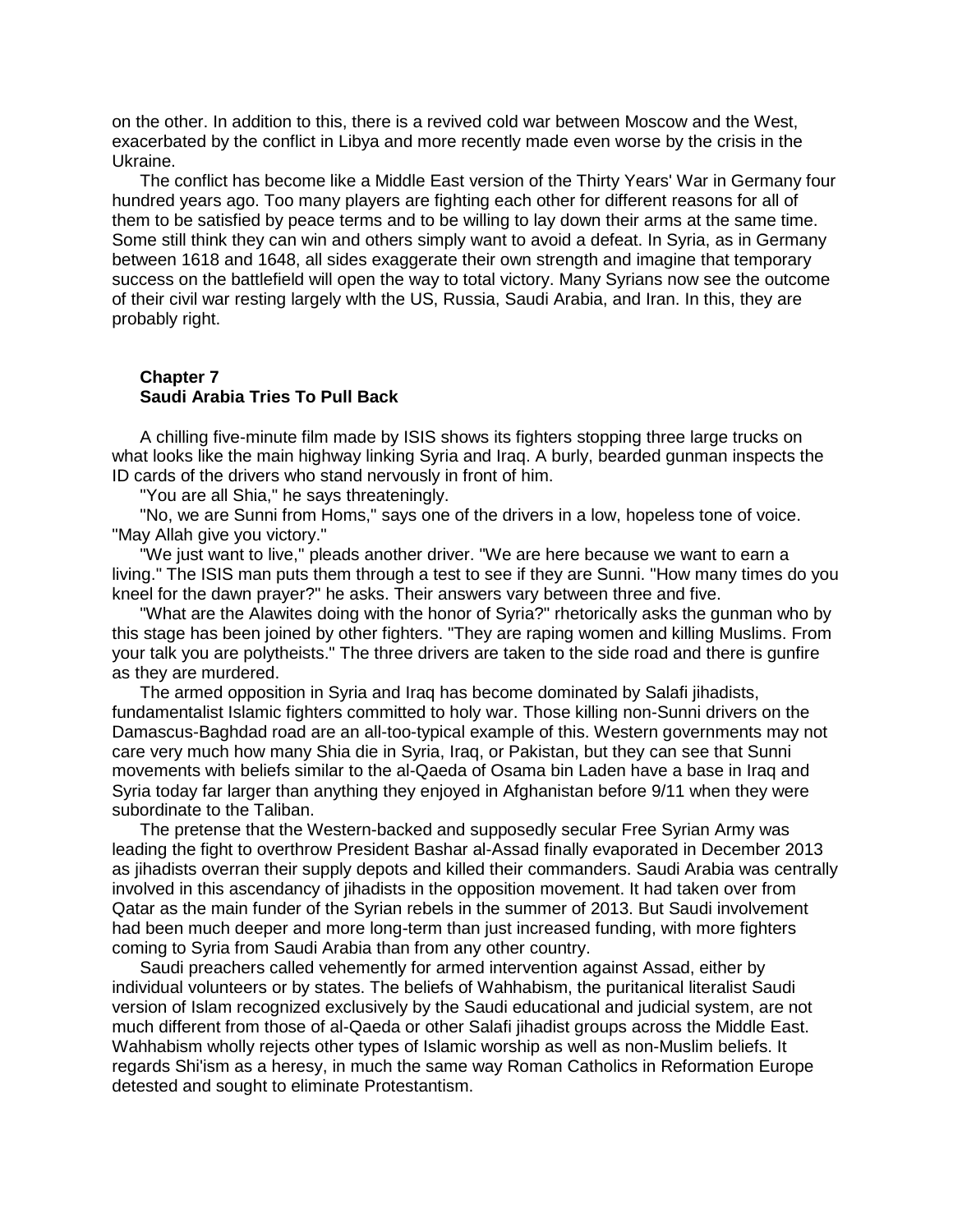on the other. In addition to this, there is a revived cold war between Moscow and the West, exacerbated by the conflict in Libya and more recently made even worse by the crisis in the Ukraine.

The conflict has become like a Middle East version of the Thirty Years' War in Germany four hundred years ago. Too many players are fighting each other for different reasons for all of them to be satisfied by peace terms and to be willing to lay down their arms at the same time. Some still think they can win and others simply want to avoid a defeat. In Syria, as in Germany between 1618 and 1648, all sides exaggerate their own strength and imagine that temporary success on the battlefield will open the way to total victory. Many Syrians now see the outcome of their civil war resting largely wlth the US, Russia, Saudi Arabia, and Iran. In this, they are probably right.

#### **Chapter 7 Saudi Arabia Tries To Pull Back**

A chilling five-minute film made by ISIS shows its fighters stopping three large trucks on what looks like the main highway linking Syria and Iraq. A burly, bearded gunman inspects the ID cards of the drivers who stand nervously in front of him.

"You are all Shia," he says threateningly.

"No, we are Sunni from Homs," says one of the drivers in a low, hopeless tone of voice. "May Allah give you victory."

"We just want to live," pleads another driver. "We are here because we want to earn a living." The ISIS man puts them through a test to see if they are Sunni. "How many times do you kneel for the dawn prayer?" he asks. Their answers vary between three and five.

"What are the Alawites doing with the honor of Syria?" rhetorically asks the gunman who by this stage has been joined by other fighters. "They are raping women and killing Muslims. From your talk you are polytheists." The three drivers are taken to the side road and there is gunfire as they are murdered.

The armed opposition in Syria and Iraq has become dominated by Salafi jihadists, fundamentalist Islamic fighters committed to holy war. Those killing non-Sunni drivers on the Damascus-Baghdad road are an all-too-typical example of this. Western governments may not care very much how many Shia die in Syria, Iraq, or Pakistan, but they can see that Sunni movements with beliefs similar to the al-Qaeda of Osama bin Laden have a base in Iraq and Syria today far larger than anything they enjoyed in Afghanistan before 9/11 when they were subordinate to the Taliban.

The pretense that the Western-backed and supposedly secular Free Syrian Army was leading the fight to overthrow President Bashar al-Assad finally evaporated in December 2013 as jihadists overran their supply depots and killed their commanders. Saudi Arabia was centrally involved in this ascendancy of jihadists in the opposition movement. It had taken over from Qatar as the main funder of the Syrian rebels in the summer of 2013. But Saudi involvement had been much deeper and more long-term than just increased funding, with more fighters coming to Syria from Saudi Arabia than from any other country.

Saudi preachers called vehemently for armed intervention against Assad, either by individual volunteers or by states. The beliefs of Wahhabism, the puritanical literalist Saudi version of Islam recognized exclusively by the Saudi educational and judicial system, are not much different from those of al-Qaeda or other Salafi jihadist groups across the Middle East. Wahhabism wholly rejects other types of Islamic worship as well as non-Muslim beliefs. It regards Shi'ism as a heresy, in much the same way Roman Catholics in Reformation Europe detested and sought to eliminate Protestantism.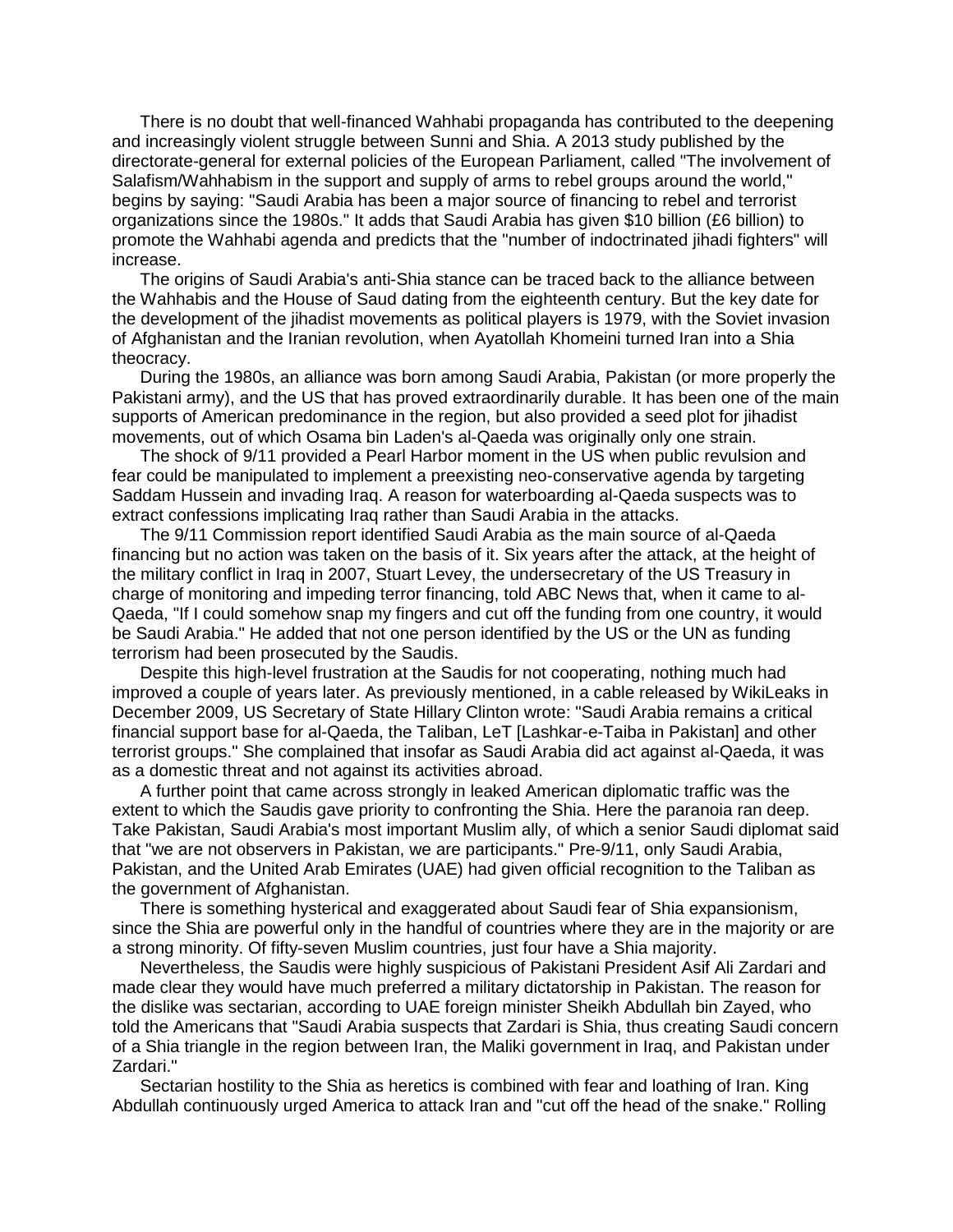There is no doubt that well-financed Wahhabi propaganda has contributed to the deepening and increasingly violent struggle between Sunni and Shia. A 2013 study published by the directorate-general for external policies of the European Parliament, called "The involvement of Salafism/Wahhabism in the support and supply of arms to rebel groups around the world," begins by saying: "Saudi Arabia has been a major source of financing to rebel and terrorist organizations since the 1980s." It adds that Saudi Arabia has given \$10 billion (£6 billion) to promote the Wahhabi agenda and predicts that the "number of indoctrinated jihadi fighters" will increase.

The origins of Saudi Arabia's anti-Shia stance can be traced back to the alliance between the Wahhabis and the House of Saud dating from the eighteenth century. But the key date for the development of the jihadist movements as political players is 1979, with the Soviet invasion of Afghanistan and the Iranian revolution, when Ayatollah Khomeini turned Iran into a Shia theocracy.

During the 1980s, an alliance was born among Saudi Arabia, Pakistan (or more properly the Pakistani army), and the US that has proved extraordinarily durable. It has been one of the main supports of American predominance in the region, but also provided a seed plot for jihadist movements, out of which Osama bin Laden's al-Qaeda was originally only one strain.

The shock of 9/11 provided a Pearl Harbor moment in the US when public revulsion and fear could be manipulated to implement a preexisting neo-conservative agenda by targeting Saddam Hussein and invading Iraq. A reason for waterboarding al-Qaeda suspects was to extract confessions implicating Iraq rather than Saudi Arabia in the attacks.

The 9/11 Commission report identified Saudi Arabia as the main source of al-Qaeda financing but no action was taken on the basis of it. Six years after the attack, at the height of the military conflict in Iraq in 2007, Stuart Levey, the undersecretary of the US Treasury in charge of monitoring and impeding terror financing, told ABC News that, when it came to al-Qaeda, "If I could somehow snap my fingers and cut off the funding from one country, it would be Saudi Arabia." He added that not one person identified by the US or the UN as funding terrorism had been prosecuted by the Saudis.

Despite this high-level frustration at the Saudis for not cooperating, nothing much had improved a couple of years later. As previously mentioned, in a cable released by WikiLeaks in December 2009, US Secretary of State Hillary Clinton wrote: "Saudi Arabia remains a critical financial support base for al-Qaeda, the Taliban, LeT [Lashkar-e-Taiba in Pakistan] and other terrorist groups." She complained that insofar as Saudi Arabia did act against al-Qaeda, it was as a domestic threat and not against its activities abroad.

A further point that came across strongly in leaked American diplomatic traffic was the extent to which the Saudis gave priority to confronting the Shia. Here the paranoia ran deep. Take Pakistan, Saudi Arabia's most important Muslim ally, of which a senior Saudi diplomat said that "we are not observers in Pakistan, we are participants." Pre-9/11, only Saudi Arabia, Pakistan, and the United Arab Emirates (UAE) had given official recognition to the Taliban as the government of Afghanistan.

There is something hysterical and exaggerated about Saudi fear of Shia expansionism, since the Shia are powerful only in the handful of countries where they are in the majority or are a strong minority. Of fifty-seven Muslim countries, just four have a Shia majority.

Nevertheless, the Saudis were highly suspicious of Pakistani President Asif Ali Zardari and made clear they would have much preferred a military dictatorship in Pakistan. The reason for the dislike was sectarian, according to UAE foreign minister Sheikh Abdullah bin Zayed, who told the Americans that "Saudi Arabia suspects that Zardari is Shia, thus creating Saudi concern of a Shia triangle in the region between Iran, the Maliki government in Iraq, and Pakistan under Zardari."

Sectarian hostility to the Shia as heretics is combined with fear and loathing of Iran. King Abdullah continuously urged America to attack Iran and "cut off the head of the snake." Rolling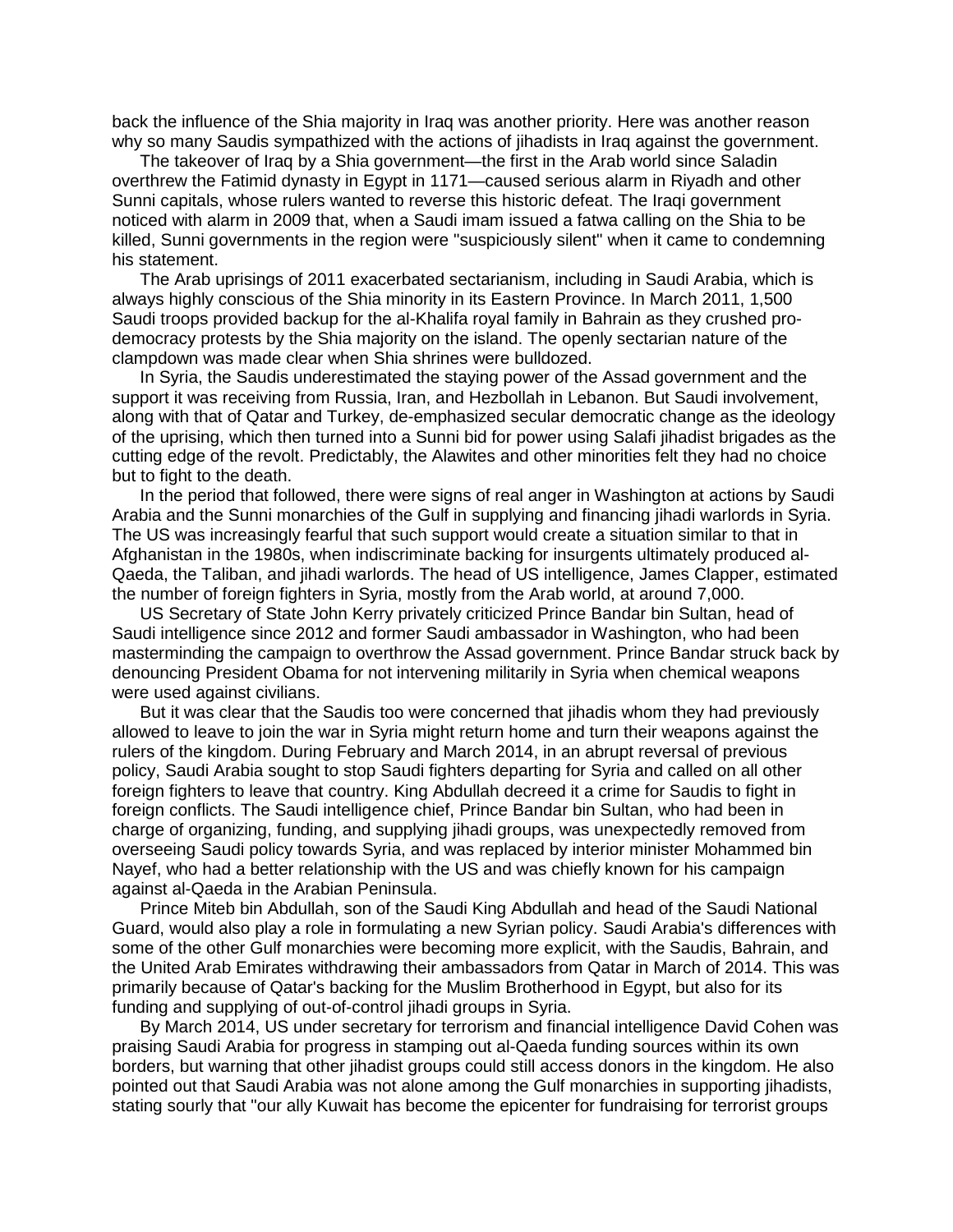back the influence of the Shia majority in Iraq was another priority. Here was another reason why so many Saudis sympathized with the actions of jihadists in Iraq against the government.

The takeover of Iraq by a Shia government—the first in the Arab world since Saladin overthrew the Fatimid dynasty in Egypt in 1171—caused serious alarm in Riyadh and other Sunni capitals, whose rulers wanted to reverse this historic defeat. The Iraqi government noticed with alarm in 2009 that, when a Saudi imam issued a fatwa calling on the Shia to be killed, Sunni governments in the region were "suspiciously silent" when it came to condemning his statement.

The Arab uprisings of 2011 exacerbated sectarianism, including in Saudi Arabia, which is always highly conscious of the Shia minority in its Eastern Province. In March 2011, 1,500 Saudi troops provided backup for the al-Khalifa royal family in Bahrain as they crushed prodemocracy protests by the Shia majority on the island. The openly sectarian nature of the clampdown was made clear when Shia shrines were bulldozed.

In Syria, the Saudis underestimated the staying power of the Assad government and the support it was receiving from Russia, Iran, and Hezbollah in Lebanon. But Saudi involvement, along with that of Qatar and Turkey, de-emphasized secular democratic change as the ideology of the uprising, which then turned into a Sunni bid for power using Salafi jihadist brigades as the cutting edge of the revolt. Predictably, the Alawites and other minorities felt they had no choice but to fight to the death.

In the period that followed, there were signs of real anger in Washington at actions by Saudi Arabia and the Sunni monarchies of the Gulf in supplying and financing jihadi warlords in Syria. The US was increasingly fearful that such support would create a situation similar to that in Afghanistan in the 1980s, when indiscriminate backing for insurgents ultimately produced al-Qaeda, the Taliban, and jihadi warlords. The head of US intelligence, James Clapper, estimated the number of foreign fighters in Syria, mostly from the Arab world, at around 7,000.

US Secretary of State John Kerry privately criticized Prince Bandar bin Sultan, head of Saudi intelligence since 2012 and former Saudi ambassador in Washington, who had been masterminding the campaign to overthrow the Assad government. Prince Bandar struck back by denouncing President Obama for not intervening militarily in Syria when chemical weapons were used against civilians.

But it was clear that the Saudis too were concerned that jihadis whom they had previously allowed to leave to join the war in Syria might return home and turn their weapons against the rulers of the kingdom. During February and March 2014, in an abrupt reversal of previous policy, Saudi Arabia sought to stop Saudi fighters departing for Syria and called on all other foreign fighters to leave that country. King Abdullah decreed it a crime for Saudis to fight in foreign conflicts. The Saudi intelligence chief, Prince Bandar bin Sultan, who had been in charge of organizing, funding, and supplying jihadi groups, was unexpectedly removed from overseeing Saudi policy towards Syria, and was replaced by interior minister Mohammed bin Nayef, who had a better relationship with the US and was chiefly known for his campaign against al-Qaeda in the Arabian Peninsula.

Prince Miteb bin Abdullah, son of the Saudi King Abdullah and head of the Saudi National Guard, would also play a role in formulating a new Syrian policy. Saudi Arabia's differences with some of the other Gulf monarchies were becoming more explicit, with the Saudis, Bahrain, and the United Arab Emirates withdrawing their ambassadors from Qatar in March of 2014. This was primarily because of Qatar's backing for the Muslim Brotherhood in Egypt, but also for its funding and supplying of out-of-control jihadi groups in Syria.

By March 2014, US under secretary for terrorism and financial intelligence David Cohen was praising Saudi Arabia for progress in stamping out al-Qaeda funding sources within its own borders, but warning that other jihadist groups could still access donors in the kingdom. He also pointed out that Saudi Arabia was not alone among the Gulf monarchies in supporting jihadists, stating sourly that "our ally Kuwait has become the epicenter for fundraising for terrorist groups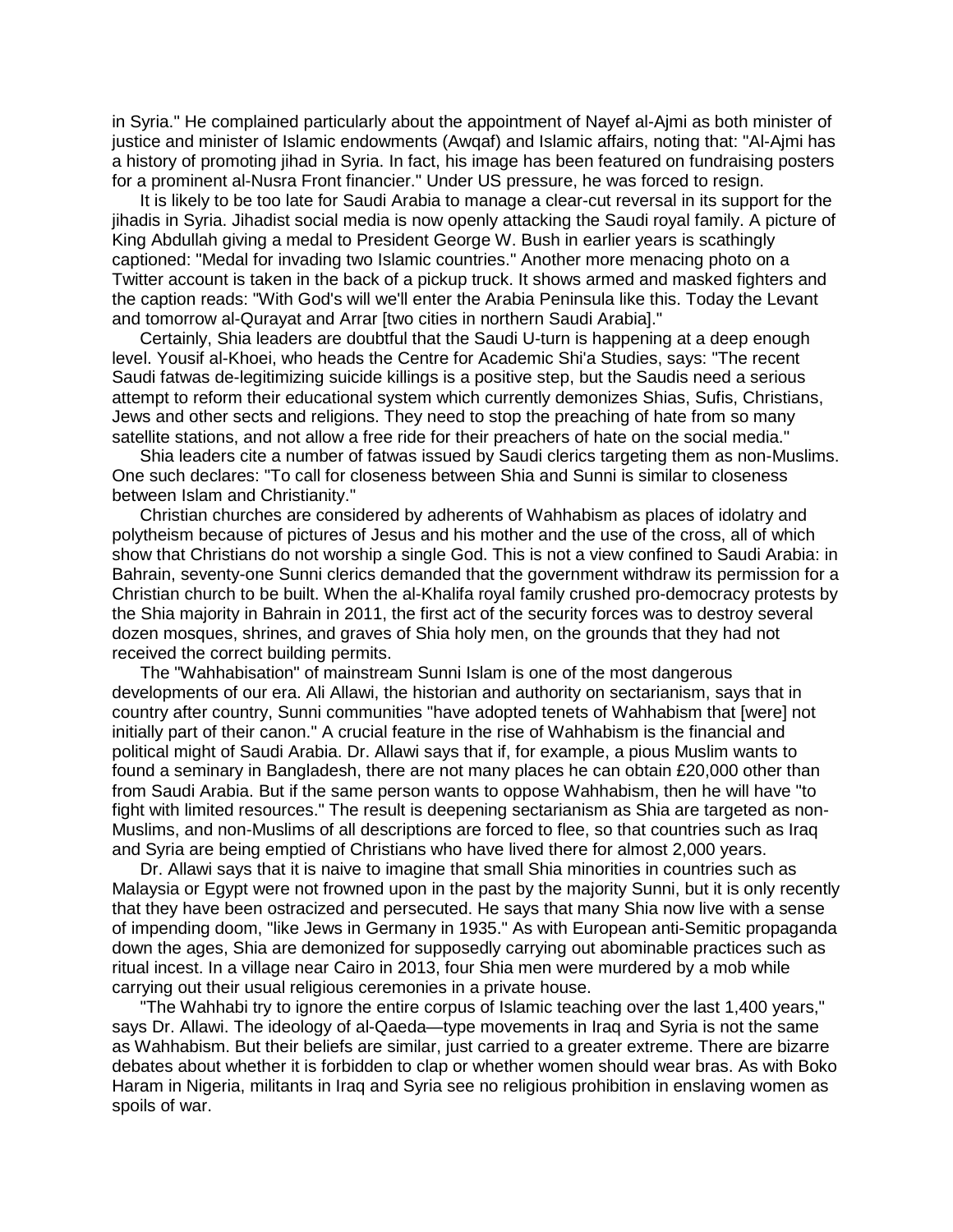in Syria." He complained particularly about the appointment of Nayef al-Ajmi as both minister of justice and minister of Islamic endowments (Awqaf) and Islamic affairs, noting that: "Al-Ajmi has a history of promoting jihad in Syria. In fact, his image has been featured on fundraising posters for a prominent al-Nusra Front financier." Under US pressure, he was forced to resign.

It is likely to be too late for Saudi Arabia to manage a clear-cut reversal in its support for the jihadis in Syria. Jihadist social media is now openly attacking the Saudi royal family. A picture of King Abdullah giving a medal to President George W. Bush in earlier years is scathingly captioned: "Medal for invading two Islamic countries." Another more menacing photo on a Twitter account is taken in the back of a pickup truck. It shows armed and masked fighters and the caption reads: "With God's will we'll enter the Arabia Peninsula like this. Today the Levant and tomorrow al-Qurayat and Arrar [two cities in northern Saudi Arabia]."

Certainly, Shia leaders are doubtful that the Saudi U-turn is happening at a deep enough level. Yousif al-Khoei, who heads the Centre for Academic Shi'a Studies, says: "The recent Saudi fatwas de-legitimizing suicide killings is a positive step, but the Saudis need a serious attempt to reform their educational system which currently demonizes Shias, Sufis, Christians, Jews and other sects and religions. They need to stop the preaching of hate from so many satellite stations, and not allow a free ride for their preachers of hate on the social media."

Shia leaders cite a number of fatwas issued by Saudi clerics targeting them as non-Muslims. One such declares: "To call for closeness between Shia and Sunni is similar to closeness between Islam and Christianity."

Christian churches are considered by adherents of Wahhabism as places of idolatry and polytheism because of pictures of Jesus and his mother and the use of the cross, all of which show that Christians do not worship a single God. This is not a view confined to Saudi Arabia: in Bahrain, seventy-one Sunni clerics demanded that the government withdraw its permission for a Christian church to be built. When the al-Khalifa royal family crushed pro-democracy protests by the Shia majority in Bahrain in 2011, the first act of the security forces was to destroy several dozen mosques, shrines, and graves of Shia holy men, on the grounds that they had not received the correct building permits.

The "Wahhabisation" of mainstream Sunni Islam is one of the most dangerous developments of our era. Ali Allawi, the historian and authority on sectarianism, says that in country after country, Sunni communities "have adopted tenets of Wahhabism that [were] not initially part of their canon." A crucial feature in the rise of Wahhabism is the financial and political might of Saudi Arabia. Dr. Allawi says that if, for example, a pious Muslim wants to found a seminary in Bangladesh, there are not many places he can obtain £20,000 other than from Saudi Arabia. But if the same person wants to oppose Wahhabism, then he will have "to fight with limited resources." The result is deepening sectarianism as Shia are targeted as non-Muslims, and non-Muslims of all descriptions are forced to flee, so that countries such as Iraq and Syria are being emptied of Christians who have lived there for almost 2,000 years.

Dr. Allawi says that it is naive to imagine that small Shia minorities in countries such as Malaysia or Egypt were not frowned upon in the past by the majority Sunni, but it is only recently that they have been ostracized and persecuted. He says that many Shia now live with a sense of impending doom, "like Jews in Germany in 1935." As with European anti-Semitic propaganda down the ages, Shia are demonized for supposedly carrying out abominable practices such as ritual incest. In a village near Cairo in 2013, four Shia men were murdered by a mob while carrying out their usual religious ceremonies in a private house.

"The Wahhabi try to ignore the entire corpus of Islamic teaching over the last 1,400 years," says Dr. Allawi. The ideology of al-Qaeda—type movements in Iraq and Syria is not the same as Wahhabism. But their beliefs are similar, just carried to a greater extreme. There are bizarre debates about whether it is forbidden to clap or whether women should wear bras. As with Boko Haram in Nigeria, militants in Iraq and Syria see no religious prohibition in enslaving women as spoils of war.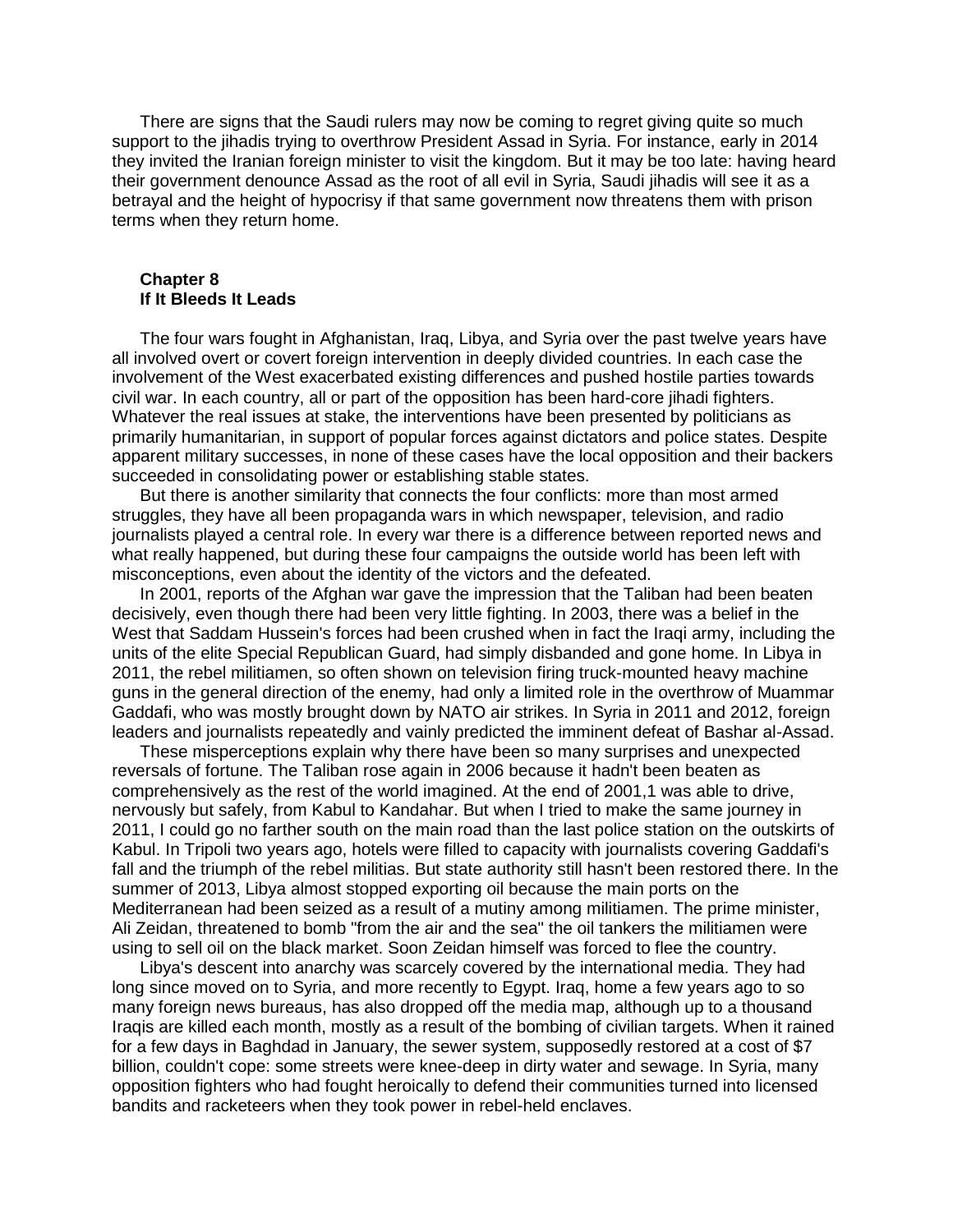There are signs that the Saudi rulers may now be coming to regret giving quite so much support to the jihadis trying to overthrow President Assad in Syria. For instance, early in 2014 they invited the Iranian foreign minister to visit the kingdom. But it may be too late: having heard their government denounce Assad as the root of all evil in Syria, Saudi jihadis will see it as a betrayal and the height of hypocrisy if that same government now threatens them with prison terms when they return home.

## **Chapter 8 If It Bleeds It Leads**

The four wars fought in Afghanistan, Iraq, Libya, and Syria over the past twelve years have all involved overt or covert foreign intervention in deeply divided countries. In each case the involvement of the West exacerbated existing differences and pushed hostile parties towards civil war. In each country, all or part of the opposition has been hard-core jihadi fighters. Whatever the real issues at stake, the interventions have been presented by politicians as primarily humanitarian, in support of popular forces against dictators and police states. Despite apparent military successes, in none of these cases have the local opposition and their backers succeeded in consolidating power or establishing stable states.

But there is another similarity that connects the four conflicts: more than most armed struggles, they have all been propaganda wars in which newspaper, television, and radio journalists played a central role. In every war there is a difference between reported news and what really happened, but during these four campaigns the outside world has been left with misconceptions, even about the identity of the victors and the defeated.

In 2001, reports of the Afghan war gave the impression that the Taliban had been beaten decisively, even though there had been very little fighting. In 2003, there was a belief in the West that Saddam Hussein's forces had been crushed when in fact the Iraqi army, including the units of the elite Special Republican Guard, had simply disbanded and gone home. In Libya in 2011, the rebel militiamen, so often shown on television firing truck-mounted heavy machine guns in the general direction of the enemy, had only a limited role in the overthrow of Muammar Gaddafi, who was mostly brought down by NATO air strikes. In Syria in 2011 and 2012, foreign leaders and journalists repeatedly and vainly predicted the imminent defeat of Bashar al-Assad.

These misperceptions explain why there have been so many surprises and unexpected reversals of fortune. The Taliban rose again in 2006 because it hadn't been beaten as comprehensively as the rest of the world imagined. At the end of 2001,1 was able to drive, nervously but safely, from Kabul to Kandahar. But when I tried to make the same journey in 2011, I could go no farther south on the main road than the last police station on the outskirts of Kabul. In Tripoli two years ago, hotels were filled to capacity with journalists covering Gaddafi's fall and the triumph of the rebel militias. But state authority still hasn't been restored there. In the summer of 2013, Libya almost stopped exporting oil because the main ports on the Mediterranean had been seized as a result of a mutiny among militiamen. The prime minister, Ali Zeidan, threatened to bomb "from the air and the sea" the oil tankers the militiamen were using to sell oil on the black market. Soon Zeidan himself was forced to flee the country.

Libya's descent into anarchy was scarcely covered by the international media. They had long since moved on to Syria, and more recently to Egypt. Iraq, home a few years ago to so many foreign news bureaus, has also dropped off the media map, although up to a thousand Iraqis are killed each month, mostly as a result of the bombing of civilian targets. When it rained for a few days in Baghdad in January, the sewer system, supposedly restored at a cost of \$7 billion, couldn't cope: some streets were knee-deep in dirty water and sewage. In Syria, many opposition fighters who had fought heroically to defend their communities turned into licensed bandits and racketeers when they took power in rebel-held enclaves.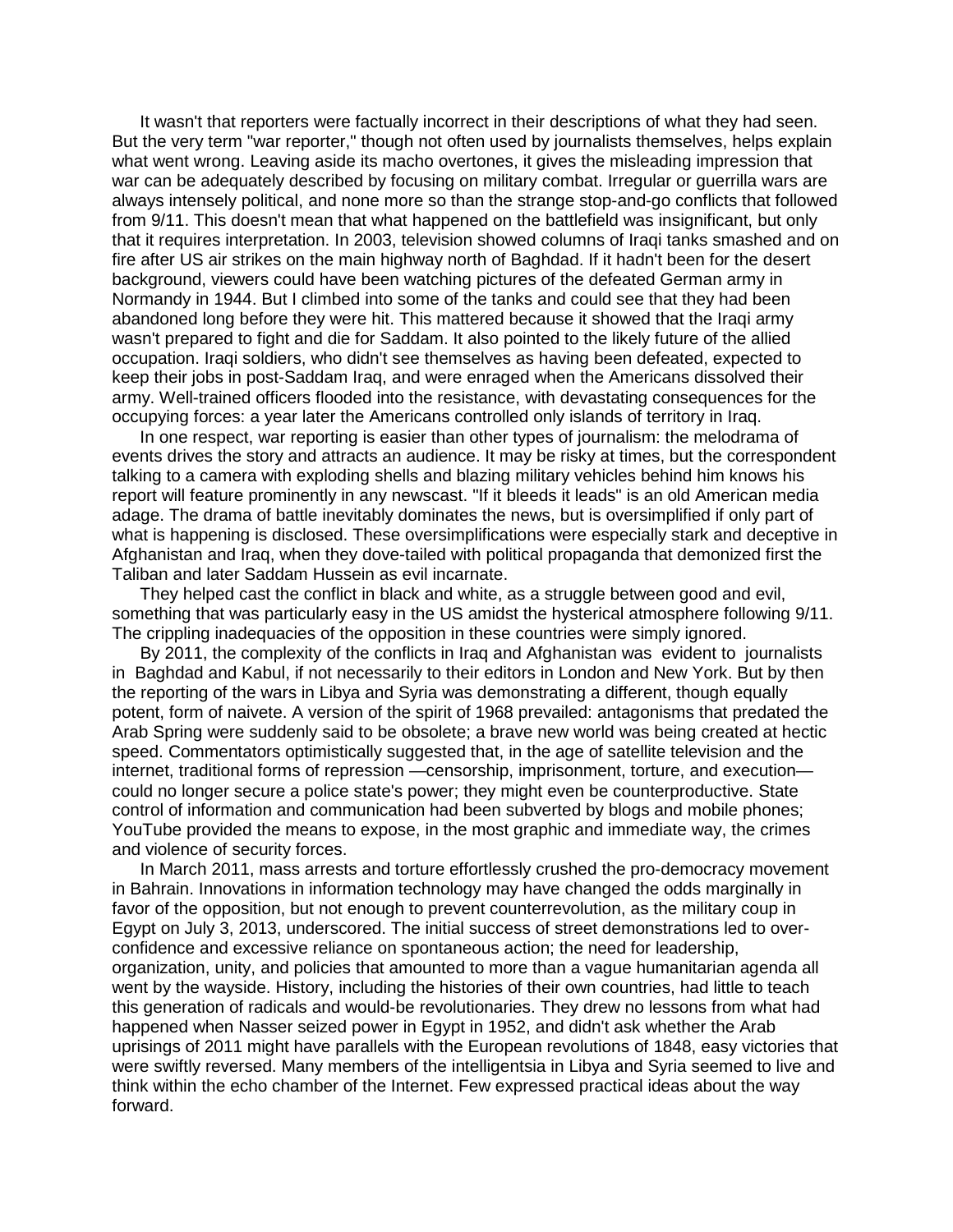It wasn't that reporters were factually incorrect in their descriptions of what they had seen. But the very term "war reporter," though not often used by journalists themselves, helps explain what went wrong. Leaving aside its macho overtones, it gives the misleading impression that war can be adequately described by focusing on military combat. Irregular or guerrilla wars are always intensely political, and none more so than the strange stop-and-go conflicts that followed from 9/11. This doesn't mean that what happened on the battlefield was insignificant, but only that it requires interpretation. In 2003, television showed columns of Iraqi tanks smashed and on fire after US air strikes on the main highway north of Baghdad. If it hadn't been for the desert background, viewers could have been watching pictures of the defeated German army in Normandy in 1944. But I climbed into some of the tanks and could see that they had been abandoned long before they were hit. This mattered because it showed that the Iraqi army wasn't prepared to fight and die for Saddam. It also pointed to the likely future of the allied occupation. Iraqi soldiers, who didn't see themselves as having been defeated, expected to keep their jobs in post-Saddam Iraq, and were enraged when the Americans dissolved their army. Well-trained officers flooded into the resistance, with devastating consequences for the occupying forces: a year later the Americans controlled only islands of territory in Iraq.

In one respect, war reporting is easier than other types of journalism: the melodrama of events drives the story and attracts an audience. It may be risky at times, but the correspondent talking to a camera with exploding shells and blazing military vehicles behind him knows his report will feature prominently in any newscast. "If it bleeds it leads" is an old American media adage. The drama of battle inevitably dominates the news, but is oversimplified if only part of what is happening is disclosed. These oversimplifications were especially stark and deceptive in Afghanistan and Iraq, when they dove-tailed with political propaganda that demonized first the Taliban and later Saddam Hussein as evil incarnate.

They helped cast the conflict in black and white, as a struggle between good and evil, something that was particularly easy in the US amidst the hysterical atmosphere following 9/11. The crippling inadequacies of the opposition in these countries were simply ignored.

By 2011, the complexity of the conflicts in Iraq and Afghanistan was evident to journalists in Baghdad and Kabul, if not necessarily to their editors in London and New York. But by then the reporting of the wars in Libya and Syria was demonstrating a different, though equally potent, form of naivete. A version of the spirit of 1968 prevailed: antagonisms that predated the Arab Spring were suddenly said to be obsolete; a brave new world was being created at hectic speed. Commentators optimistically suggested that, in the age of satellite television and the internet, traditional forms of repression —censorship, imprisonment, torture, and execution could no longer secure a police state's power; they might even be counterproductive. State control of information and communication had been subverted by blogs and mobile phones; YouTube provided the means to expose, in the most graphic and immediate way, the crimes and violence of security forces.

In March 2011, mass arrests and torture effortlessly crushed the pro-democracy movement in Bahrain. Innovations in information technology may have changed the odds marginally in favor of the opposition, but not enough to prevent counterrevolution, as the military coup in Egypt on July 3, 2013, underscored. The initial success of street demonstrations led to overconfidence and excessive reliance on spontaneous action; the need for leadership, organization, unity, and policies that amounted to more than a vague humanitarian agenda all went by the wayside. History, including the histories of their own countries, had little to teach this generation of radicals and would-be revolutionaries. They drew no lessons from what had happened when Nasser seized power in Egypt in 1952, and didn't ask whether the Arab uprisings of 2011 might have parallels with the European revolutions of 1848, easy victories that were swiftly reversed. Many members of the intelligentsia in Libya and Syria seemed to live and think within the echo chamber of the Internet. Few expressed practical ideas about the way forward.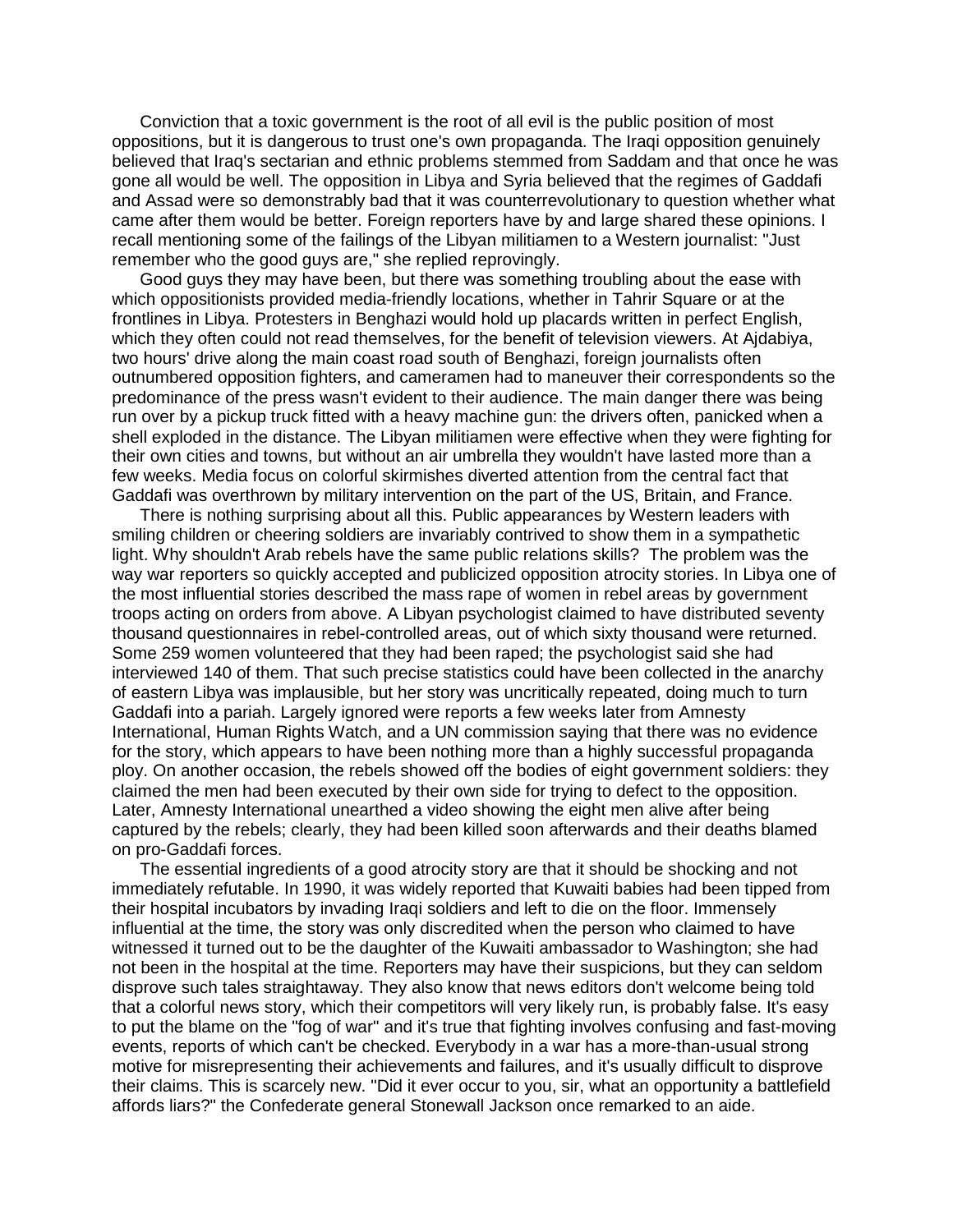Conviction that a toxic government is the root of all evil is the public position of most oppositions, but it is dangerous to trust one's own propaganda. The Iraqi opposition genuinely believed that Iraq's sectarian and ethnic problems stemmed from Saddam and that once he was gone all would be well. The opposition in Libya and Syria believed that the regimes of Gaddafi and Assad were so demonstrably bad that it was counterrevolutionary to question whether what came after them would be better. Foreign reporters have by and large shared these opinions. I recall mentioning some of the failings of the Libyan militiamen to a Western journalist: "Just remember who the good guys are," she replied reprovingly.

Good guys they may have been, but there was something troubling about the ease with which oppositionists provided media-friendly locations, whether in Tahrir Square or at the frontlines in Libya. Protesters in Benghazi would hold up placards written in perfect English, which they often could not read themselves, for the benefit of television viewers. At Ajdabiya, two hours' drive along the main coast road south of Benghazi, foreign journalists often outnumbered opposition fighters, and cameramen had to maneuver their correspondents so the predominance of the press wasn't evident to their audience. The main danger there was being run over by a pickup truck fitted with a heavy machine gun: the drivers often, panicked when a shell exploded in the distance. The Libyan militiamen were effective when they were fighting for their own cities and towns, but without an air umbrella they wouldn't have lasted more than a few weeks. Media focus on colorful skirmishes diverted attention from the central fact that Gaddafi was overthrown by military intervention on the part of the US, Britain, and France.

There is nothing surprising about all this. Public appearances by Western leaders with smiling children or cheering soldiers are invariably contrived to show them in a sympathetic light. Why shouldn't Arab rebels have the same public relations skills? The problem was the way war reporters so quickly accepted and publicized opposition atrocity stories. In Libya one of the most influential stories described the mass rape of women in rebel areas by government troops acting on orders from above. A Libyan psychologist claimed to have distributed seventy thousand questionnaires in rebel-controlled areas, out of which sixty thousand were returned. Some 259 women volunteered that they had been raped; the psychologist said she had interviewed 140 of them. That such precise statistics could have been collected in the anarchy of eastern Libya was implausible, but her story was uncritically repeated, doing much to turn Gaddafi into a pariah. Largely ignored were reports a few weeks later from Amnesty International, Human Rights Watch, and a UN commission saying that there was no evidence for the story, which appears to have been nothing more than a highly successful propaganda ploy. On another occasion, the rebels showed off the bodies of eight government soldiers: they claimed the men had been executed by their own side for trying to defect to the opposition. Later, Amnesty International unearthed a video showing the eight men alive after being captured by the rebels; clearly, they had been killed soon afterwards and their deaths blamed on pro-Gaddafi forces.

The essential ingredients of a good atrocity story are that it should be shocking and not immediately refutable. In 1990, it was widely reported that Kuwaiti babies had been tipped from their hospital incubators by invading Iraqi soldiers and left to die on the floor. Immensely influential at the time, the story was only discredited when the person who claimed to have witnessed it turned out to be the daughter of the Kuwaiti ambassador to Washington; she had not been in the hospital at the time. Reporters may have their suspicions, but they can seldom disprove such tales straightaway. They also know that news editors don't welcome being told that a colorful news story, which their competitors will very likely run, is probably false. It's easy to put the blame on the "fog of war" and it's true that fighting involves confusing and fast-moving events, reports of which can't be checked. Everybody in a war has a more-than-usual strong motive for misrepresenting their achievements and failures, and it's usually difficult to disprove their claims. This is scarcely new. "Did it ever occur to you, sir, what an opportunity a battlefield affords liars?" the Confederate general Stonewall Jackson once remarked to an aide.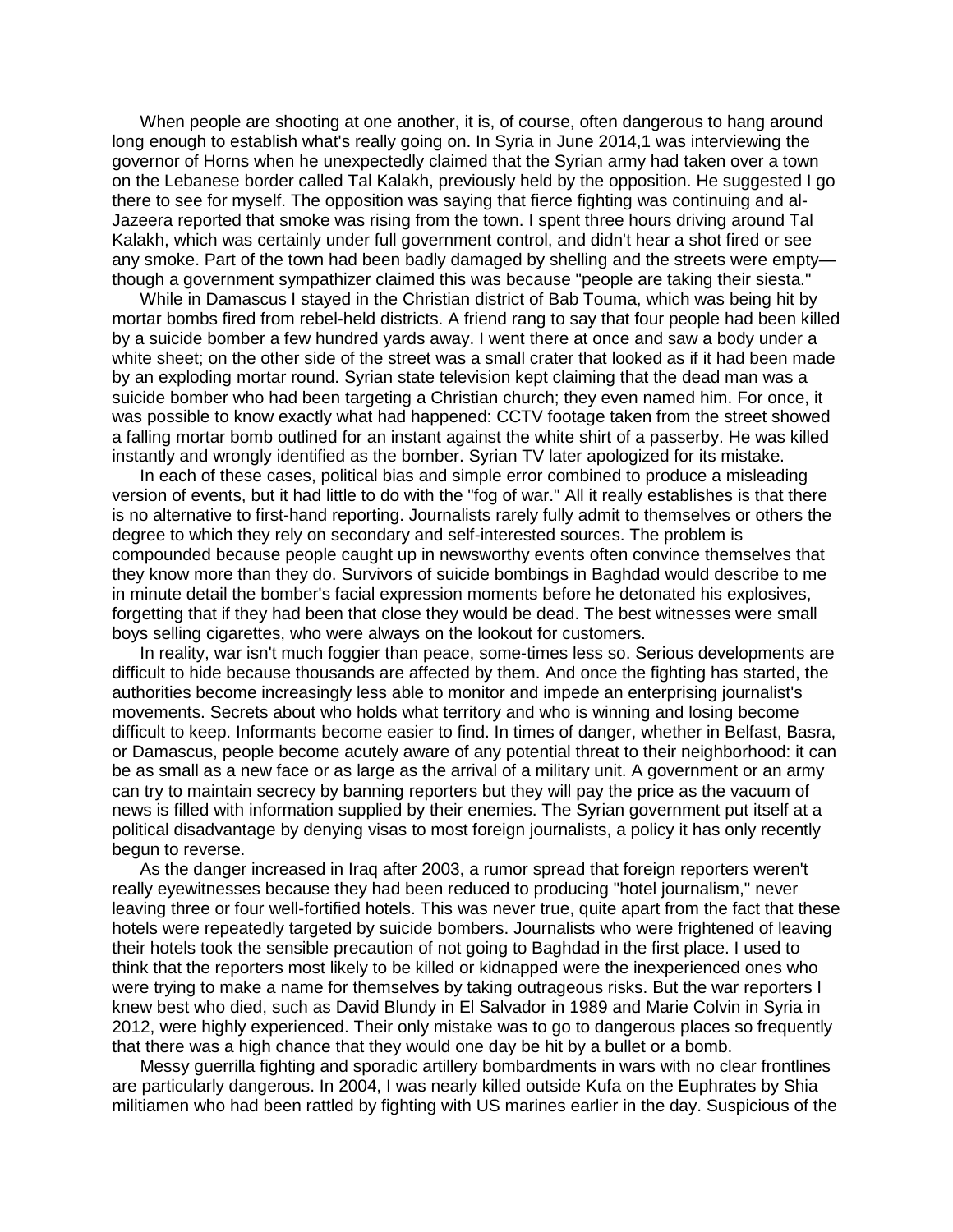When people are shooting at one another, it is, of course, often dangerous to hang around long enough to establish what's really going on. In Syria in June 2014,1 was interviewing the governor of Horns when he unexpectedly claimed that the Syrian army had taken over a town on the Lebanese border called Tal Kalakh, previously held by the opposition. He suggested I go there to see for myself. The opposition was saying that fierce fighting was continuing and al-Jazeera reported that smoke was rising from the town. I spent three hours driving around Tal Kalakh, which was certainly under full government control, and didn't hear a shot fired or see any smoke. Part of the town had been badly damaged by shelling and the streets were empty though a government sympathizer claimed this was because "people are taking their siesta."

While in Damascus I stayed in the Christian district of Bab Touma, which was being hit by mortar bombs fired from rebel-held districts. A friend rang to say that four people had been killed by a suicide bomber a few hundred yards away. I went there at once and saw a body under a white sheet; on the other side of the street was a small crater that looked as if it had been made by an exploding mortar round. Syrian state television kept claiming that the dead man was a suicide bomber who had been targeting a Christian church; they even named him. For once, it was possible to know exactly what had happened: CCTV footage taken from the street showed a falling mortar bomb outlined for an instant against the white shirt of a passerby. He was killed instantly and wrongly identified as the bomber. Syrian TV later apologized for its mistake.

In each of these cases, political bias and simple error combined to produce a misleading version of events, but it had little to do with the "fog of war." All it really establishes is that there is no alternative to first-hand reporting. Journalists rarely fully admit to themselves or others the degree to which they rely on secondary and self-interested sources. The problem is compounded because people caught up in newsworthy events often convince themselves that they know more than they do. Survivors of suicide bombings in Baghdad would describe to me in minute detail the bomber's facial expression moments before he detonated his explosives, forgetting that if they had been that close they would be dead. The best witnesses were small boys selling cigarettes, who were always on the lookout for customers.

In reality, war isn't much foggier than peace, some-times less so. Serious developments are difficult to hide because thousands are affected by them. And once the fighting has started, the authorities become increasingly less able to monitor and impede an enterprising journalist's movements. Secrets about who holds what territory and who is winning and losing become difficult to keep. Informants become easier to find. In times of danger, whether in Belfast, Basra, or Damascus, people become acutely aware of any potential threat to their neighborhood: it can be as small as a new face or as large as the arrival of a military unit. A government or an army can try to maintain secrecy by banning reporters but they will pay the price as the vacuum of news is filled with information supplied by their enemies. The Syrian government put itself at a political disadvantage by denying visas to most foreign journalists, a policy it has only recently begun to reverse.

As the danger increased in Iraq after 2003, a rumor spread that foreign reporters weren't really eyewitnesses because they had been reduced to producing "hotel journalism," never leaving three or four well-fortified hotels. This was never true, quite apart from the fact that these hotels were repeatedly targeted by suicide bombers. Journalists who were frightened of leaving their hotels took the sensible precaution of not going to Baghdad in the first place. I used to think that the reporters most likely to be killed or kidnapped were the inexperienced ones who were trying to make a name for themselves by taking outrageous risks. But the war reporters I knew best who died, such as David Blundy in El Salvador in 1989 and Marie Colvin in Syria in 2012, were highly experienced. Their only mistake was to go to dangerous places so frequently that there was a high chance that they would one day be hit by a bullet or a bomb.

Messy guerrilla fighting and sporadic artillery bombardments in wars with no clear frontlines are particularly dangerous. In 2004, I was nearly killed outside Kufa on the Euphrates by Shia militiamen who had been rattled by fighting with US marines earlier in the day. Suspicious of the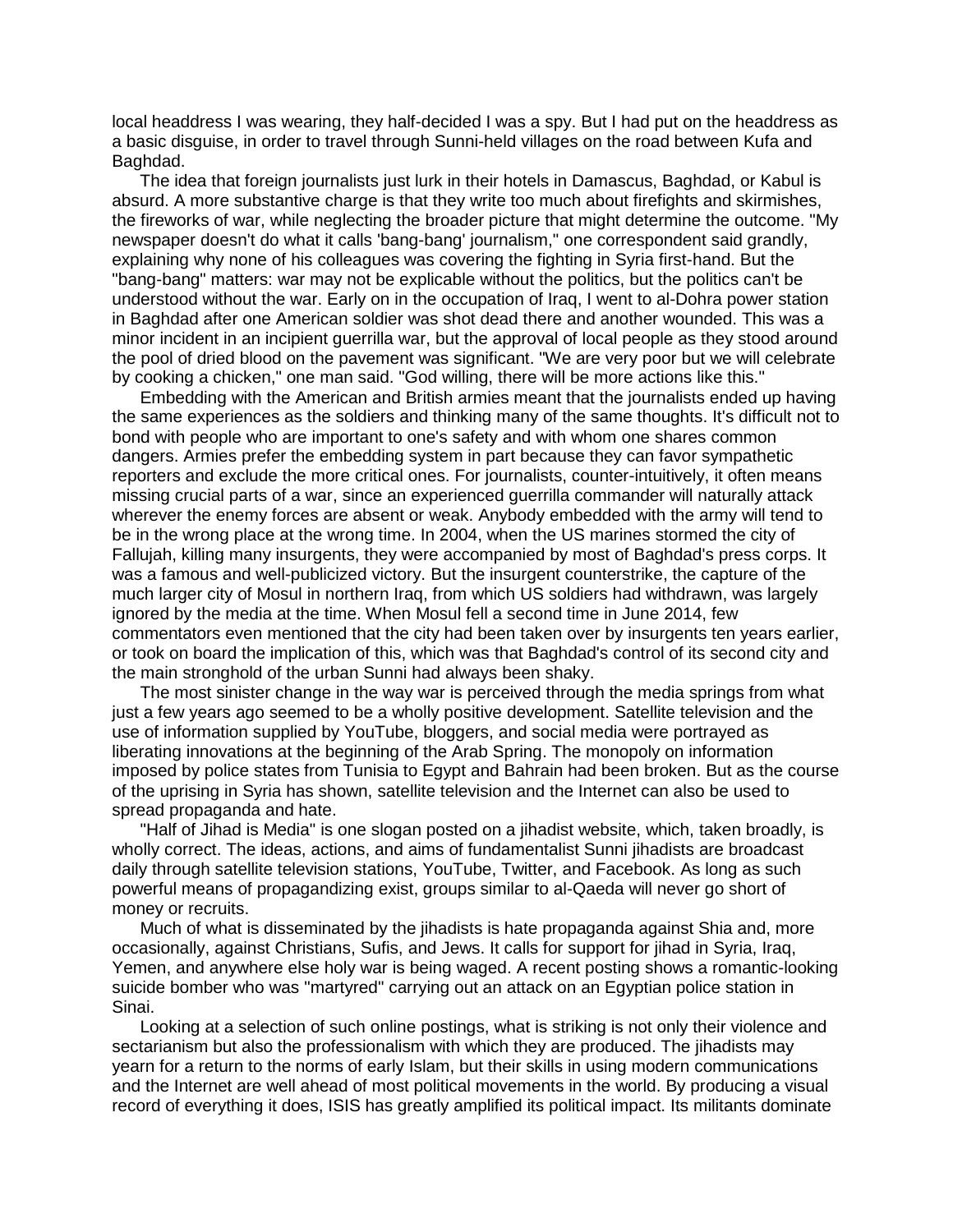local headdress I was wearing, they half-decided I was a spy. But I had put on the headdress as a basic disguise, in order to travel through Sunni-held villages on the road between Kufa and Baghdad.

The idea that foreign journalists just lurk in their hotels in Damascus, Baghdad, or Kabul is absurd. A more substantive charge is that they write too much about firefights and skirmishes, the fireworks of war, while neglecting the broader picture that might determine the outcome. "My newspaper doesn't do what it calls 'bang-bang' journalism," one correspondent said grandly, explaining why none of his colleagues was covering the fighting in Syria first-hand. But the "bang-bang" matters: war may not be explicable without the politics, but the politics can't be understood without the war. Early on in the occupation of Iraq, I went to al-Dohra power station in Baghdad after one American soldier was shot dead there and another wounded. This was a minor incident in an incipient guerrilla war, but the approval of local people as they stood around the pool of dried blood on the pavement was significant. "We are very poor but we will celebrate by cooking a chicken," one man said. "God willing, there will be more actions like this."

Embedding with the American and British armies meant that the journalists ended up having the same experiences as the soldiers and thinking many of the same thoughts. It's difficult not to bond with people who are important to one's safety and with whom one shares common dangers. Armies prefer the embedding system in part because they can favor sympathetic reporters and exclude the more critical ones. For journalists, counter-intuitively, it often means missing crucial parts of a war, since an experienced guerrilla commander will naturally attack wherever the enemy forces are absent or weak. Anybody embedded with the army will tend to be in the wrong place at the wrong time. In 2004, when the US marines stormed the city of Fallujah, killing many insurgents, they were accompanied by most of Baghdad's press corps. It was a famous and well-publicized victory. But the insurgent counterstrike, the capture of the much larger city of Mosul in northern Iraq, from which US soldiers had withdrawn, was largely ignored by the media at the time. When Mosul fell a second time in June 2014, few commentators even mentioned that the city had been taken over by insurgents ten years earlier, or took on board the implication of this, which was that Baghdad's control of its second city and the main stronghold of the urban Sunni had always been shaky.

The most sinister change in the way war is perceived through the media springs from what just a few years ago seemed to be a wholly positive development. Satellite television and the use of information supplied by YouTube, bloggers, and social media were portrayed as liberating innovations at the beginning of the Arab Spring. The monopoly on information imposed by police states from Tunisia to Egypt and Bahrain had been broken. But as the course of the uprising in Syria has shown, satellite television and the Internet can also be used to spread propaganda and hate.

"Half of Jihad is Media" is one slogan posted on a jihadist website, which, taken broadly, is wholly correct. The ideas, actions, and aims of fundamentalist Sunni jihadists are broadcast daily through satellite television stations, YouTube, Twitter, and Facebook. As long as such powerful means of propagandizing exist, groups similar to al-Qaeda will never go short of money or recruits.

Much of what is disseminated by the jihadists is hate propaganda against Shia and, more occasionally, against Christians, Sufis, and Jews. It calls for support for jihad in Syria, Iraq, Yemen, and anywhere else holy war is being waged. A recent posting shows a romantic-looking suicide bomber who was "martyred" carrying out an attack on an Egyptian police station in Sinai.

Looking at a selection of such online postings, what is striking is not only their violence and sectarianism but also the professionalism with which they are produced. The jihadists may yearn for a return to the norms of early Islam, but their skills in using modern communications and the Internet are well ahead of most political movements in the world. By producing a visual record of everything it does, ISIS has greatly amplified its political impact. Its militants dominate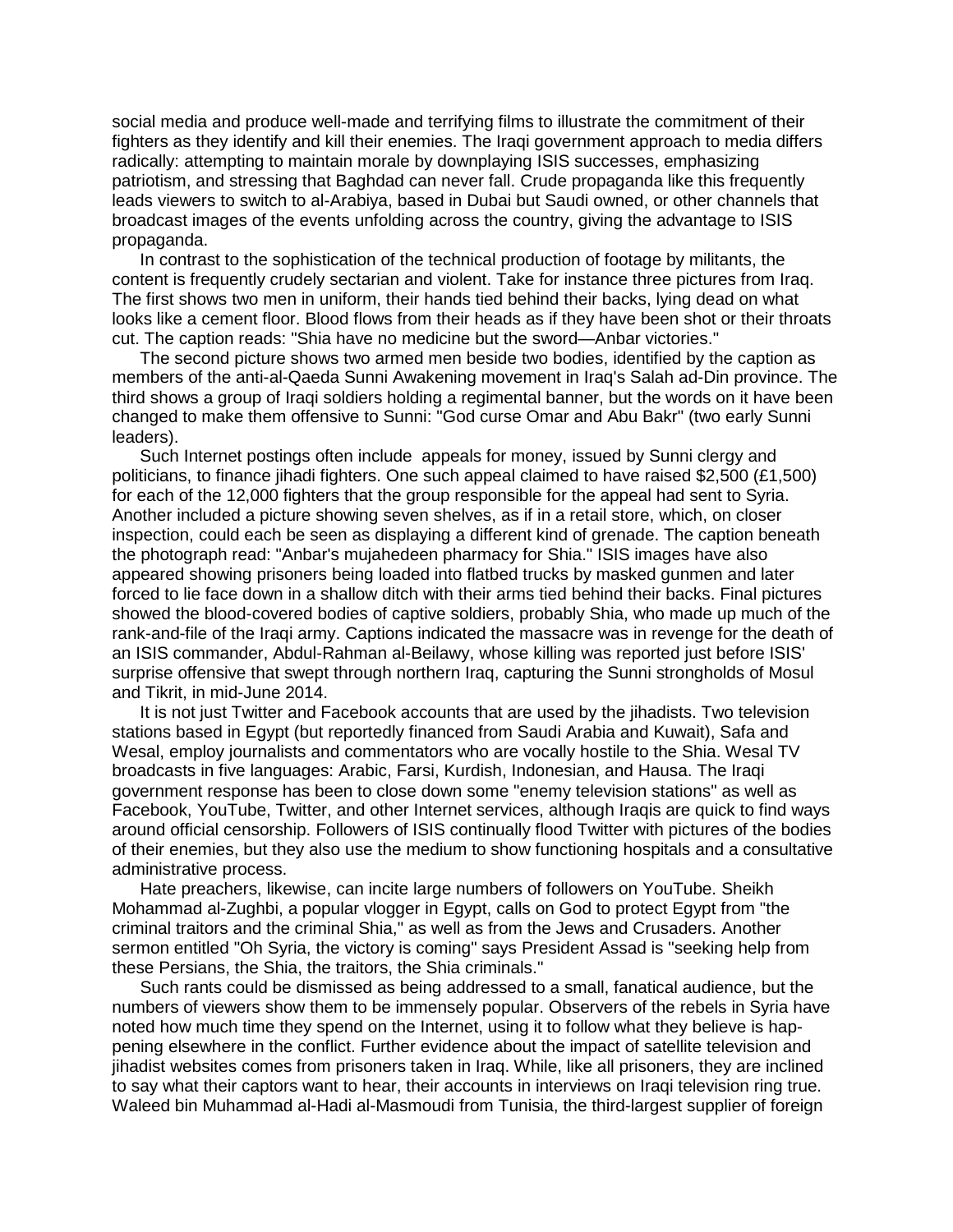social media and produce well-made and terrifying films to illustrate the commitment of their fighters as they identify and kill their enemies. The Iraqi government approach to media differs radically: attempting to maintain morale by downplaying ISIS successes, emphasizing patriotism, and stressing that Baghdad can never fall. Crude propaganda like this frequently leads viewers to switch to al-Arabiya, based in Dubai but Saudi owned, or other channels that broadcast images of the events unfolding across the country, giving the advantage to ISIS propaganda.

In contrast to the sophistication of the technical production of footage by militants, the content is frequently crudely sectarian and violent. Take for instance three pictures from Iraq. The first shows two men in uniform, their hands tied behind their backs, lying dead on what looks like a cement floor. Blood flows from their heads as if they have been shot or their throats cut. The caption reads: "Shia have no medicine but the sword—Anbar victories."

The second picture shows two armed men beside two bodies, identified by the caption as members of the anti-al-Qaeda Sunni Awakening movement in Iraq's Salah ad-Din province. The third shows a group of Iraqi soldiers holding a regimental banner, but the words on it have been changed to make them offensive to Sunni: "God curse Omar and Abu Bakr" (two early Sunni leaders).

Such Internet postings often include appeals for money, issued by Sunni clergy and politicians, to finance jihadi fighters. One such appeal claimed to have raised \$2,500 (£1,500) for each of the 12,000 fighters that the group responsible for the appeal had sent to Syria. Another included a picture showing seven shelves, as if in a retail store, which, on closer inspection, could each be seen as displaying a different kind of grenade. The caption beneath the photograph read: "Anbar's mujahedeen pharmacy for Shia." ISIS images have also appeared showing prisoners being loaded into flatbed trucks by masked gunmen and later forced to lie face down in a shallow ditch with their arms tied behind their backs. Final pictures showed the blood-covered bodies of captive soldiers, probably Shia, who made up much of the rank-and-file of the Iraqi army. Captions indicated the massacre was in revenge for the death of an ISIS commander, Abdul-Rahman al-Beilawy, whose killing was reported just before ISIS' surprise offensive that swept through northern Iraq, capturing the Sunni strongholds of Mosul and Tikrit, in mid-June 2014.

It is not just Twitter and Facebook accounts that are used by the jihadists. Two television stations based in Egypt (but reportedly financed from Saudi Arabia and Kuwait), Safa and Wesal, employ journalists and commentators who are vocally hostile to the Shia. Wesal TV broadcasts in five languages: Arabic, Farsi, Kurdish, Indonesian, and Hausa. The Iraqi government response has been to close down some "enemy television stations" as well as Facebook, YouTube, Twitter, and other Internet services, although Iraqis are quick to find ways around official censorship. Followers of ISIS continually flood Twitter with pictures of the bodies of their enemies, but they also use the medium to show functioning hospitals and a consultative administrative process.

Hate preachers, likewise, can incite large numbers of followers on YouTube. Sheikh Mohammad al-Zughbi, a popular vlogger in Egypt, calls on God to protect Egypt from "the criminal traitors and the criminal Shia," as well as from the Jews and Crusaders. Another sermon entitled "Oh Syria, the victory is coming" says President Assad is "seeking help from these Persians, the Shia, the traitors, the Shia criminals."

Such rants could be dismissed as being addressed to a small, fanatical audience, but the numbers of viewers show them to be immensely popular. Observers of the rebels in Syria have noted how much time they spend on the Internet, using it to follow what they believe is happening elsewhere in the conflict. Further evidence about the impact of satellite television and jihadist websites comes from prisoners taken in Iraq. While, like all prisoners, they are inclined to say what their captors want to hear, their accounts in interviews on Iraqi television ring true. Waleed bin Muhammad al-Hadi al-Masmoudi from Tunisia, the third-largest supplier of foreign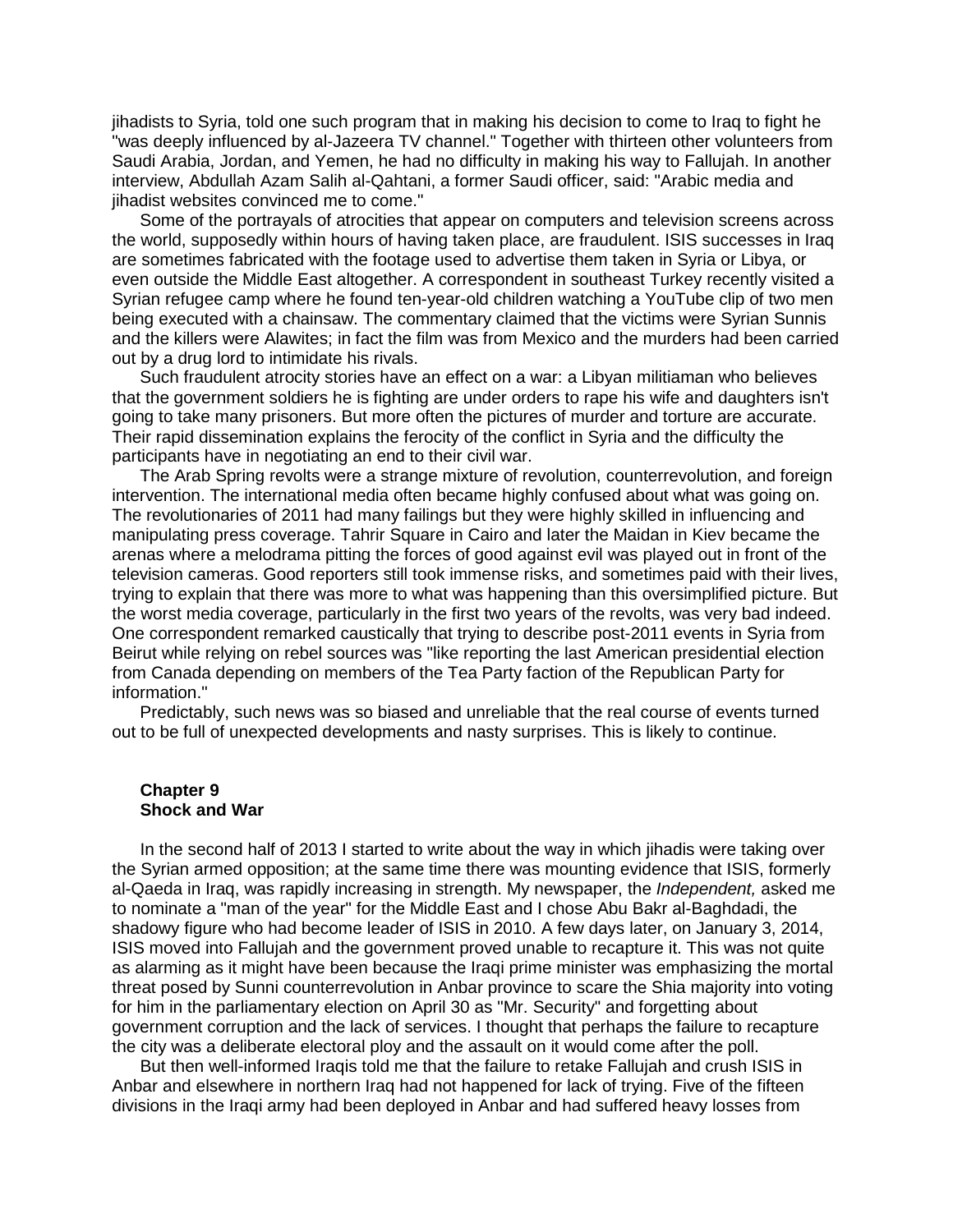jihadists to Syria, told one such program that in making his decision to come to Iraq to fight he "was deeply influenced by al-Jazeera TV channel." Together with thirteen other volunteers from Saudi Arabia, Jordan, and Yemen, he had no difficulty in making his way to Fallujah. In another interview, Abdullah Azam Salih al-Qahtani, a former Saudi officer, said: "Arabic media and iihadist websites convinced me to come."

Some of the portrayals of atrocities that appear on computers and television screens across the world, supposedly within hours of having taken place, are fraudulent. ISIS successes in Iraq are sometimes fabricated with the footage used to advertise them taken in Syria or Libya, or even outside the Middle East altogether. A correspondent in southeast Turkey recently visited a Syrian refugee camp where he found ten-year-old children watching a YouTube clip of two men being executed with a chainsaw. The commentary claimed that the victims were Syrian Sunnis and the killers were Alawites; in fact the film was from Mexico and the murders had been carried out by a drug lord to intimidate his rivals.

Such fraudulent atrocity stories have an effect on a war: a Libyan militiaman who believes that the government soldiers he is fighting are under orders to rape his wife and daughters isn't going to take many prisoners. But more often the pictures of murder and torture are accurate. Their rapid dissemination explains the ferocity of the conflict in Syria and the difficulty the participants have in negotiating an end to their civil war.

The Arab Spring revolts were a strange mixture of revolution, counterrevolution, and foreign intervention. The international media often became highly confused about what was going on. The revolutionaries of 2011 had many failings but they were highly skilled in influencing and manipulating press coverage. Tahrir Square in Cairo and later the Maidan in Kiev became the arenas where a melodrama pitting the forces of good against evil was played out in front of the television cameras. Good reporters still took immense risks, and sometimes paid with their lives, trying to explain that there was more to what was happening than this oversimplified picture. But the worst media coverage, particularly in the first two years of the revolts, was very bad indeed. One correspondent remarked caustically that trying to describe post-2011 events in Syria from Beirut while relying on rebel sources was "like reporting the last American presidential election from Canada depending on members of the Tea Party faction of the Republican Party for information."

Predictably, such news was so biased and unreliable that the real course of events turned out to be full of unexpected developments and nasty surprises. This is likely to continue.

## **Chapter 9 Shock and War**

In the second half of 2013 I started to write about the way in which jihadis were taking over the Syrian armed opposition; at the same time there was mounting evidence that ISIS, formerly al-Qaeda in Iraq, was rapidly increasing in strength. My newspaper, the *Independent,* asked me to nominate a "man of the year" for the Middle East and I chose Abu Bakr al-Baghdadi, the shadowy figure who had become leader of ISIS in 2010. A few days later, on January 3, 2014, ISIS moved into Fallujah and the government proved unable to recapture it. This was not quite as alarming as it might have been because the Iraqi prime minister was emphasizing the mortal threat posed by Sunni counterrevolution in Anbar province to scare the Shia majority into voting for him in the parliamentary election on April 30 as "Mr. Security" and forgetting about government corruption and the lack of services. I thought that perhaps the failure to recapture the city was a deliberate electoral ploy and the assault on it would come after the poll.

But then well-informed Iraqis told me that the failure to retake Fallujah and crush ISIS in Anbar and elsewhere in northern Iraq had not happened for lack of trying. Five of the fifteen divisions in the Iraqi army had been deployed in Anbar and had suffered heavy losses from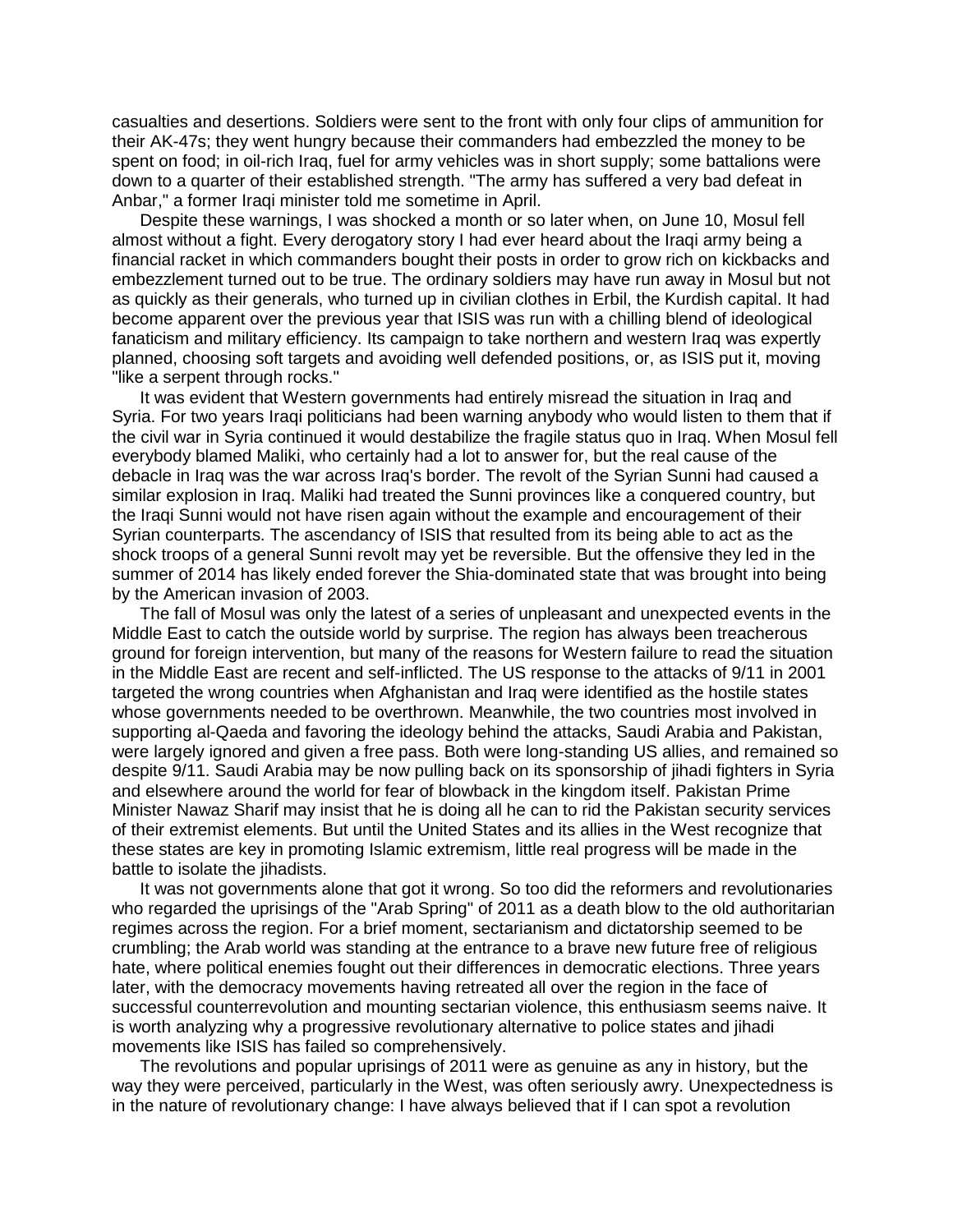casualties and desertions. Soldiers were sent to the front with only four clips of ammunition for their AK-47s; they went hungry because their commanders had embezzled the money to be spent on food; in oil-rich Iraq, fuel for army vehicles was in short supply; some battalions were down to a quarter of their established strength. "The army has suffered a very bad defeat in Anbar," a former Iraqi minister told me sometime in April.

Despite these warnings, I was shocked a month or so later when, on June 10, Mosul fell almost without a fight. Every derogatory story I had ever heard about the Iraqi army being a financial racket in which commanders bought their posts in order to grow rich on kickbacks and embezzlement turned out to be true. The ordinary soldiers may have run away in Mosul but not as quickly as their generals, who turned up in civilian clothes in Erbil, the Kurdish capital. It had become apparent over the previous year that ISIS was run with a chilling blend of ideological fanaticism and military efficiency. Its campaign to take northern and western Iraq was expertly planned, choosing soft targets and avoiding well defended positions, or, as ISIS put it, moving "like a serpent through rocks."

It was evident that Western governments had entirely misread the situation in Iraq and Syria. For two years Iraqi politicians had been warning anybody who would listen to them that if the civil war in Syria continued it would destabilize the fragile status quo in Iraq. When Mosul fell everybody blamed Maliki, who certainly had a lot to answer for, but the real cause of the debacle in Iraq was the war across Iraq's border. The revolt of the Syrian Sunni had caused a similar explosion in Iraq. Maliki had treated the Sunni provinces like a conquered country, but the Iraqi Sunni would not have risen again without the example and encouragement of their Syrian counterparts. The ascendancy of ISIS that resulted from its being able to act as the shock troops of a general Sunni revolt may yet be reversible. But the offensive they led in the summer of 2014 has likely ended forever the Shia-dominated state that was brought into being by the American invasion of 2003.

The fall of Mosul was only the latest of a series of unpleasant and unexpected events in the Middle East to catch the outside world by surprise. The region has always been treacherous ground for foreign intervention, but many of the reasons for Western failure to read the situation in the Middle East are recent and self-inflicted. The US response to the attacks of 9/11 in 2001 targeted the wrong countries when Afghanistan and Iraq were identified as the hostile states whose governments needed to be overthrown. Meanwhile, the two countries most involved in supporting al-Qaeda and favoring the ideology behind the attacks, Saudi Arabia and Pakistan, were largely ignored and given a free pass. Both were long-standing US allies, and remained so despite 9/11. Saudi Arabia may be now pulling back on its sponsorship of jihadi fighters in Syria and elsewhere around the world for fear of blowback in the kingdom itself. Pakistan Prime Minister Nawaz Sharif may insist that he is doing all he can to rid the Pakistan security services of their extremist elements. But until the United States and its allies in the West recognize that these states are key in promoting Islamic extremism, little real progress will be made in the battle to isolate the jihadists.

It was not governments alone that got it wrong. So too did the reformers and revolutionaries who regarded the uprisings of the "Arab Spring" of 2011 as a death blow to the old authoritarian regimes across the region. For a brief moment, sectarianism and dictatorship seemed to be crumbling; the Arab world was standing at the entrance to a brave new future free of religious hate, where political enemies fought out their differences in democratic elections. Three years later, with the democracy movements having retreated all over the region in the face of successful counterrevolution and mounting sectarian violence, this enthusiasm seems naive. It is worth analyzing why a progressive revolutionary alternative to police states and jihadi movements like ISIS has failed so comprehensively.

The revolutions and popular uprisings of 2011 were as genuine as any in history, but the way they were perceived, particularly in the West, was often seriously awry. Unexpectedness is in the nature of revolutionary change: I have always believed that if I can spot a revolution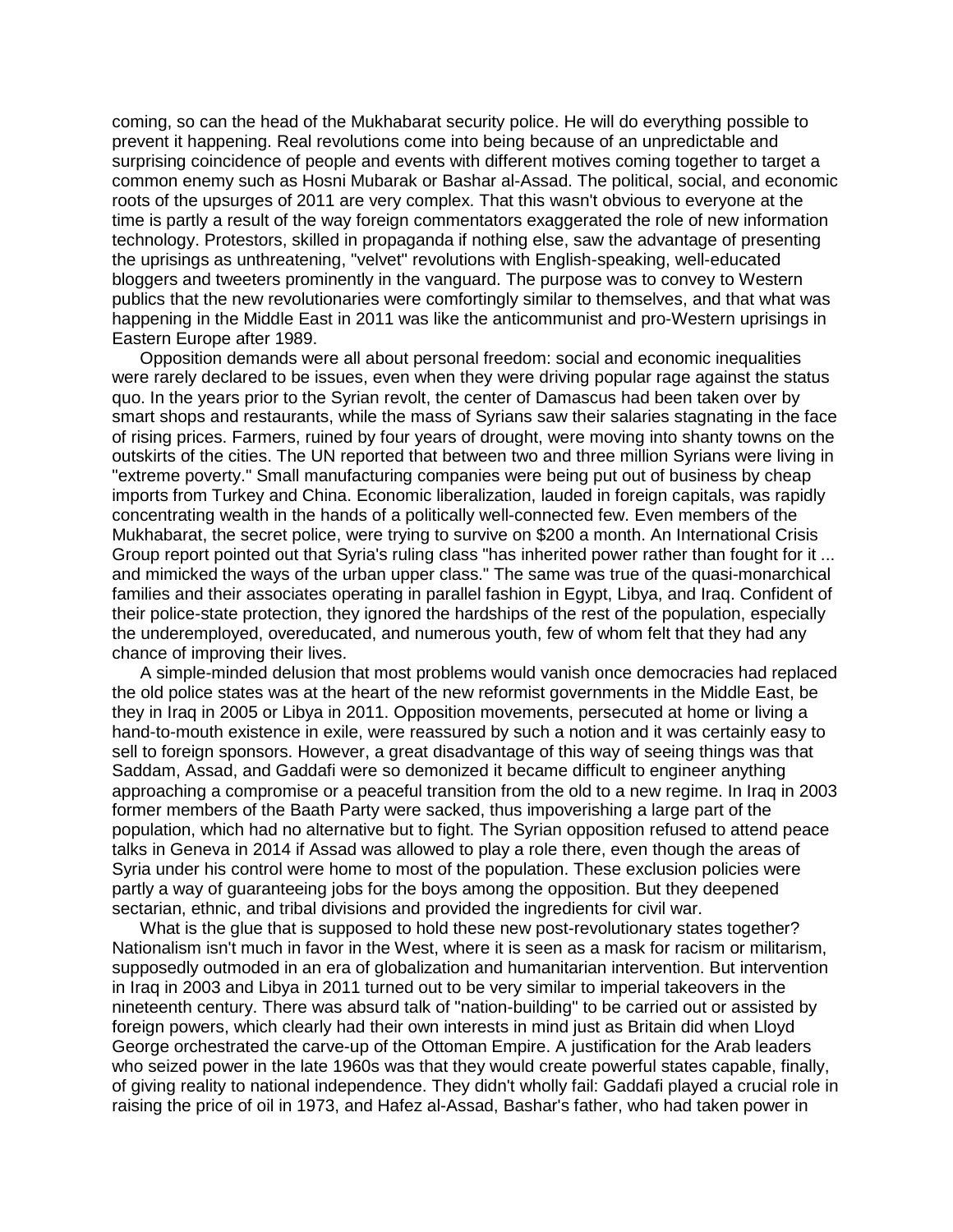coming, so can the head of the Mukhabarat security police. He will do everything possible to prevent it happening. Real revolutions come into being because of an unpredictable and surprising coincidence of people and events with different motives coming together to target a common enemy such as Hosni Mubarak or Bashar al-Assad. The political, social, and economic roots of the upsurges of 2011 are very complex. That this wasn't obvious to everyone at the time is partly a result of the way foreign commentators exaggerated the role of new information technology. Protestors, skilled in propaganda if nothing else, saw the advantage of presenting the uprisings as unthreatening, "velvet" revolutions with English-speaking, well-educated bloggers and tweeters prominently in the vanguard. The purpose was to convey to Western publics that the new revolutionaries were comfortingly similar to themselves, and that what was happening in the Middle East in 2011 was like the anticommunist and pro-Western uprisings in Eastern Europe after 1989.

Opposition demands were all about personal freedom: social and economic inequalities were rarely declared to be issues, even when they were driving popular rage against the status quo. In the years prior to the Syrian revolt, the center of Damascus had been taken over by smart shops and restaurants, while the mass of Syrians saw their salaries stagnating in the face of rising prices. Farmers, ruined by four years of drought, were moving into shanty towns on the outskirts of the cities. The UN reported that between two and three million Syrians were living in "extreme poverty." Small manufacturing companies were being put out of business by cheap imports from Turkey and China. Economic liberalization, lauded in foreign capitals, was rapidly concentrating wealth in the hands of a politically well-connected few. Even members of the Mukhabarat, the secret police, were trying to survive on \$200 a month. An International Crisis Group report pointed out that Syria's ruling class "has inherited power rather than fought for it ... and mimicked the ways of the urban upper class." The same was true of the quasi-monarchical families and their associates operating in parallel fashion in Egypt, Libya, and Iraq. Confident of their police-state protection, they ignored the hardships of the rest of the population, especially the underemployed, overeducated, and numerous youth, few of whom felt that they had any chance of improving their lives.

A simple-minded delusion that most problems would vanish once democracies had replaced the old police states was at the heart of the new reformist governments in the Middle East, be they in Iraq in 2005 or Libya in 2011. Opposition movements, persecuted at home or living a hand-to-mouth existence in exile, were reassured by such a notion and it was certainly easy to sell to foreign sponsors. However, a great disadvantage of this way of seeing things was that Saddam, Assad, and Gaddafi were so demonized it became difficult to engineer anything approaching a compromise or a peaceful transition from the old to a new regime. In Iraq in 2003 former members of the Baath Party were sacked, thus impoverishing a large part of the population, which had no alternative but to fight. The Syrian opposition refused to attend peace talks in Geneva in 2014 if Assad was allowed to play a role there, even though the areas of Syria under his control were home to most of the population. These exclusion policies were partly a way of guaranteeing jobs for the boys among the opposition. But they deepened sectarian, ethnic, and tribal divisions and provided the ingredients for civil war.

What is the glue that is supposed to hold these new post-revolutionary states together? Nationalism isn't much in favor in the West, where it is seen as a mask for racism or militarism, supposedly outmoded in an era of globalization and humanitarian intervention. But intervention in Iraq in 2003 and Libya in 2011 turned out to be very similar to imperial takeovers in the nineteenth century. There was absurd talk of "nation-building" to be carried out or assisted by foreign powers, which clearly had their own interests in mind just as Britain did when Lloyd George orchestrated the carve-up of the Ottoman Empire. A justification for the Arab leaders who seized power in the late 1960s was that they would create powerful states capable, finally, of giving reality to national independence. They didn't wholly fail: Gaddafi played a crucial role in raising the price of oil in 1973, and Hafez al-Assad, Bashar's father, who had taken power in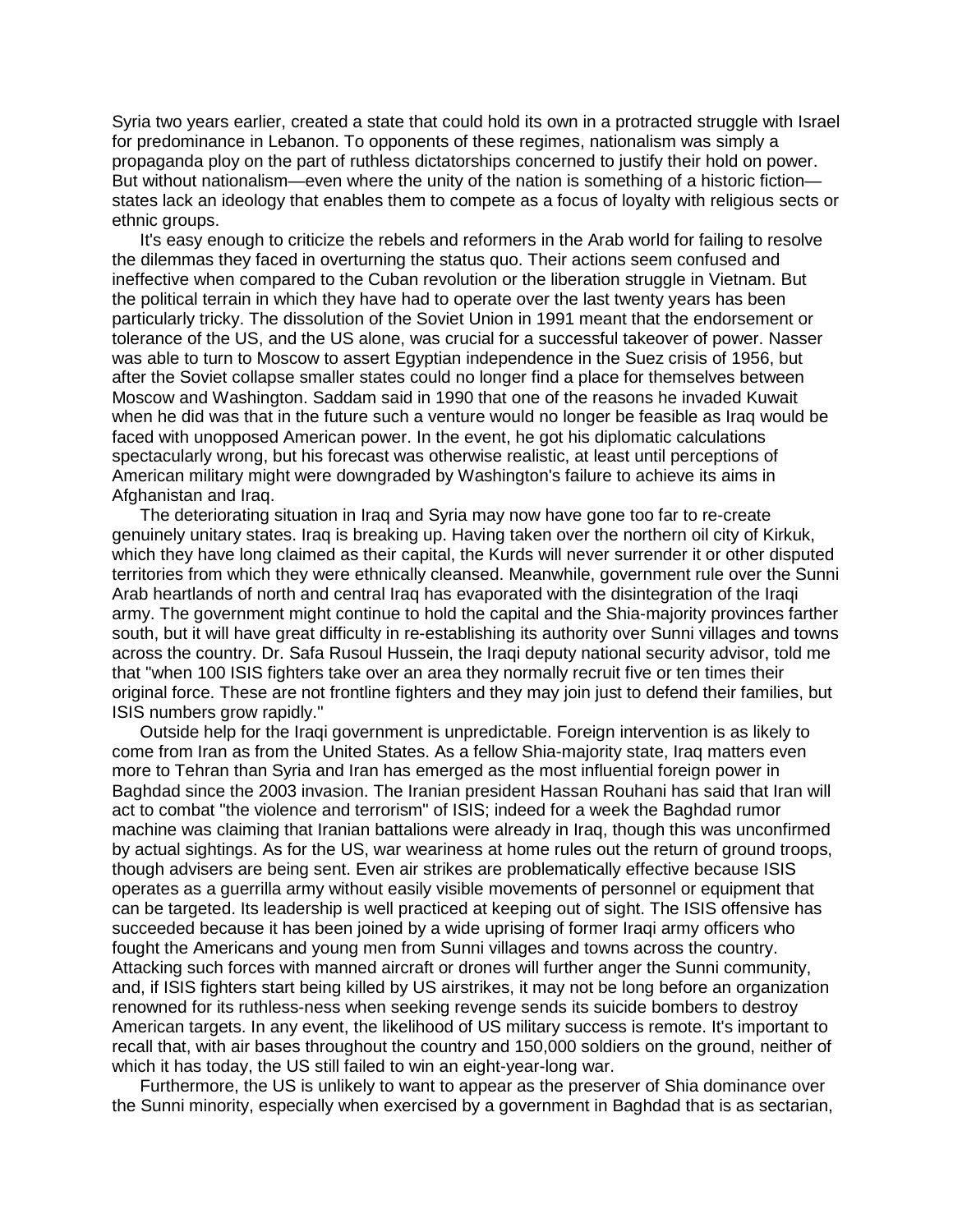Syria two years earlier, created a state that could hold its own in a protracted struggle with Israel for predominance in Lebanon. To opponents of these regimes, nationalism was simply a propaganda ploy on the part of ruthless dictatorships concerned to justify their hold on power. But without nationalism—even where the unity of the nation is something of a historic fiction states lack an ideology that enables them to compete as a focus of loyalty with religious sects or ethnic groups.

It's easy enough to criticize the rebels and reformers in the Arab world for failing to resolve the dilemmas they faced in overturning the status quo. Their actions seem confused and ineffective when compared to the Cuban revolution or the liberation struggle in Vietnam. But the political terrain in which they have had to operate over the last twenty years has been particularly tricky. The dissolution of the Soviet Union in 1991 meant that the endorsement or tolerance of the US, and the US alone, was crucial for a successful takeover of power. Nasser was able to turn to Moscow to assert Egyptian independence in the Suez crisis of 1956, but after the Soviet collapse smaller states could no longer find a place for themselves between Moscow and Washington. Saddam said in 1990 that one of the reasons he invaded Kuwait when he did was that in the future such a venture would no longer be feasible as Iraq would be faced with unopposed American power. In the event, he got his diplomatic calculations spectacularly wrong, but his forecast was otherwise realistic, at least until perceptions of American military might were downgraded by Washington's failure to achieve its aims in Afghanistan and Iraq.

The deteriorating situation in Iraq and Syria may now have gone too far to re-create genuinely unitary states. Iraq is breaking up. Having taken over the northern oil city of Kirkuk, which they have long claimed as their capital, the Kurds will never surrender it or other disputed territories from which they were ethnically cleansed. Meanwhile, government rule over the Sunni Arab heartlands of north and central Iraq has evaporated with the disintegration of the Iraqi army. The government might continue to hold the capital and the Shia-majority provinces farther south, but it will have great difficulty in re-establishing its authority over Sunni villages and towns across the country. Dr. Safa Rusoul Hussein, the Iraqi deputy national security advisor, told me that "when 100 ISIS fighters take over an area they normally recruit five or ten times their original force. These are not frontline fighters and they may join just to defend their families, but ISIS numbers grow rapidly."

Outside help for the Iraqi government is unpredictable. Foreign intervention is as likely to come from Iran as from the United States. As a fellow Shia-majority state, Iraq matters even more to Tehran than Syria and Iran has emerged as the most influential foreign power in Baghdad since the 2003 invasion. The Iranian president Hassan Rouhani has said that Iran will act to combat "the violence and terrorism" of ISIS; indeed for a week the Baghdad rumor machine was claiming that Iranian battalions were already in Iraq, though this was unconfirmed by actual sightings. As for the US, war weariness at home rules out the return of ground troops, though advisers are being sent. Even air strikes are problematically effective because ISIS operates as a guerrilla army without easily visible movements of personnel or equipment that can be targeted. Its leadership is well practiced at keeping out of sight. The ISIS offensive has succeeded because it has been joined by a wide uprising of former Iraqi army officers who fought the Americans and young men from Sunni villages and towns across the country. Attacking such forces with manned aircraft or drones will further anger the Sunni community, and, if ISIS fighters start being killed by US airstrikes, it may not be long before an organization renowned for its ruthless-ness when seeking revenge sends its suicide bombers to destroy American targets. In any event, the likelihood of US military success is remote. It's important to recall that, with air bases throughout the country and 150,000 soldiers on the ground, neither of which it has today, the US still failed to win an eight-year-long war.

Furthermore, the US is unlikely to want to appear as the preserver of Shia dominance over the Sunni minority, especially when exercised by a government in Baghdad that is as sectarian,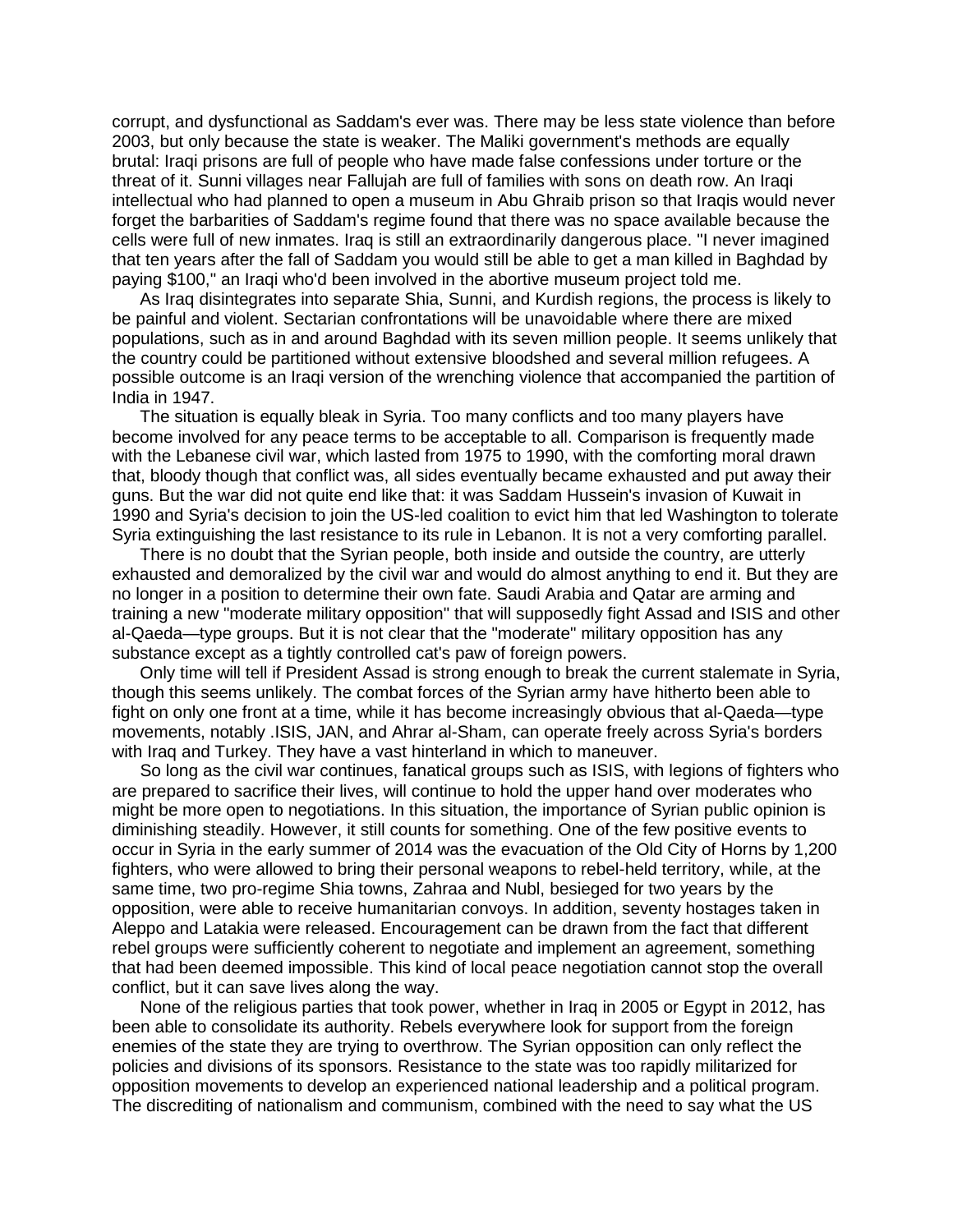corrupt, and dysfunctional as Saddam's ever was. There may be less state violence than before 2003, but only because the state is weaker. The Maliki government's methods are equally brutal: Iraqi prisons are full of people who have made false confessions under torture or the threat of it. Sunni villages near Fallujah are full of families with sons on death row. An Iraqi intellectual who had planned to open a museum in Abu Ghraib prison so that Iraqis would never forget the barbarities of Saddam's regime found that there was no space available because the cells were full of new inmates. Iraq is still an extraordinarily dangerous place. "I never imagined that ten years after the fall of Saddam you would still be able to get a man killed in Baghdad by paying \$100," an Iraqi who'd been involved in the abortive museum project told me.

As Iraq disintegrates into separate Shia, Sunni, and Kurdish regions, the process is likely to be painful and violent. Sectarian confrontations will be unavoidable where there are mixed populations, such as in and around Baghdad with its seven million people. It seems unlikely that the country could be partitioned without extensive bloodshed and several million refugees. A possible outcome is an Iraqi version of the wrenching violence that accompanied the partition of India in 1947.

The situation is equally bleak in Syria. Too many conflicts and too many players have become involved for any peace terms to be acceptable to all. Comparison is frequently made with the Lebanese civil war, which lasted from 1975 to 1990, with the comforting moral drawn that, bloody though that conflict was, all sides eventually became exhausted and put away their guns. But the war did not quite end like that: it was Saddam Hussein's invasion of Kuwait in 1990 and Syria's decision to join the US-led coalition to evict him that led Washington to tolerate Syria extinguishing the last resistance to its rule in Lebanon. It is not a very comforting parallel.

There is no doubt that the Syrian people, both inside and outside the country, are utterly exhausted and demoralized by the civil war and would do almost anything to end it. But they are no longer in a position to determine their own fate. Saudi Arabia and Qatar are arming and training a new "moderate military opposition" that will supposedly fight Assad and ISIS and other al-Qaeda—type groups. But it is not clear that the "moderate" military opposition has any substance except as a tightly controlled cat's paw of foreign powers.

Only time will tell if President Assad is strong enough to break the current stalemate in Syria, though this seems unlikely. The combat forces of the Syrian army have hitherto been able to fight on only one front at a time, while it has become increasingly obvious that al-Qaeda—type movements, notably .ISIS, JAN, and Ahrar al-Sham, can operate freely across Syria's borders with Iraq and Turkey. They have a vast hinterland in which to maneuver.

So long as the civil war continues, fanatical groups such as ISIS, with legions of fighters who are prepared to sacrifice their lives, will continue to hold the upper hand over moderates who might be more open to negotiations. In this situation, the importance of Syrian public opinion is diminishing steadily. However, it still counts for something. One of the few positive events to occur in Syria in the early summer of 2014 was the evacuation of the Old City of Horns by 1,200 fighters, who were allowed to bring their personal weapons to rebel-held territory, while, at the same time, two pro-regime Shia towns, Zahraa and Nubl, besieged for two years by the opposition, were able to receive humanitarian convoys. In addition, seventy hostages taken in Aleppo and Latakia were released. Encouragement can be drawn from the fact that different rebel groups were sufficiently coherent to negotiate and implement an agreement, something that had been deemed impossible. This kind of local peace negotiation cannot stop the overall conflict, but it can save lives along the way.

None of the religious parties that took power, whether in Iraq in 2005 or Egypt in 2012, has been able to consolidate its authority. Rebels everywhere look for support from the foreign enemies of the state they are trying to overthrow. The Syrian opposition can only reflect the policies and divisions of its sponsors. Resistance to the state was too rapidly militarized for opposition movements to develop an experienced national leadership and a political program. The discrediting of nationalism and communism, combined with the need to say what the US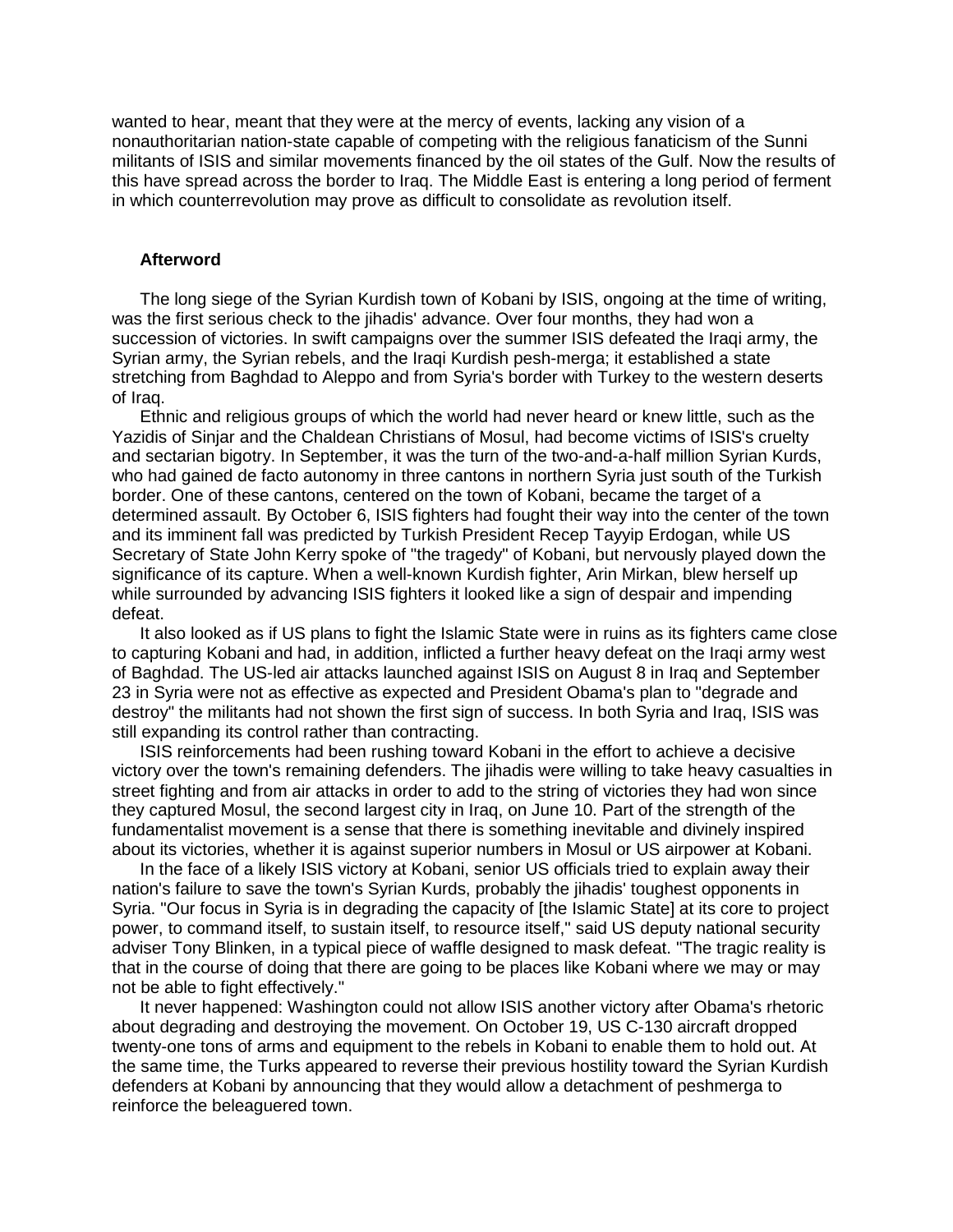wanted to hear, meant that they were at the mercy of events, lacking any vision of a nonauthoritarian nation-state capable of competing with the religious fanaticism of the Sunni militants of ISIS and similar movements financed by the oil states of the Gulf. Now the results of this have spread across the border to Iraq. The Middle East is entering a long period of ferment in which counterrevolution may prove as difficult to consolidate as revolution itself.

#### **Afterword**

The long siege of the Syrian Kurdish town of Kobani by ISIS, ongoing at the time of writing, was the first serious check to the jihadis' advance. Over four months, they had won a succession of victories. In swift campaigns over the summer ISIS defeated the Iraqi army, the Syrian army, the Syrian rebels, and the Iraqi Kurdish pesh-merga; it established a state stretching from Baghdad to Aleppo and from Syria's border with Turkey to the western deserts of Iraq.

Ethnic and religious groups of which the world had never heard or knew little, such as the Yazidis of Sinjar and the Chaldean Christians of Mosul, had become victims of ISIS's cruelty and sectarian bigotry. In September, it was the turn of the two-and-a-half million Syrian Kurds, who had gained de facto autonomy in three cantons in northern Syria just south of the Turkish border. One of these cantons, centered on the town of Kobani, became the target of a determined assault. By October 6, ISIS fighters had fought their way into the center of the town and its imminent fall was predicted by Turkish President Recep Tayyip Erdogan, while US Secretary of State John Kerry spoke of "the tragedy" of Kobani, but nervously played down the significance of its capture. When a well-known Kurdish fighter, Arin Mirkan, blew herself up while surrounded by advancing ISIS fighters it looked like a sign of despair and impending defeat.

It also looked as if US plans to fight the Islamic State were in ruins as its fighters came close to capturing Kobani and had, in addition, inflicted a further heavy defeat on the Iraqi army west of Baghdad. The US-led air attacks launched against ISIS on August 8 in Iraq and September 23 in Syria were not as effective as expected and President Obama's plan to "degrade and destroy" the militants had not shown the first sign of success. In both Syria and Iraq, ISIS was still expanding its control rather than contracting.

ISIS reinforcements had been rushing toward Kobani in the effort to achieve a decisive victory over the town's remaining defenders. The jihadis were willing to take heavy casualties in street fighting and from air attacks in order to add to the string of victories they had won since they captured Mosul, the second largest city in Iraq, on June 10. Part of the strength of the fundamentalist movement is a sense that there is something inevitable and divinely inspired about its victories, whether it is against superior numbers in Mosul or US airpower at Kobani.

In the face of a likely ISIS victory at Kobani, senior US officials tried to explain away their nation's failure to save the town's Syrian Kurds, probably the jihadis' toughest opponents in Syria. "Our focus in Syria is in degrading the capacity of [the Islamic State] at its core to project power, to command itself, to sustain itself, to resource itself," said US deputy national security adviser Tony Blinken, in a typical piece of waffle designed to mask defeat. "The tragic reality is that in the course of doing that there are going to be places like Kobani where we may or may not be able to fight effectively."

It never happened: Washington could not allow ISIS another victory after Obama's rhetoric about degrading and destroying the movement. On October 19, US C-130 aircraft dropped twenty-one tons of arms and equipment to the rebels in Kobani to enable them to hold out. At the same time, the Turks appeared to reverse their previous hostility toward the Syrian Kurdish defenders at Kobani by announcing that they would allow a detachment of peshmerga to reinforce the beleaguered town.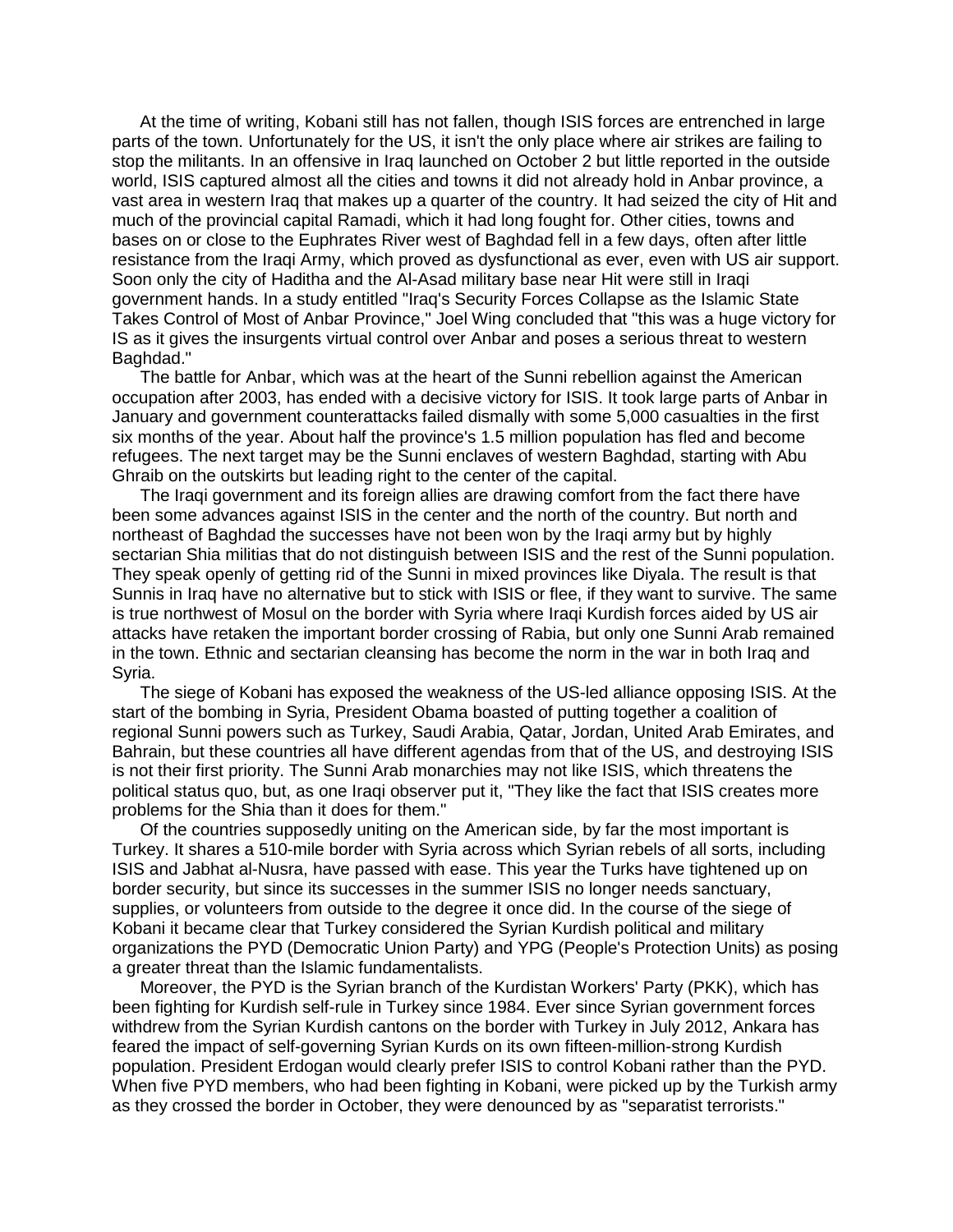At the time of writing, Kobani still has not fallen, though ISIS forces are entrenched in large parts of the town. Unfortunately for the US, it isn't the only place where air strikes are failing to stop the militants. In an offensive in Iraq launched on October 2 but little reported in the outside world, ISIS captured almost all the cities and towns it did not already hold in Anbar province, a vast area in western Iraq that makes up a quarter of the country. It had seized the city of Hit and much of the provincial capital Ramadi, which it had long fought for. Other cities, towns and bases on or close to the Euphrates River west of Baghdad fell in a few days, often after little resistance from the Iraqi Army, which proved as dysfunctional as ever, even with US air support. Soon only the city of Haditha and the Al-Asad military base near Hit were still in Iraqi government hands. In a study entitled "Iraq's Security Forces Collapse as the Islamic State Takes Control of Most of Anbar Province," Joel Wing concluded that "this was a huge victory for IS as it gives the insurgents virtual control over Anbar and poses a serious threat to western Baghdad."

The battle for Anbar, which was at the heart of the Sunni rebellion against the American occupation after 2003, has ended with a decisive victory for ISIS. It took large parts of Anbar in January and government counterattacks failed dismally with some 5,000 casualties in the first six months of the year. About half the province's 1.5 million population has fled and become refugees. The next target may be the Sunni enclaves of western Baghdad, starting with Abu Ghraib on the outskirts but leading right to the center of the capital.

The Iraqi government and its foreign allies are drawing comfort from the fact there have been some advances against ISIS in the center and the north of the country. But north and northeast of Baghdad the successes have not been won by the Iraqi army but by highly sectarian Shia militias that do not distinguish between ISIS and the rest of the Sunni population. They speak openly of getting rid of the Sunni in mixed provinces like Diyala. The result is that Sunnis in Iraq have no alternative but to stick with ISIS or flee, if they want to survive. The same is true northwest of Mosul on the border with Syria where Iraqi Kurdish forces aided by US air attacks have retaken the important border crossing of Rabia, but only one Sunni Arab remained in the town. Ethnic and sectarian cleansing has become the norm in the war in both Iraq and Syria.

The siege of Kobani has exposed the weakness of the US-led alliance opposing ISIS. At the start of the bombing in Syria, President Obama boasted of putting together a coalition of regional Sunni powers such as Turkey, Saudi Arabia, Qatar, Jordan, United Arab Emirates, and Bahrain, but these countries all have different agendas from that of the US, and destroying ISIS is not their first priority. The Sunni Arab monarchies may not like ISIS, which threatens the political status quo, but, as one Iraqi observer put it, "They like the fact that ISIS creates more problems for the Shia than it does for them."

Of the countries supposedly uniting on the American side, by far the most important is Turkey. It shares a 510-mile border with Syria across which Syrian rebels of all sorts, including ISIS and Jabhat al-Nusra, have passed with ease. This year the Turks have tightened up on border security, but since its successes in the summer ISIS no longer needs sanctuary, supplies, or volunteers from outside to the degree it once did. In the course of the siege of Kobani it became clear that Turkey considered the Syrian Kurdish political and military organizations the PYD (Democratic Union Party) and YPG (People's Protection Units) as posing a greater threat than the Islamic fundamentalists.

Moreover, the PYD is the Syrian branch of the Kurdistan Workers' Party (PKK), which has been fighting for Kurdish self-rule in Turkey since 1984. Ever since Syrian government forces withdrew from the Syrian Kurdish cantons on the border with Turkey in July 2012, Ankara has feared the impact of self-governing Syrian Kurds on its own fifteen-million-strong Kurdish population. President Erdogan would clearly prefer ISIS to control Kobani rather than the PYD. When five PYD members, who had been fighting in Kobani, were picked up by the Turkish army as they crossed the border in October, they were denounced by as "separatist terrorists."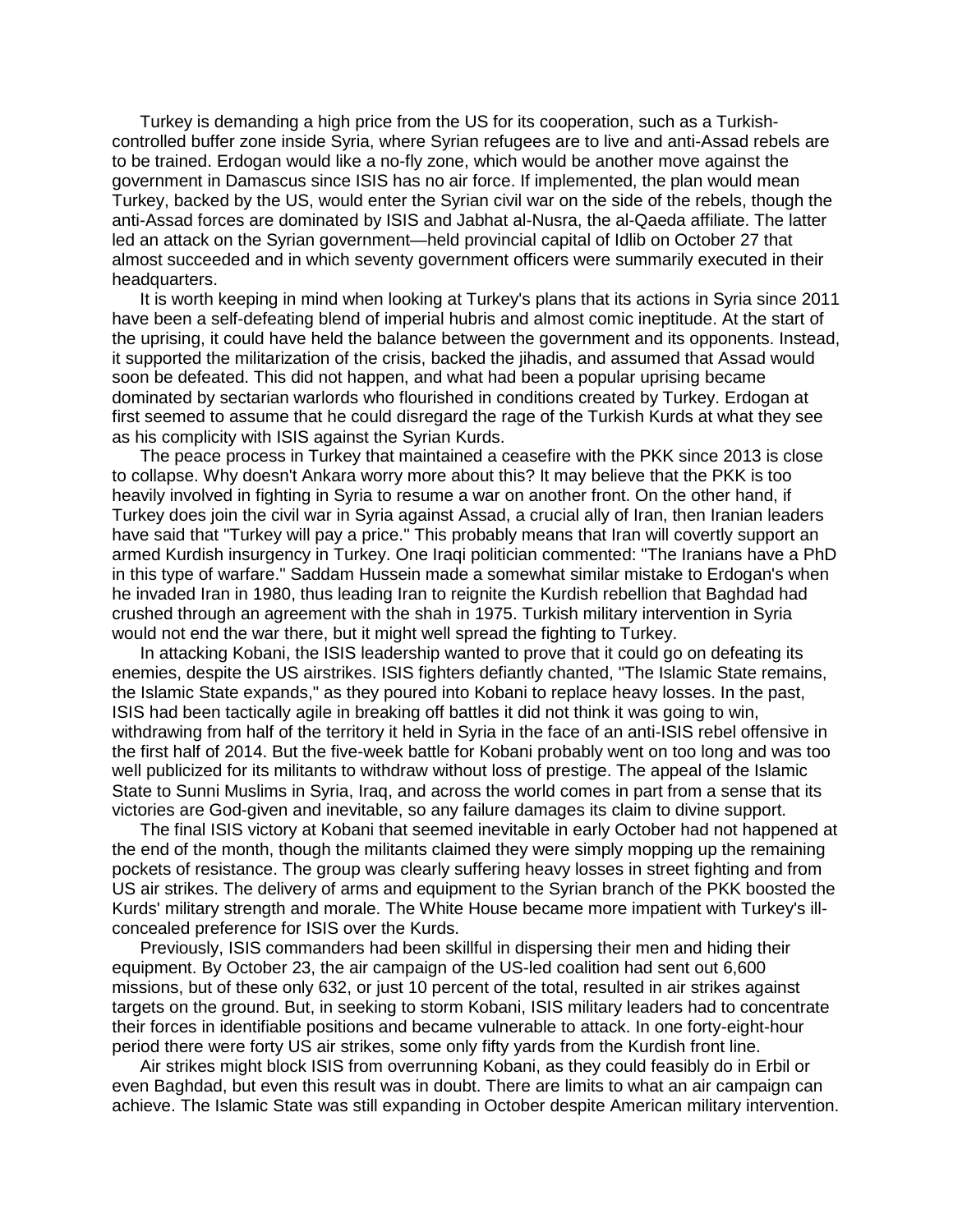Turkey is demanding a high price from the US for its cooperation, such as a Turkishcontrolled buffer zone inside Syria, where Syrian refugees are to live and anti-Assad rebels are to be trained. Erdogan would like a no-fly zone, which would be another move against the government in Damascus since ISIS has no air force. If implemented, the plan would mean Turkey, backed by the US, would enter the Syrian civil war on the side of the rebels, though the anti-Assad forces are dominated by ISIS and Jabhat al-Nusra, the al-Qaeda affiliate. The latter led an attack on the Syrian government—held provincial capital of Idlib on October 27 that almost succeeded and in which seventy government officers were summarily executed in their headquarters.

It is worth keeping in mind when looking at Turkey's plans that its actions in Syria since 2011 have been a self-defeating blend of imperial hubris and almost comic ineptitude. At the start of the uprising, it could have held the balance between the government and its opponents. Instead, it supported the militarization of the crisis, backed the jihadis, and assumed that Assad would soon be defeated. This did not happen, and what had been a popular uprising became dominated by sectarian warlords who flourished in conditions created by Turkey. Erdogan at first seemed to assume that he could disregard the rage of the Turkish Kurds at what they see as his complicity with ISIS against the Syrian Kurds.

The peace process in Turkey that maintained a ceasefire with the PKK since 2013 is close to collapse. Why doesn't Ankara worry more about this? It may believe that the PKK is too heavily involved in fighting in Syria to resume a war on another front. On the other hand, if Turkey does join the civil war in Syria against Assad, a crucial ally of Iran, then Iranian leaders have said that "Turkey will pay a price." This probably means that Iran will covertly support an armed Kurdish insurgency in Turkey. One Iraqi politician commented: "The Iranians have a PhD in this type of warfare." Saddam Hussein made a somewhat similar mistake to Erdogan's when he invaded Iran in 1980, thus leading Iran to reignite the Kurdish rebellion that Baghdad had crushed through an agreement with the shah in 1975. Turkish military intervention in Syria would not end the war there, but it might well spread the fighting to Turkey.

In attacking Kobani, the ISIS leadership wanted to prove that it could go on defeating its enemies, despite the US airstrikes. ISIS fighters defiantly chanted, "The Islamic State remains, the Islamic State expands," as they poured into Kobani to replace heavy losses. In the past, ISIS had been tactically agile in breaking off battles it did not think it was going to win, withdrawing from half of the territory it held in Syria in the face of an anti-ISIS rebel offensive in the first half of 2014. But the five-week battle for Kobani probably went on too long and was too well publicized for its militants to withdraw without loss of prestige. The appeal of the Islamic State to Sunni Muslims in Syria, Iraq, and across the world comes in part from a sense that its victories are God-given and inevitable, so any failure damages its claim to divine support.

The final ISIS victory at Kobani that seemed inevitable in early October had not happened at the end of the month, though the militants claimed they were simply mopping up the remaining pockets of resistance. The group was clearly suffering heavy losses in street fighting and from US air strikes. The delivery of arms and equipment to the Syrian branch of the PKK boosted the Kurds' military strength and morale. The White House became more impatient with Turkey's illconcealed preference for ISIS over the Kurds.

Previously, ISIS commanders had been skillful in dispersing their men and hiding their equipment. By October 23, the air campaign of the US-led coalition had sent out 6,600 missions, but of these only 632, or just 10 percent of the total, resulted in air strikes against targets on the ground. But, in seeking to storm Kobani, ISIS military leaders had to concentrate their forces in identifiable positions and became vulnerable to attack. In one forty-eight-hour period there were forty US air strikes, some only fifty yards from the Kurdish front line.

Air strikes might block ISIS from overrunning Kobani, as they could feasibly do in Erbil or even Baghdad, but even this result was in doubt. There are limits to what an air campaign can achieve. The Islamic State was still expanding in October despite American military intervention.